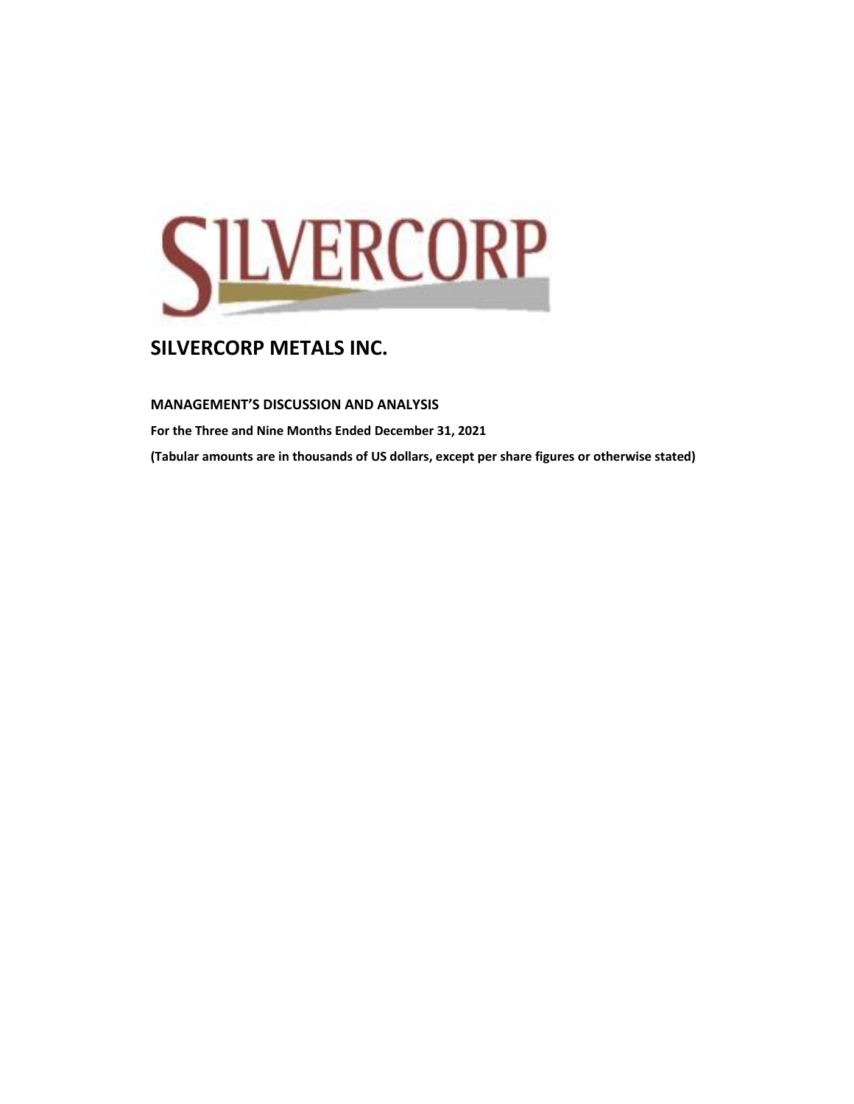

**MANAGEMENT'S DISCUSSION AND ANALYSIS** 

**For the Three and Nine Months Ended December 31, 2021**

**(Tabular amounts are in thousands of US dollars, except per share figures or otherwise stated)**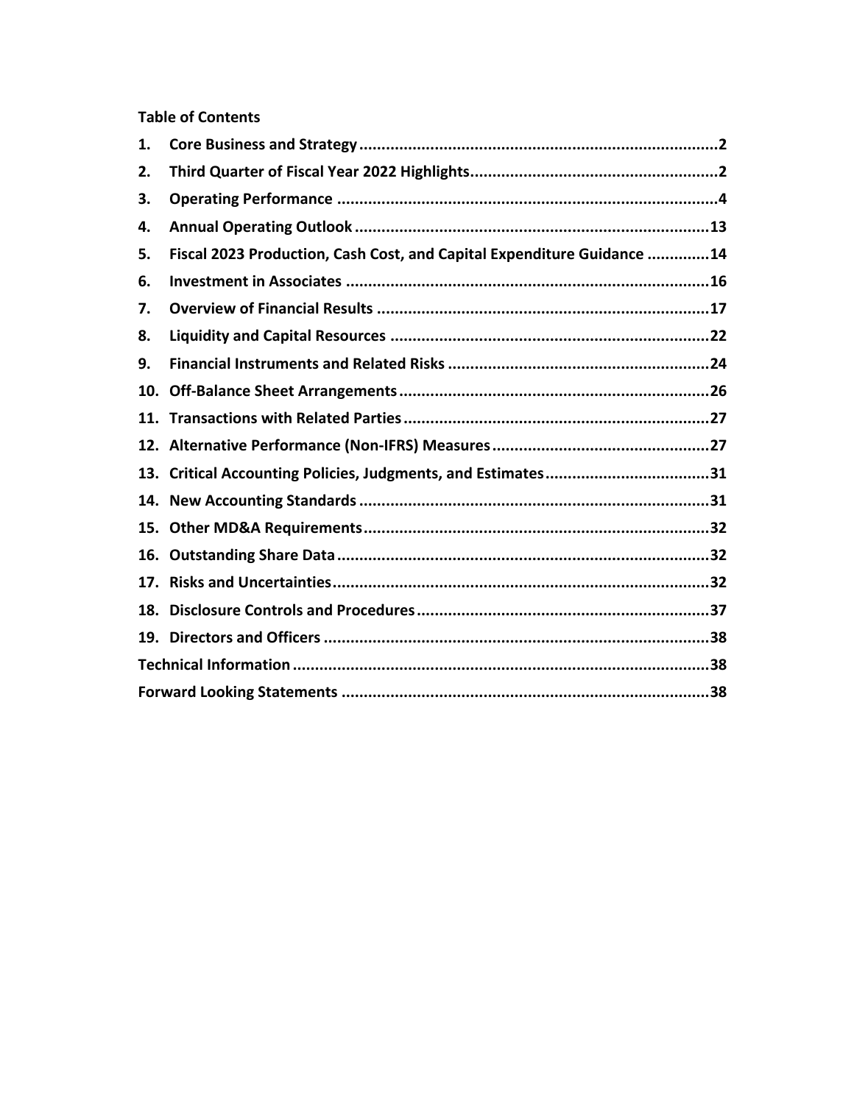## **Table of Contents**

| 1.  |                                                                        |
|-----|------------------------------------------------------------------------|
| 2.  |                                                                        |
| 3.  |                                                                        |
| 4.  |                                                                        |
| 5.  | Fiscal 2023 Production, Cash Cost, and Capital Expenditure Guidance 14 |
| 6.  |                                                                        |
| 7.  |                                                                        |
| 8.  |                                                                        |
| 9.  |                                                                        |
| 10. |                                                                        |
|     |                                                                        |
|     |                                                                        |
| 13. |                                                                        |
|     |                                                                        |
| 15. |                                                                        |
| 16. |                                                                        |
|     |                                                                        |
| 18. |                                                                        |
|     |                                                                        |
|     |                                                                        |
|     |                                                                        |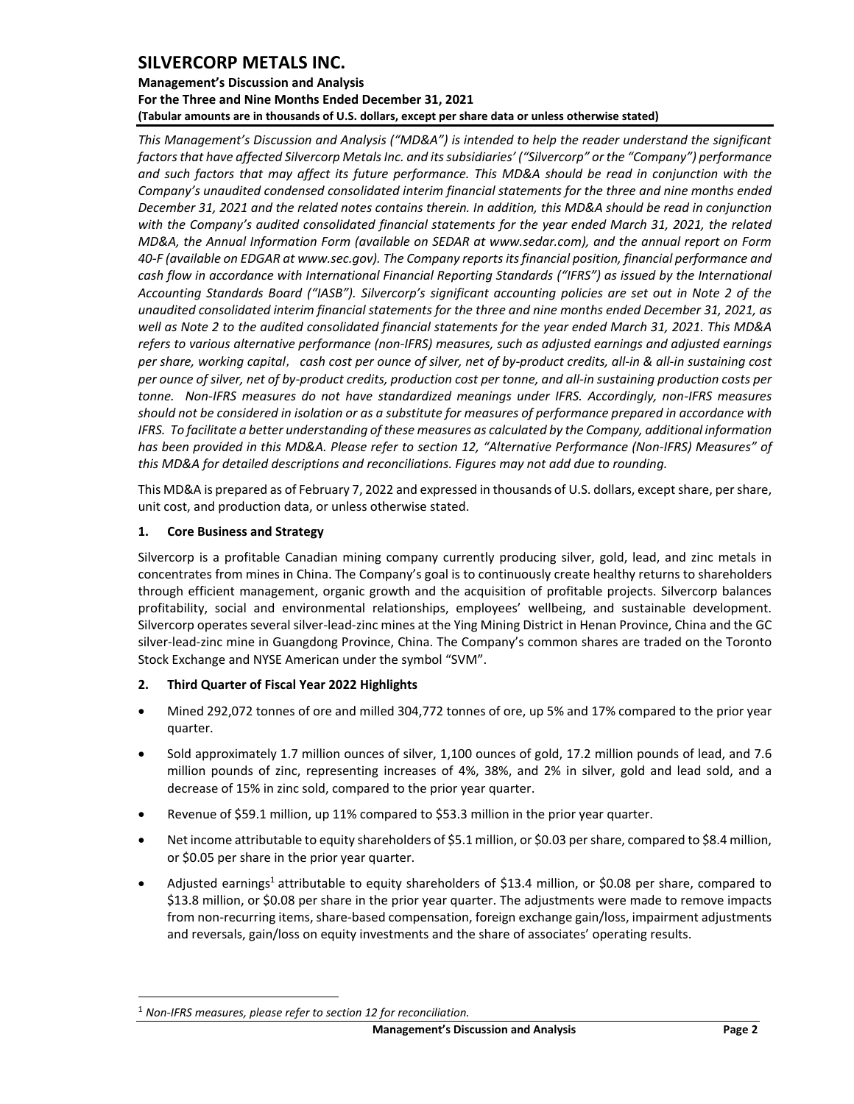## **Management's Discussion and Analysis For the Three and Nine Months Ended December 31, 2021 (Tabular amounts are in thousands of U.S. dollars, except per share data or unless otherwise stated)**

*This Management's Discussion and Analysis ("MD&A") is intended to help the reader understand the significant factors that have affected Silvercorp Metals Inc. and its subsidiaries' ("Silvercorp" or the "Company") performance and such factors that may affect its future performance. This MD&A should be read in conjunction with the Company's unaudited condensed consolidated interim financial statements for the three and nine months ended December 31, 2021 and the related notes contains therein. In addition, this MD&A should be read in conjunction with the Company's audited consolidated financial statements for the year ended March 31, 2021, the related MD&A, the Annual Information Form (available on SEDAR at www.sedar.com), and the annual report on Form 40-F (available on EDGAR at www.sec.gov). The Company reports its financial position, financial performance and cash flow in accordance with International Financial Reporting Standards ("IFRS") as issued by the International Accounting Standards Board ("IASB"). Silvercorp's significant accounting policies are set out in Note 2 of the unaudited consolidated interim financial statements for the three and nine months ended December 31, 2021, as well as Note 2 to the audited consolidated financial statements for the year ended March 31, 2021. This MD&A refers to various alternative performance (non-IFRS) measures, such as adjusted earnings and adjusted earnings per share, working capital*, *cash cost per ounce of silver, net of by-product credits, all-in & all-in sustaining cost per ounce of silver, net of by-product credits, production cost per tonne, and all-in sustaining production costs per tonne. Non-IFRS measures do not have standardized meanings under IFRS. Accordingly, non-IFRS measures should not be considered in isolation or as a substitute for measures of performance prepared in accordance with IFRS. To facilitate a better understanding of these measures as calculated by the Company, additional information has been provided in this MD&A. Please refer to section 12, "Alternative Performance (Non-IFRS) Measures" of this MD&A for detailed descriptions and reconciliations. Figures may not add due to rounding.*

This MD&A is prepared as of February 7, 2022 and expressed in thousands of U.S. dollars, except share, per share, unit cost, and production data, or unless otherwise stated.

## <span id="page-2-0"></span>**1. Core Business and Strategy**

Silvercorp is a profitable Canadian mining company currently producing silver, gold, lead, and zinc metals in concentrates from mines in China. The Company's goal is to continuously create healthy returns to shareholders through efficient management, organic growth and the acquisition of profitable projects. Silvercorp balances profitability, social and environmental relationships, employees' wellbeing, and sustainable development. Silvercorp operates several silver-lead-zinc mines at the Ying Mining District in Henan Province, China and the GC silver-lead-zinc mine in Guangdong Province, China. The Company's common shares are traded on the Toronto Stock Exchange and NYSE American under the symbol "SVM".

## <span id="page-2-1"></span>**2. Third Quarter of Fiscal Year 2022 Highlights**

- Mined 292,072 tonnes of ore and milled 304,772 tonnes of ore, up 5% and 17% compared to the prior year quarter.
- Sold approximately 1.7 million ounces of silver, 1,100 ounces of gold, 17.2 million pounds of lead, and 7.6 million pounds of zinc, representing increases of 4%, 38%, and 2% in silver, gold and lead sold, and a decrease of 15% in zinc sold, compared to the prior year quarter.
- Revenue of \$59.1 million, up 11% compared to \$53.3 million in the prior year quarter.
- Net income attributable to equity shareholders of \$5.1 million, or \$0.03 per share, compared to \$8.4 million, or \$0.05 per share in the prior year quarter.
- Adjusted earnings<sup>1</sup> attributable to equity shareholders of \$13.4 million, or \$0.08 per share, compared to \$13.8 million, or \$0.08 per share in the prior year quarter. The adjustments were made to remove impacts from non-recurring items, share-based compensation, foreign exchange gain/loss, impairment adjustments and reversals, gain/loss on equity investments and the share of associates' operating results.

<sup>1</sup> *Non-IFRS measures, please refer to section 12 for reconciliation.*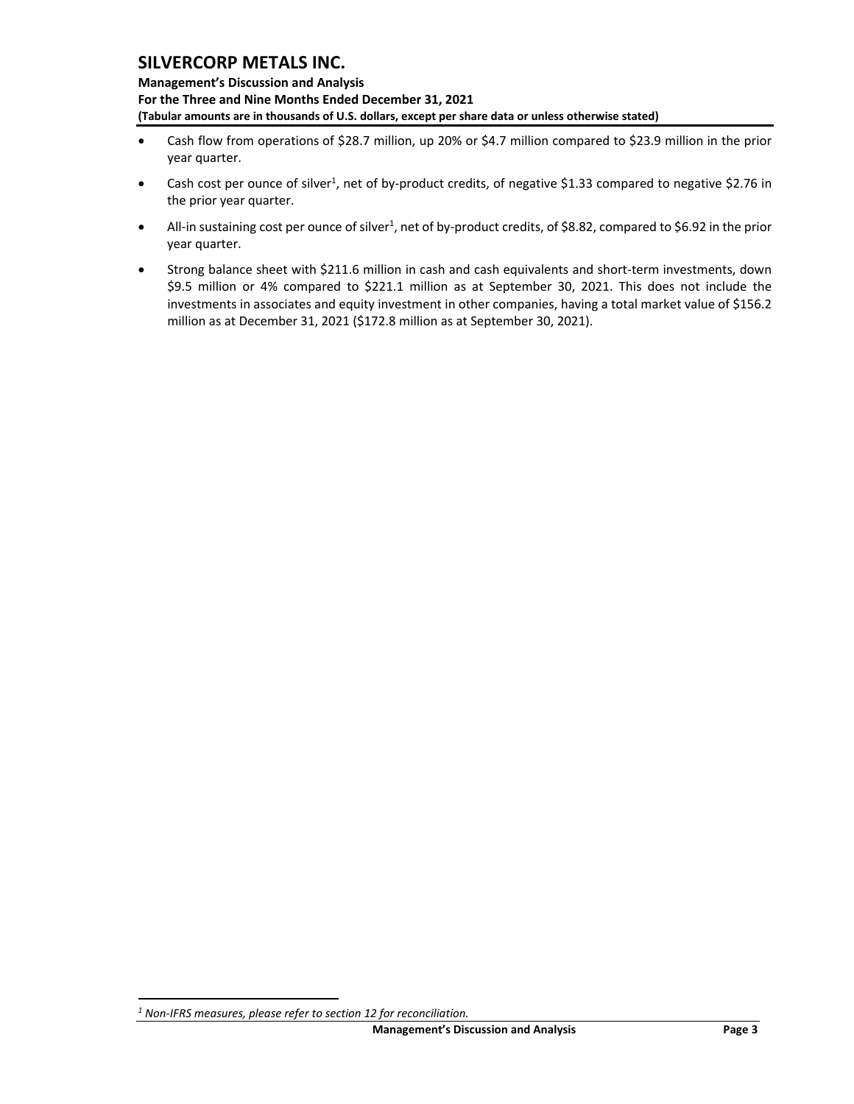**Management's Discussion and Analysis For the Three and Nine Months Ended December 31, 2021 (Tabular amounts are in thousands of U.S. dollars, except per share data or unless otherwise stated)** 

- Cash flow from operations of \$28.7 million, up 20% or \$4.7 million compared to \$23.9 million in the prior year quarter.
- Cash cost per ounce of silver<sup>1</sup>, net of by-product credits, of negative \$1.33 compared to negative \$2.76 in the prior year quarter.
- All-in sustaining cost per ounce of silver<sup>1</sup>, net of by-product credits, of \$8.82, compared to \$6.92 in the prior year quarter.
- Strong balance sheet with \$211.6 million in cash and cash equivalents and short-term investments, down \$9.5 million or 4% compared to \$221.1 million as at September 30, 2021. This does not include the investments in associates and equity investment in other companies, having a total market value of \$156.2 million as at December 31, 2021 (\$172.8 million as at September 30, 2021).

*<sup>1</sup> Non-IFRS measures, please refer to section 12 for reconciliation.*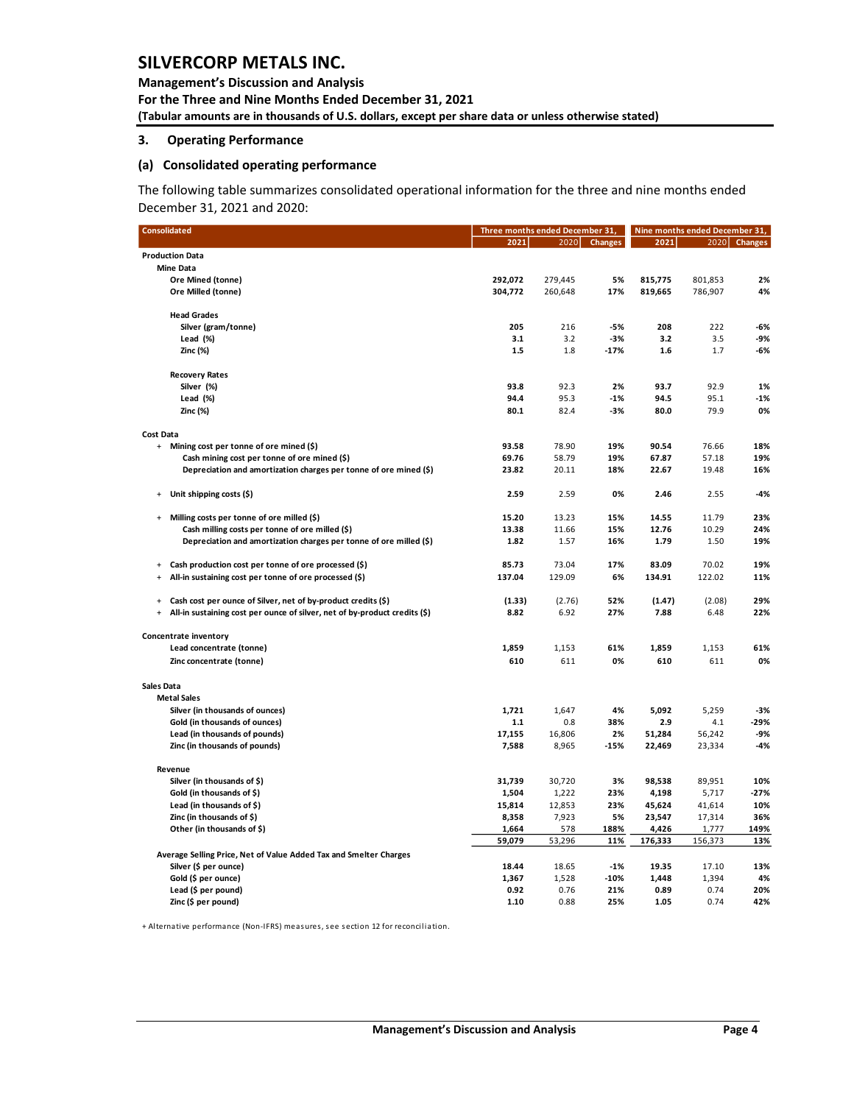**Management's Discussion and Analysis** 

**For the Three and Nine Months Ended December 31, 2021**

**(Tabular amounts are in thousands of U.S. dollars, except per share data or unless otherwise stated)** 

#### <span id="page-4-0"></span>**3. Operating Performance**

#### **(a) Consolidated operating performance**

The following table summarizes consolidated operational information for the three and nine months ended December 31, 2021 and 2020:

| <b>Consolidated</b>                                                                        | Three months ended December 31, |               |                |                  | Nine months ended December 31, |              |
|--------------------------------------------------------------------------------------------|---------------------------------|---------------|----------------|------------------|--------------------------------|--------------|
|                                                                                            | 2021                            | 2020          | <b>Changes</b> | 2021             |                                | 2020 Changes |
| <b>Production Data</b>                                                                     |                                 |               |                |                  |                                |              |
| <b>Mine Data</b>                                                                           |                                 |               |                |                  |                                |              |
| Ore Mined (tonne)                                                                          | 292,072                         | 279,445       | 5%             | 815,775          | 801,853                        | 2%           |
| Ore Milled (tonne)                                                                         | 304,772                         | 260,648       | 17%            | 819,665          | 786,907                        | 4%           |
| <b>Head Grades</b>                                                                         |                                 |               |                |                  |                                |              |
| Silver (gram/tonne)                                                                        | 205                             | 216           | -5%            | 208              | 222                            | -6%          |
| Lead (%)                                                                                   | 3.1                             | 3.2           | $-3%$          | 3.2              | 3.5                            | -9%          |
| Zinc (%)                                                                                   | 1.5                             | 1.8           | $-17%$         | 1.6              | 1.7                            | $-6%$        |
| <b>Recovery Rates</b>                                                                      |                                 |               |                |                  |                                |              |
| Silver (%)                                                                                 | 93.8                            | 92.3          | 2%             | 93.7             | 92.9                           | 1%           |
| Lead (%)                                                                                   | 94.4                            | 95.3          | $-1%$          | 94.5             | 95.1                           | $-1%$        |
| Zinc (%)                                                                                   | 80.1                            | 82.4          | $-3%$          | 80.0             | 79.9                           | 0%           |
| Cost Data                                                                                  |                                 |               |                |                  |                                |              |
| + Mining cost per tonne of ore mined (\$)                                                  | 93.58                           | 78.90         | 19%            | 90.54            | 76.66                          | 18%          |
| Cash mining cost per tonne of ore mined (\$)                                               | 69.76                           | 58.79         | 19%            | 67.87            | 57.18                          | 19%          |
| Depreciation and amortization charges per tonne of ore mined (\$)                          | 23.82                           | 20.11         | 18%            | 22.67            | 19.48                          | 16%          |
| Unit shipping costs (\$)<br>$\ddot{}$                                                      | 2.59                            | 2.59          | 0%             | 2.46             | 2.55                           | -4%          |
| Milling costs per tonne of ore milled (\$)<br>$+$                                          | 15.20                           | 13.23         | 15%            | 14.55            | 11.79                          | 23%          |
| Cash milling costs per tonne of ore milled (\$)                                            | 13.38                           | 11.66         | 15%            | 12.76            | 10.29                          | 24%          |
| Depreciation and amortization charges per tonne of ore milled (\$)                         | 1.82                            | 1.57          | 16%            | 1.79             | 1.50                           | 19%          |
| Cash production cost per tonne of ore processed (\$)<br>$\ddot{}$                          | 85.73                           | 73.04         | 17%            | 83.09            | 70.02                          | 19%          |
| All-in sustaining cost per tonne of ore processed (\$)<br>$\begin{array}{c} + \end{array}$ | 137.04                          | 129.09        | 6%             | 134.91           | 122.02                         | 11%          |
| Cash cost per ounce of Silver, net of by-product credits (\$)<br>$\ddot{}$                 | (1.33)                          | (2.76)        | 52%            | (1.47)           | (2.08)                         | 29%          |
| All-in sustaining cost per ounce of silver, net of by-product credits (\$)<br>$\ddot{}$    | 8.82                            | 6.92          | 27%            | 7.88             | 6.48                           | 22%          |
| Concentrate inventory                                                                      |                                 |               |                |                  |                                |              |
| Lead concentrate (tonne)                                                                   | 1,859                           | 1,153         | 61%            | 1,859            | 1,153                          | 61%          |
| Zinc concentrate (tonne)                                                                   | 610                             | 611           | 0%             | 610              | 611                            | 0%           |
| Sales Data                                                                                 |                                 |               |                |                  |                                |              |
| <b>Metal Sales</b>                                                                         |                                 |               |                |                  |                                |              |
| Silver (in thousands of ounces)                                                            | 1,721                           | 1,647         | 4%             | 5,092            | 5,259                          | $-3%$        |
| Gold (in thousands of ounces)                                                              | $1.1$                           | 0.8           | 38%            | 2.9              | 4.1                            | -29%         |
| Lead (in thousands of pounds)                                                              | 17,155                          | 16,806        | 2%             | 51,284           | 56,242                         | -9%          |
| Zinc (in thousands of pounds)                                                              | 7,588                           | 8,965         | -15%           | 22,469           | 23,334                         | $-4%$        |
| Revenue                                                                                    |                                 |               |                |                  |                                |              |
| Silver (in thousands of \$)                                                                | 31,739                          | 30,720        | 3%             | 98,538           | 89,951                         | 10%          |
| Gold (in thousands of \$)                                                                  | 1,504                           | 1,222         | 23%            | 4,198            | 5,717                          | $-27%$       |
| Lead (in thousands of \$)                                                                  | 15,814                          | 12,853        | 23%            | 45,624           | 41,614                         | 10%          |
| Zinc (in thousands of \$)                                                                  | 8,358                           | 7,923         | 5%             | 23,547           | 17,314                         | 36%          |
| Other (in thousands of \$)                                                                 | 1,664<br>59,079                 | 578<br>53,296 | 188%<br>11%    | 4,426<br>176,333 | 1,777<br>156,373               | 149%<br>13%  |
| Average Selling Price, Net of Value Added Tax and Smelter Charges                          |                                 |               |                |                  |                                |              |
| Silver (\$ per ounce)                                                                      | 18.44                           | 18.65         | $-1%$          | 19.35            | 17.10                          | 13%          |
| Gold (\$ per ounce)                                                                        | 1,367                           | 1,528         | $-10%$         | 1,448            | 1,394                          | 4%           |
| Lead (\$ per pound)                                                                        | 0.92                            | 0.76          | 21%            | 0.89             | 0.74                           | 20%          |
| Zinc (\$ per pound)                                                                        | 1.10                            | 0.88          | 25%            | 1.05             | 0.74                           | 42%          |

+ Alternative performance (Non-IFRS) measures, see section 12 for reconciliation.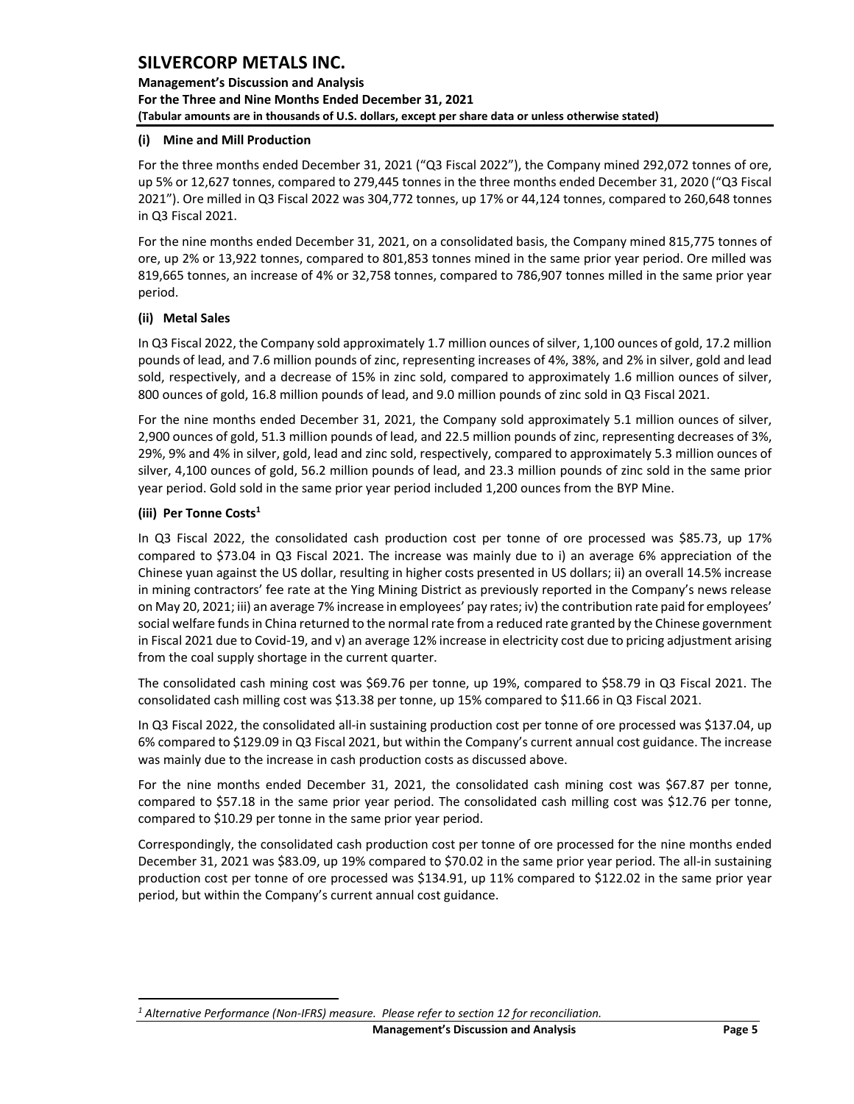### **Management's Discussion and Analysis For the Three and Nine Months Ended December 31, 2021 (Tabular amounts are in thousands of U.S. dollars, except per share data or unless otherwise stated)**

#### **(i) Mine and Mill Production**

For the three months ended December 31, 2021 ("Q3 Fiscal 2022"), the Company mined 292,072 tonnes of ore, up 5% or 12,627 tonnes, compared to 279,445 tonnes in the three months ended December 31, 2020 ("Q3 Fiscal 2021"). Ore milled in Q3 Fiscal 2022 was 304,772 tonnes, up 17% or 44,124 tonnes, compared to 260,648 tonnes in Q3 Fiscal 2021.

For the nine months ended December 31, 2021, on a consolidated basis, the Company mined 815,775 tonnes of ore, up 2% or 13,922 tonnes, compared to 801,853 tonnes mined in the same prior year period. Ore milled was 819,665 tonnes, an increase of 4% or 32,758 tonnes, compared to 786,907 tonnes milled in the same prior year period.

## **(ii) Metal Sales**

In Q3 Fiscal 2022, the Company sold approximately 1.7 million ounces of silver, 1,100 ounces of gold, 17.2 million pounds of lead, and 7.6 million pounds of zinc, representing increases of 4%, 38%, and 2% in silver, gold and lead sold, respectively, and a decrease of 15% in zinc sold, compared to approximately 1.6 million ounces of silver, 800 ounces of gold, 16.8 million pounds of lead, and 9.0 million pounds of zinc sold in Q3 Fiscal 2021.

For the nine months ended December 31, 2021, the Company sold approximately 5.1 million ounces of silver, 2,900 ounces of gold, 51.3 million pounds of lead, and 22.5 million pounds of zinc, representing decreases of 3%, 29%, 9% and 4% in silver, gold, lead and zinc sold, respectively, compared to approximately 5.3 million ounces of silver, 4,100 ounces of gold, 56.2 million pounds of lead, and 23.3 million pounds of zinc sold in the same prior year period. Gold sold in the same prior year period included 1,200 ounces from the BYP Mine.

### **(iii) Per Tonne Costs<sup>1</sup>**

In Q3 Fiscal 2022, the consolidated cash production cost per tonne of ore processed was \$85.73, up 17% compared to \$73.04 in Q3 Fiscal 2021. The increase was mainly due to i) an average 6% appreciation of the Chinese yuan against the US dollar, resulting in higher costs presented in US dollars; ii) an overall 14.5% increase in mining contractors' fee rate at the Ying Mining District as previously reported in the Company's news release on May 20, 2021; iii) an average 7% increase in employees' pay rates; iv) the contribution rate paid for employees' social welfare funds in China returned to the normal rate from a reduced rate granted by the Chinese government in Fiscal 2021 due to Covid-19, and v) an average 12% increase in electricity cost due to pricing adjustment arising from the coal supply shortage in the current quarter.

The consolidated cash mining cost was \$69.76 per tonne, up 19%, compared to \$58.79 in Q3 Fiscal 2021. The consolidated cash milling cost was \$13.38 per tonne, up 15% compared to \$11.66 in Q3 Fiscal 2021.

In Q3 Fiscal 2022, the consolidated all-in sustaining production cost per tonne of ore processed was \$137.04, up 6% compared to \$129.09 in Q3 Fiscal 2021, but within the Company's current annual cost guidance. The increase was mainly due to the increase in cash production costs as discussed above.

For the nine months ended December 31, 2021, the consolidated cash mining cost was \$67.87 per tonne, compared to \$57.18 in the same prior year period. The consolidated cash milling cost was \$12.76 per tonne, compared to \$10.29 per tonne in the same prior year period.

Correspondingly, the consolidated cash production cost per tonne of ore processed for the nine months ended December 31, 2021 was \$83.09, up 19% compared to \$70.02 in the same prior year period. The all-in sustaining production cost per tonne of ore processed was \$134.91, up 11% compared to \$122.02 in the same prior year period, but within the Company's current annual cost guidance.

*<sup>1</sup> Alternative Performance (Non-IFRS) measure. Please refer to section 12 for reconciliation.*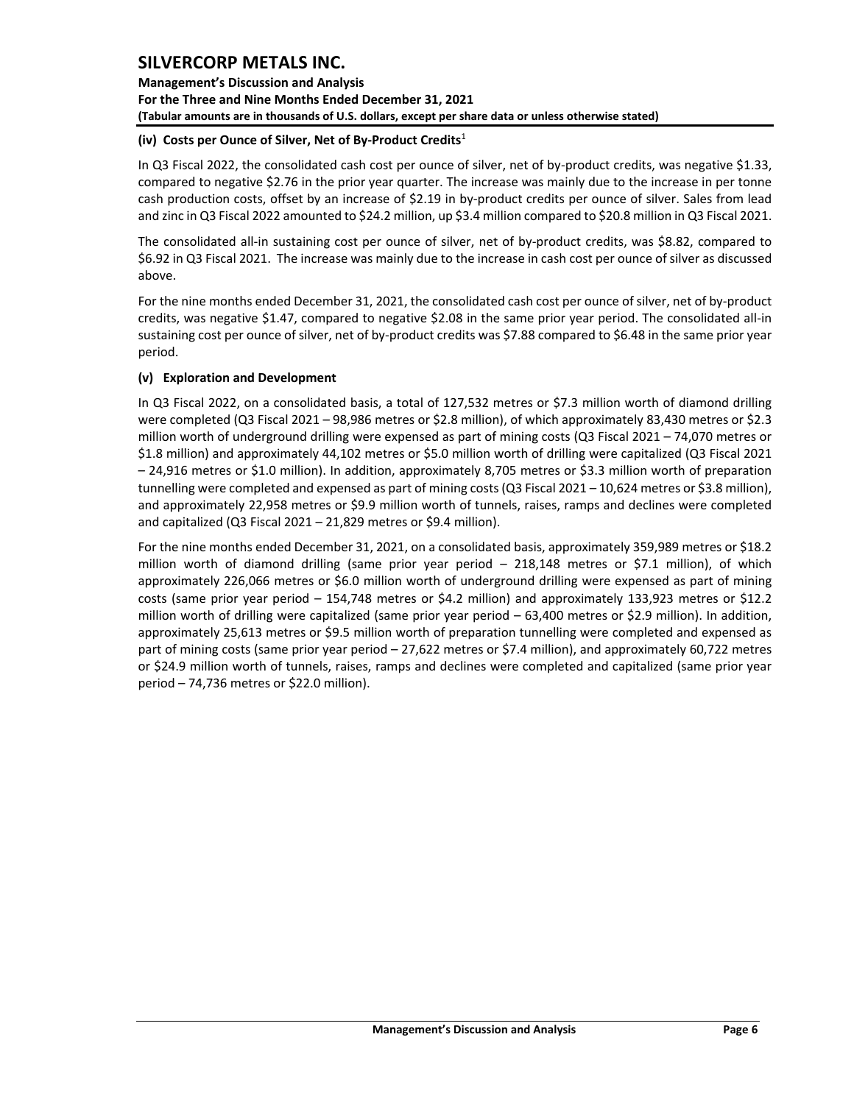**Management's Discussion and Analysis For the Three and Nine Months Ended December 31, 2021 (Tabular amounts are in thousands of U.S. dollars, except per share data or unless otherwise stated)** 

### **(iv) Costs per Ounce of Silver, Net of By-Product Credits**<sup>1</sup>

In Q3 Fiscal 2022, the consolidated cash cost per ounce of silver, net of by-product credits, was negative \$1.33, compared to negative \$2.76 in the prior year quarter. The increase was mainly due to the increase in per tonne cash production costs, offset by an increase of \$2.19 in by-product credits per ounce of silver. Sales from lead and zinc in Q3 Fiscal 2022 amounted to \$24.2 million, up \$3.4 million compared to \$20.8 million in Q3 Fiscal 2021.

The consolidated all-in sustaining cost per ounce of silver, net of by-product credits, was \$8.82, compared to \$6.92 in Q3 Fiscal 2021. The increase was mainly due to the increase in cash cost per ounce of silver as discussed above.

For the nine months ended December 31, 2021, the consolidated cash cost per ounce of silver, net of by-product credits, was negative \$1.47, compared to negative \$2.08 in the same prior year period. The consolidated all-in sustaining cost per ounce of silver, net of by-product credits was \$7.88 compared to \$6.48 in the same prior year period.

### **(v) Exploration and Development**

In Q3 Fiscal 2022, on a consolidated basis, a total of 127,532 metres or \$7.3 million worth of diamond drilling were completed (Q3 Fiscal 2021 – 98,986 metres or \$2.8 million), of which approximately 83,430 metres or \$2.3 million worth of underground drilling were expensed as part of mining costs (Q3 Fiscal 2021 – 74,070 metres or \$1.8 million) and approximately 44,102 metres or \$5.0 million worth of drilling were capitalized (Q3 Fiscal 2021 – 24,916 metres or \$1.0 million). In addition, approximately 8,705 metres or \$3.3 million worth of preparation tunnelling were completed and expensed as part of mining costs (Q3 Fiscal 2021 – 10,624 metres or \$3.8 million), and approximately 22,958 metres or \$9.9 million worth of tunnels, raises, ramps and declines were completed and capitalized (Q3 Fiscal 2021 – 21,829 metres or \$9.4 million).

For the nine months ended December 31, 2021, on a consolidated basis, approximately 359,989 metres or \$18.2 million worth of diamond drilling (same prior year period – 218,148 metres or \$7.1 million), of which approximately 226,066 metres or \$6.0 million worth of underground drilling were expensed as part of mining costs (same prior year period – 154,748 metres or \$4.2 million) and approximately 133,923 metres or \$12.2 million worth of drilling were capitalized (same prior year period – 63,400 metres or \$2.9 million). In addition, approximately 25,613 metres or \$9.5 million worth of preparation tunnelling were completed and expensed as part of mining costs (same prior year period – 27,622 metres or \$7.4 million), and approximately 60,722 metres or \$24.9 million worth of tunnels, raises, ramps and declines were completed and capitalized (same prior year period – 74,736 metres or \$22.0 million).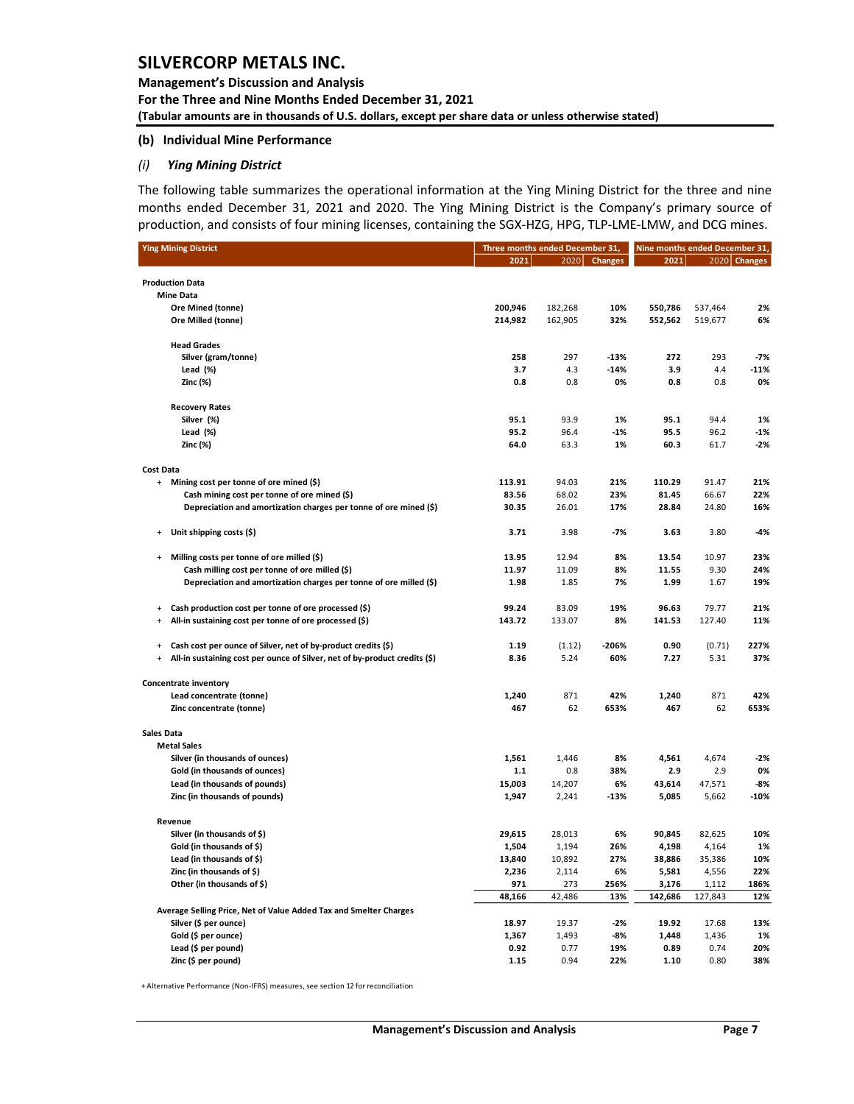## **Management's Discussion and Analysis For the Three and Nine Months Ended December 31, 2021 (Tabular amounts are in thousands of U.S. dollars, except per share data or unless otherwise stated)**

#### **(b) Individual Mine Performance**

#### *(i) Ying Mining District*

The following table summarizes the operational information at the Ying Mining District for the three and nine months ended December 31, 2021 and 2020. The Ying Mining District is the Company's primary source of production, and consists of four mining licenses, containing the SGX-HZG, HPG, TLP-LME-LMW, and DCG mines.

| <b>Ying Mining District</b>                                                     | Three months ended December 31, |              |                | Nine months ended December 31, |              |                |
|---------------------------------------------------------------------------------|---------------------------------|--------------|----------------|--------------------------------|--------------|----------------|
|                                                                                 | 2021                            | 2020         | <b>Changes</b> | 2021                           | 2020         | <b>Changes</b> |
|                                                                                 |                                 |              |                |                                |              |                |
| <b>Production Data</b>                                                          |                                 |              |                |                                |              |                |
| <b>Mine Data</b>                                                                |                                 |              |                |                                |              |                |
| Ore Mined (tonne)                                                               | 200,946                         | 182,268      | 10%            | 550,786                        | 537,464      | 2%             |
| Ore Milled (tonne)                                                              | 214,982                         | 162,905      | 32%            | 552,562                        | 519,677      | 6%             |
| <b>Head Grades</b>                                                              |                                 |              |                |                                |              |                |
| Silver (gram/tonne)                                                             | 258                             | 297          | $-13%$         | 272                            | 293          | $-7%$          |
| Lead (%)                                                                        | 3.7                             | 4.3          | $-14%$         | 3.9                            | 4.4          | -11%           |
| <b>Zinc (%)</b>                                                                 | 0.8                             | 0.8          | 0%             | 0.8                            | 0.8          | 0%             |
|                                                                                 |                                 |              |                |                                |              |                |
| <b>Recovery Rates</b>                                                           |                                 |              |                |                                |              |                |
| Silver (%)                                                                      | 95.1<br>95.2                    | 93.9         | 1%             | 95.1<br>95.5                   | 94.4         | 1%             |
| Lead (%)<br>Zinc (%)                                                            | 64.0                            | 96.4<br>63.3 | -1%<br>1%      | 60.3                           | 96.2<br>61.7 | $-1%$<br>$-2%$ |
|                                                                                 |                                 |              |                |                                |              |                |
| <b>Cost Data</b>                                                                |                                 |              |                |                                |              |                |
| + Mining cost per tonne of ore mined (\$)                                       | 113.91                          | 94.03        | 21%            | 110.29                         | 91.47        | 21%            |
| Cash mining cost per tonne of ore mined (\$)                                    | 83.56                           | 68.02        | 23%            | 81.45                          | 66.67        | 22%            |
| Depreciation and amortization charges per tonne of ore mined (\$)               | 30.35                           | 26.01        | 17%            | 28.84                          | 24.80        | 16%            |
|                                                                                 | 3.71                            |              | -7%            |                                |              | -4%            |
| Unit shipping costs (\$)<br>÷                                                   |                                 | 3.98         |                | 3.63                           | 3.80         |                |
| Milling costs per tonne of ore milled (\$)<br>$\ddot{}$                         | 13.95                           | 12.94        | 8%             | 13.54                          | 10.97        | 23%            |
| Cash milling cost per tonne of ore milled (\$)                                  | 11.97                           | 11.09        | 8%             | 11.55                          | 9.30         | 24%            |
| Depreciation and amortization charges per tonne of ore milled (\$)              | 1.98                            | 1.85         | 7%             | 1.99                           | 1.67         | 19%            |
|                                                                                 |                                 |              |                |                                |              |                |
| Cash production cost per tonne of ore processed (\$)<br>$\ddot{}$               | 99.24                           | 83.09        | 19%            | 96.63                          | 79.77        | 21%            |
| All-in sustaining cost per tonne of ore processed (\$)<br>+                     | 143.72                          | 133.07       | 8%             | 141.53                         | 127.40       | 11%            |
| Cash cost per ounce of Silver, net of by-product credits (\$)<br>$\ddot{}$      | 1.19                            | (1.12)       | -206%          | 0.90                           | (0.71)       | 227%           |
| All-in sustaining cost per ounce of Silver, net of by-product credits (\$)<br>+ | 8.36                            | 5.24         | 60%            | 7.27                           | 5.31         | 37%            |
|                                                                                 |                                 |              |                |                                |              |                |
| <b>Concentrate inventory</b>                                                    |                                 |              |                |                                |              |                |
| Lead concentrate (tonne)                                                        | 1,240                           | 871          | 42%            | 1,240                          | 871          | 42%            |
| Zinc concentrate (tonne)                                                        | 467                             | 62           | 653%           | 467                            | 62           | 653%           |
| Sales Data                                                                      |                                 |              |                |                                |              |                |
| <b>Metal Sales</b>                                                              |                                 |              |                |                                |              |                |
| Silver (in thousands of ounces)                                                 | 1,561                           | 1,446        | 8%             | 4,561                          | 4,674        | $-2%$          |
| Gold (in thousands of ounces)                                                   | 1.1                             | 0.8          | 38%            | 2.9                            | 2.9          | 0%             |
| Lead (in thousands of pounds)                                                   | 15,003                          | 14,207       | 6%             | 43,614                         | 47,571       | -8%            |
| Zinc (in thousands of pounds)                                                   | 1,947                           | 2,241        | -13%           | 5,085                          | 5,662        | $-10%$         |
| Revenue                                                                         |                                 |              |                |                                |              |                |
| Silver (in thousands of \$)                                                     | 29,615                          | 28,013       | 6%             | 90,845                         | 82,625       | 10%            |
| Gold (in thousands of \$)                                                       | 1,504                           | 1,194        | 26%            | 4,198                          | 4,164        | 1%             |
| Lead (in thousands of $\zeta$ )                                                 | 13,840                          | 10,892       | 27%            | 38,886                         | 35,386       | 10%            |
| Zinc (in thousands of \$)                                                       | 2,236                           | 2,114        | 6%             | 5,581                          | 4,556        | 22%            |
| Other (in thousands of \$)                                                      | 971                             | 273          | 256%           | 3,176                          | 1,112        | 186%           |
|                                                                                 | 48,166                          | 42,486       | 13%            | 142,686                        | 127,843      | 12%            |
| Average Selling Price, Net of Value Added Tax and Smelter Charges               |                                 |              |                |                                |              |                |
| Silver (\$ per ounce)                                                           | 18.97                           | 19.37        | -2%            | 19.92                          | 17.68        | 13%            |
| Gold (\$ per ounce)                                                             | 1,367                           | 1,493        | -8%            | 1,448                          | 1,436        | 1%             |
| Lead (\$ per pound)                                                             | 0.92                            | 0.77         | 19%            | 0.89                           | 0.74         | 20%            |
| Zinc (\$ per pound)                                                             | 1.15                            | 0.94         | 22%            | 1.10                           | 0.80         | 38%            |

+ Alternative Performance (Non-IFRS) measures, see section 12 for reconciliation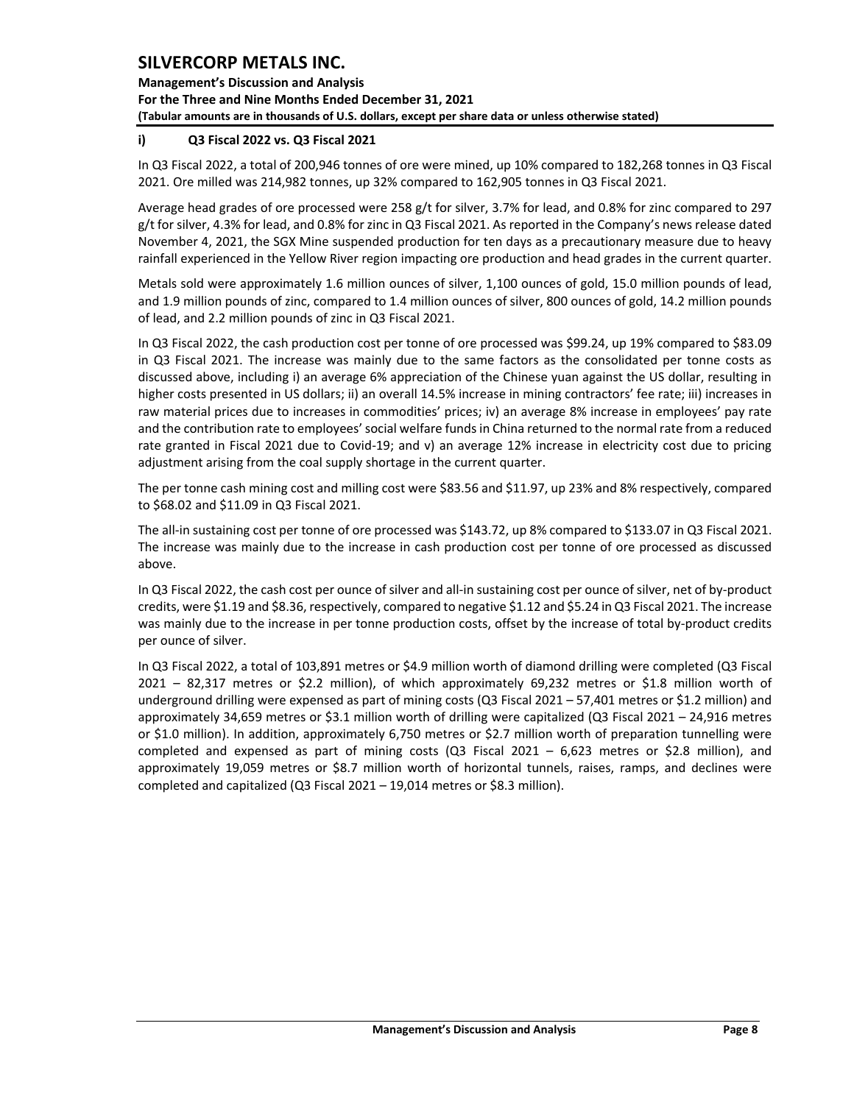**Management's Discussion and Analysis For the Three and Nine Months Ended December 31, 2021 (Tabular amounts are in thousands of U.S. dollars, except per share data or unless otherwise stated)** 

## **i) Q3 Fiscal 2022 vs. Q3 Fiscal 2021**

In Q3 Fiscal 2022, a total of 200,946 tonnes of ore were mined, up 10% compared to 182,268 tonnes in Q3 Fiscal 2021. Ore milled was 214,982 tonnes, up 32% compared to 162,905 tonnes in Q3 Fiscal 2021.

Average head grades of ore processed were 258 g/t for silver, 3.7% for lead, and 0.8% for zinc compared to 297 g/t for silver, 4.3% for lead, and 0.8% for zinc in Q3 Fiscal 2021. As reported in the Company's news release dated November 4, 2021, the SGX Mine suspended production for ten days as a precautionary measure due to heavy rainfall experienced in the Yellow River region impacting ore production and head grades in the current quarter.

Metals sold were approximately 1.6 million ounces of silver, 1,100 ounces of gold, 15.0 million pounds of lead, and 1.9 million pounds of zinc, compared to 1.4 million ounces of silver, 800 ounces of gold, 14.2 million pounds of lead, and 2.2 million pounds of zinc in Q3 Fiscal 2021.

In Q3 Fiscal 2022, the cash production cost per tonne of ore processed was \$99.24, up 19% compared to \$83.09 in Q3 Fiscal 2021. The increase was mainly due to the same factors as the consolidated per tonne costs as discussed above, including i) an average 6% appreciation of the Chinese yuan against the US dollar, resulting in higher costs presented in US dollars; ii) an overall 14.5% increase in mining contractors' fee rate; iii) increases in raw material prices due to increases in commodities' prices; iv) an average 8% increase in employees' pay rate and the contribution rate to employees' social welfare funds in China returned to the normal rate from a reduced rate granted in Fiscal 2021 due to Covid-19; and v) an average 12% increase in electricity cost due to pricing adjustment arising from the coal supply shortage in the current quarter.

The per tonne cash mining cost and milling cost were \$83.56 and \$11.97, up 23% and 8% respectively, compared to \$68.02 and \$11.09 in Q3 Fiscal 2021.

The all-in sustaining cost per tonne of ore processed was \$143.72, up 8% compared to \$133.07 in Q3 Fiscal 2021. The increase was mainly due to the increase in cash production cost per tonne of ore processed as discussed above.

In Q3 Fiscal 2022, the cash cost per ounce of silver and all-in sustaining cost per ounce of silver, net of by-product credits, were \$1.19 and \$8.36, respectively, compared to negative \$1.12 and \$5.24 in Q3 Fiscal 2021. The increase was mainly due to the increase in per tonne production costs, offset by the increase of total by-product credits per ounce of silver.

In Q3 Fiscal 2022, a total of 103,891 metres or \$4.9 million worth of diamond drilling were completed (Q3 Fiscal 2021 – 82,317 metres or \$2.2 million), of which approximately 69,232 metres or \$1.8 million worth of underground drilling were expensed as part of mining costs (Q3 Fiscal 2021 – 57,401 metres or \$1.2 million) and approximately 34,659 metres or \$3.1 million worth of drilling were capitalized (Q3 Fiscal 2021 – 24,916 metres or \$1.0 million). In addition, approximately 6,750 metres or \$2.7 million worth of preparation tunnelling were completed and expensed as part of mining costs (Q3 Fiscal 2021 – 6,623 metres or \$2.8 million), and approximately 19,059 metres or \$8.7 million worth of horizontal tunnels, raises, ramps, and declines were completed and capitalized (Q3 Fiscal 2021 – 19,014 metres or \$8.3 million).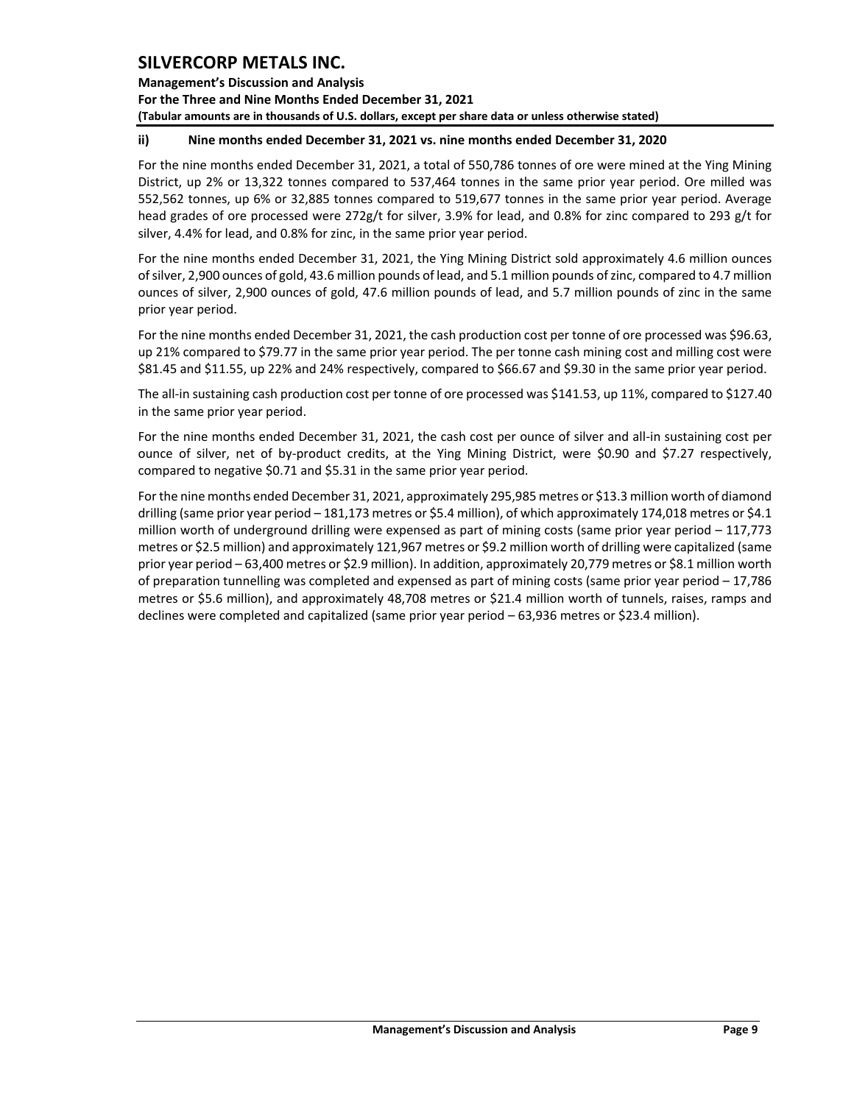**Management's Discussion and Analysis For the Three and Nine Months Ended December 31, 2021 (Tabular amounts are in thousands of U.S. dollars, except per share data or unless otherwise stated)** 

### **ii) Nine months ended December 31, 2021 vs. nine months ended December 31, 2020**

For the nine months ended December 31, 2021, a total of 550,786 tonnes of ore were mined at the Ying Mining District, up 2% or 13,322 tonnes compared to 537,464 tonnes in the same prior year period. Ore milled was 552,562 tonnes, up 6% or 32,885 tonnes compared to 519,677 tonnes in the same prior year period. Average head grades of ore processed were 272g/t for silver, 3.9% for lead, and 0.8% for zinc compared to 293 g/t for silver, 4.4% for lead, and 0.8% for zinc, in the same prior year period.

For the nine months ended December 31, 2021, the Ying Mining District sold approximately 4.6 million ounces of silver, 2,900 ounces of gold, 43.6 million pounds of lead, and 5.1 million pounds of zinc, compared to 4.7 million ounces of silver, 2,900 ounces of gold, 47.6 million pounds of lead, and 5.7 million pounds of zinc in the same prior year period.

For the nine months ended December 31, 2021, the cash production cost per tonne of ore processed was \$96.63, up 21% compared to \$79.77 in the same prior year period. The per tonne cash mining cost and milling cost were \$81.45 and \$11.55, up 22% and 24% respectively, compared to \$66.67 and \$9.30 in the same prior year period.

The all-in sustaining cash production cost per tonne of ore processed was \$141.53, up 11%, compared to \$127.40 in the same prior year period.

For the nine months ended December 31, 2021, the cash cost per ounce of silver and all-in sustaining cost per ounce of silver, net of by-product credits, at the Ying Mining District, were \$0.90 and \$7.27 respectively, compared to negative \$0.71 and \$5.31 in the same prior year period.

For the nine months ended December 31, 2021, approximately 295,985 metres or \$13.3 million worth of diamond drilling (same prior year period – 181,173 metres or \$5.4 million), of which approximately 174,018 metres or \$4.1 million worth of underground drilling were expensed as part of mining costs (same prior year period – 117,773 metres or \$2.5 million) and approximately 121,967 metres or \$9.2 million worth of drilling were capitalized (same prior year period – 63,400 metres or \$2.9 million). In addition, approximately 20,779 metres or \$8.1 million worth of preparation tunnelling was completed and expensed as part of mining costs (same prior year period – 17,786 metres or \$5.6 million), and approximately 48,708 metres or \$21.4 million worth of tunnels, raises, ramps and declines were completed and capitalized (same prior year period – 63,936 metres or \$23.4 million).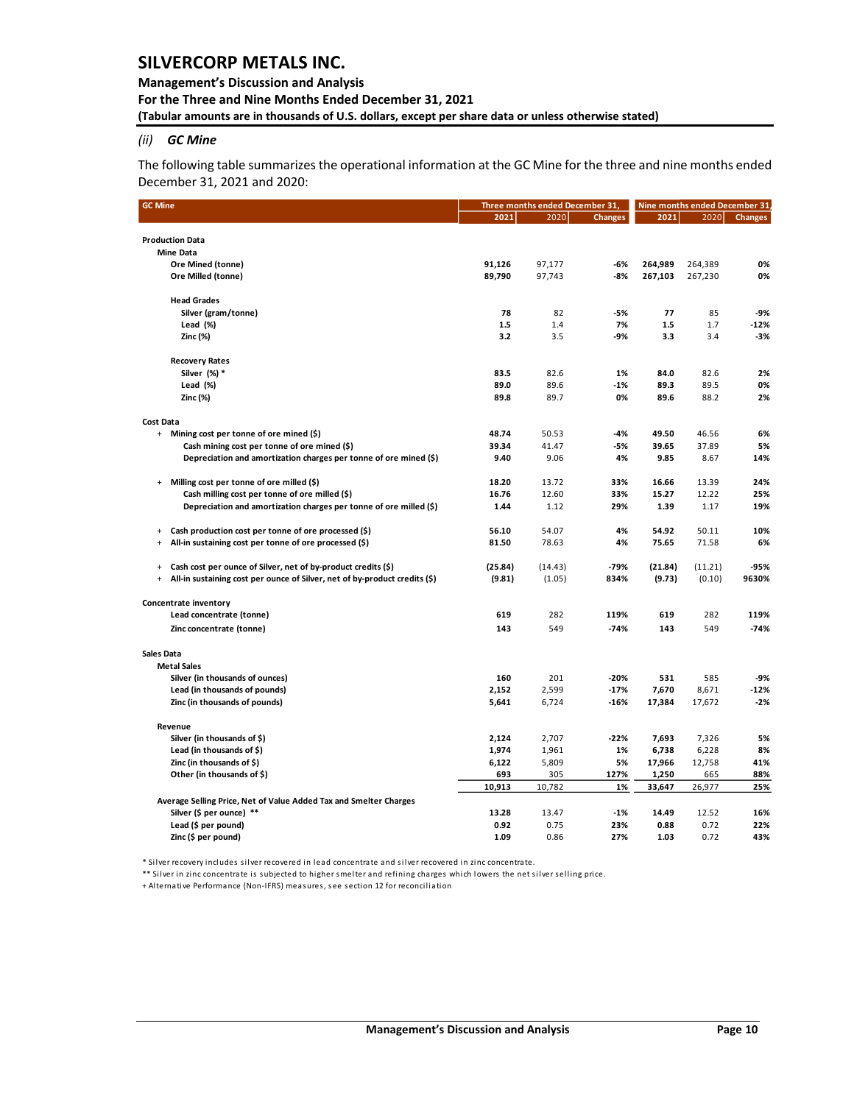#### **Management's Discussion and Analysis**

**For the Three and Nine Months Ended December 31, 2021**

**(Tabular amounts are in thousands of U.S. dollars, except per share data or unless otherwise stated)** 

## *(ii) GC Mine*

The following table summarizes the operational information at the GC Mine for the three and nine months ended December 31, 2021 and 2020:

| <b>GC Mine</b>                                                                             |         | Three months ended December 31, |                |         | Nine months ended December 31 |                |
|--------------------------------------------------------------------------------------------|---------|---------------------------------|----------------|---------|-------------------------------|----------------|
|                                                                                            | 2021    | 2020                            | <b>Changes</b> | 2021    | 2020                          | <b>Changes</b> |
|                                                                                            |         |                                 |                |         |                               |                |
| <b>Production Data</b><br><b>Mine Data</b>                                                 |         |                                 |                |         |                               |                |
|                                                                                            |         |                                 |                |         |                               |                |
| Ore Mined (tonne)                                                                          | 91,126  | 97,177                          | -6%            | 264,989 | 264,389                       | 0%             |
| Ore Milled (tonne)                                                                         | 89,790  | 97,743                          | -8%            | 267,103 | 267,230                       | 0%             |
| <b>Head Grades</b>                                                                         |         |                                 |                |         |                               |                |
| Silver (gram/tonne)                                                                        | 78      | 82                              | -5%            | 77      | 85                            | $-9%$          |
| Lead (%)                                                                                   | 1.5     | 1.4                             | 7%             | 1.5     | 1.7                           | -12%           |
| Zinc (%)                                                                                   | 3.2     | 3.5                             | -9%            | 3.3     | 3.4                           | $-3%$          |
| <b>Recovery Rates</b>                                                                      |         |                                 |                |         |                               |                |
| Silver (%) *                                                                               | 83.5    | 82.6                            | 1%             | 84.0    | 82.6                          | 2%             |
| Lead (%)                                                                                   | 89.0    | 89.6                            | $-1%$          | 89.3    | 89.5                          | 0%             |
| Zinc (%)                                                                                   | 89.8    | 89.7                            | 0%             | 89.6    | 88.2                          | 2%             |
| <b>Cost Data</b>                                                                           |         |                                 |                |         |                               |                |
| Mining cost per tonne of ore mined $(\xi)$<br>$\ddot{}$                                    | 48.74   | 50.53                           | -4%            | 49.50   | 46.56                         | 6%             |
| Cash mining cost per tonne of ore mined (\$)                                               | 39.34   | 41.47                           | $-5%$          | 39.65   | 37.89                         | 5%             |
| Depreciation and amortization charges per tonne of ore mined (\$)                          | 9.40    | 9.06                            | 4%             | 9.85    | 8.67                          | 14%            |
| Milling cost per tonne of ore milled (\$)<br>$\ddot{}$                                     | 18.20   | 13.72                           | 33%            | 16.66   | 13.39                         | 24%            |
| Cash milling cost per tonne of ore milled (\$)                                             | 16.76   | 12.60                           | 33%            | 15.27   | 12.22                         | 25%            |
| Depreciation and amortization charges per tonne of ore milled (\$)                         | 1.44    | 1.12                            | 29%            | 1.39    | 1.17                          | 19%            |
| Cash production cost per tonne of ore processed (\$)<br>$\ddot{}$                          | 56.10   | 54.07                           | 4%             | 54.92   | 50.11                         | 10%            |
| All-in sustaining cost per tonne of ore processed (\$)<br>$\begin{array}{c} + \end{array}$ | 81.50   | 78.63                           | 4%             | 75.65   | 71.58                         | 6%             |
| Cash cost per ounce of Silver, net of by-product credits (\$)<br>$\ddot{}$                 | (25.84) | (14.43)                         | -79%           | (21.84) | (11.21)                       | $-95%$         |
| All-in sustaining cost per ounce of Silver, net of by-product credits (\$)<br>$\ddot{}$    | (9.81)  | (1.05)                          | 834%           | (9.73)  | (0.10)                        | 9630%          |
| Concentrate inventory                                                                      |         |                                 |                |         |                               |                |
| Lead concentrate (tonne)                                                                   | 619     | 282                             | 119%           | 619     | 282                           | 119%           |
| Zinc concentrate (tonne)                                                                   | 143     | 549                             | $-74%$         | 143     | 549                           | $-74%$         |
| <b>Sales Data</b>                                                                          |         |                                 |                |         |                               |                |
| <b>Metal Sales</b>                                                                         |         |                                 |                |         |                               |                |
| Silver (in thousands of ounces)                                                            | 160     | 201                             | $-20%$         | 531     | 585                           | $-9%$          |
| Lead (in thousands of pounds)                                                              | 2,152   | 2,599                           | $-17%$         | 7,670   | 8,671                         | -12%           |
| Zinc (in thousands of pounds)                                                              | 5,641   | 6,724                           | -16%           | 17,384  | 17,672                        | $-2%$          |
| Revenue                                                                                    |         |                                 |                |         |                               |                |
| Silver (in thousands of \$)                                                                | 2,124   | 2,707                           | $-22%$         | 7,693   | 7,326                         | 5%             |
| Lead (in thousands of $\zeta$ )                                                            | 1,974   | 1,961                           | 1%             | 6,738   | 6,228                         | 8%             |
| Zinc (in thousands of \$)                                                                  | 6,122   | 5,809                           | 5%             | 17,966  | 12,758                        | 41%            |
| Other (in thousands of \$)                                                                 | 693     | 305                             | 127%           | 1,250   | 665                           | 88%            |
|                                                                                            | 10,913  | 10,782                          | 1%             | 33,647  | 26,977                        | 25%            |
| Average Selling Price, Net of Value Added Tax and Smelter Charges                          |         |                                 |                |         |                               |                |
| Silver (\$ per ounce) **                                                                   | 13.28   | 13.47                           | -1%            | 14.49   | 12.52                         | 16%            |
| Lead (\$ per pound)                                                                        | 0.92    | 0.75                            | 23%            | 0.88    | 0.72                          | 22%            |
| Zinc (\$ per pound)                                                                        | 1.09    | 0.86                            | 27%            | 1.03    | 0.72                          | 43%            |

\* Silver recovery includes silver recovered in lead concentrate and silver recovered in zinc concentrate.

\*\* Silver in zinc concentrate is subjected to higher smelter and refining charges which lowers the net silver selling price.

+ Alternative Performance (Non-IFRS) measures, see section 12 for reconciliation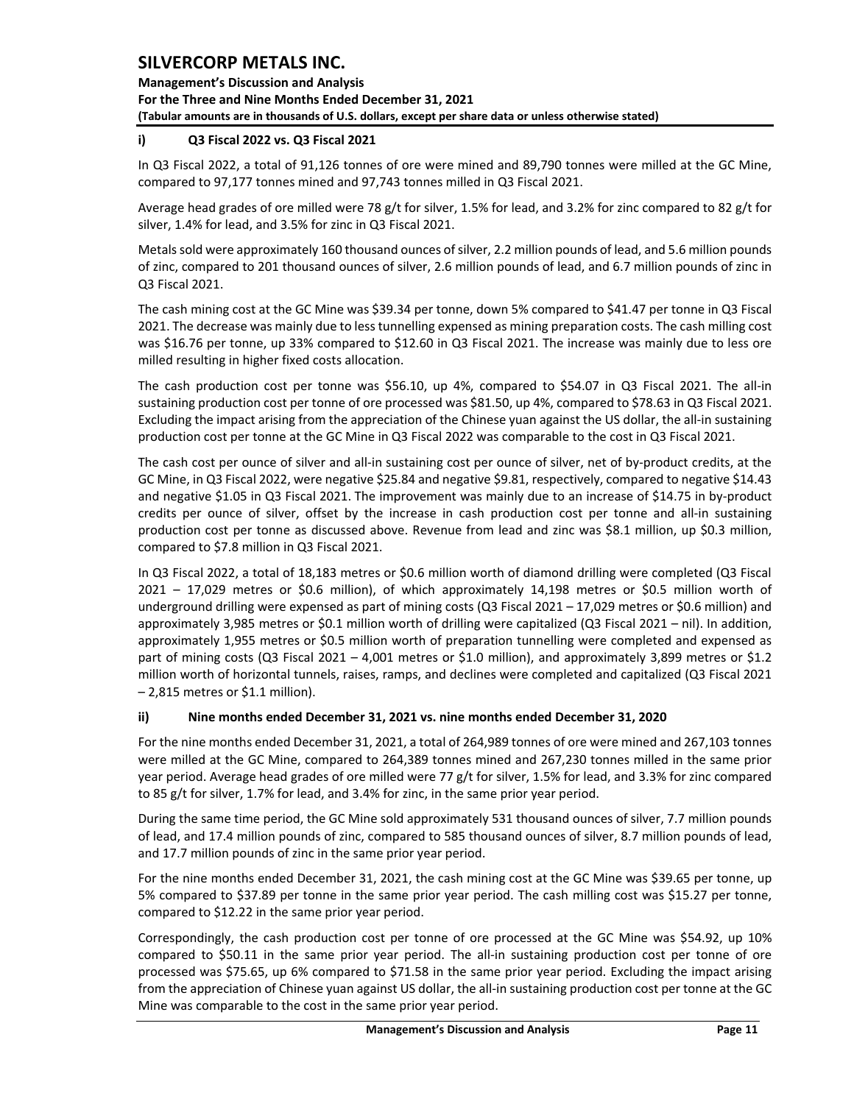**Management's Discussion and Analysis For the Three and Nine Months Ended December 31, 2021 (Tabular amounts are in thousands of U.S. dollars, except per share data or unless otherwise stated)** 

## **i) Q3 Fiscal 2022 vs. Q3 Fiscal 2021**

In Q3 Fiscal 2022, a total of 91,126 tonnes of ore were mined and 89,790 tonnes were milled at the GC Mine, compared to 97,177 tonnes mined and 97,743 tonnes milled in Q3 Fiscal 2021.

Average head grades of ore milled were 78 g/t for silver, 1.5% for lead, and 3.2% for zinc compared to 82 g/t for silver, 1.4% for lead, and 3.5% for zinc in Q3 Fiscal 2021.

Metals sold were approximately 160 thousand ounces of silver, 2.2 million pounds of lead, and 5.6 million pounds of zinc, compared to 201 thousand ounces of silver, 2.6 million pounds of lead, and 6.7 million pounds of zinc in Q3 Fiscal 2021.

The cash mining cost at the GC Mine was \$39.34 per tonne, down 5% compared to \$41.47 per tonne in Q3 Fiscal 2021. The decrease was mainly due to lesstunnelling expensed as mining preparation costs. The cash milling cost was \$16.76 per tonne, up 33% compared to \$12.60 in Q3 Fiscal 2021. The increase was mainly due to less ore milled resulting in higher fixed costs allocation.

The cash production cost per tonne was \$56.10, up 4%, compared to \$54.07 in Q3 Fiscal 2021. The all-in sustaining production cost per tonne of ore processed was \$81.50, up 4%, compared to \$78.63 in Q3 Fiscal 2021. Excluding the impact arising from the appreciation of the Chinese yuan against the US dollar, the all-in sustaining production cost per tonne at the GC Mine in Q3 Fiscal 2022 was comparable to the cost in Q3 Fiscal 2021.

The cash cost per ounce of silver and all-in sustaining cost per ounce of silver, net of by‐product credits, at the GC Mine, in Q3 Fiscal 2022, were negative \$25.84 and negative \$9.81, respectively, compared to negative \$14.43 and negative \$1.05 in Q3 Fiscal 2021. The improvement was mainly due to an increase of \$14.75 in by-product credits per ounce of silver, offset by the increase in cash production cost per tonne and all-in sustaining production cost per tonne as discussed above. Revenue from lead and zinc was \$8.1 million, up \$0.3 million, compared to \$7.8 million in Q3 Fiscal 2021.

In Q3 Fiscal 2022, a total of 18,183 metres or \$0.6 million worth of diamond drilling were completed (Q3 Fiscal 2021 – 17,029 metres or \$0.6 million), of which approximately 14,198 metres or \$0.5 million worth of underground drilling were expensed as part of mining costs (Q3 Fiscal 2021 – 17,029 metres or \$0.6 million) and approximately 3,985 metres or \$0.1 million worth of drilling were capitalized (Q3 Fiscal 2021 – nil). In addition, approximately 1,955 metres or \$0.5 million worth of preparation tunnelling were completed and expensed as part of mining costs (Q3 Fiscal 2021 – 4,001 metres or \$1.0 million), and approximately 3,899 metres or \$1.2 million worth of horizontal tunnels, raises, ramps, and declines were completed and capitalized (Q3 Fiscal 2021 – 2,815 metres or \$1.1 million).

#### **ii) Nine months ended December 31, 2021 vs. nine months ended December 31, 2020**

For the nine months ended December 31, 2021, a total of 264,989 tonnes of ore were mined and 267,103 tonnes were milled at the GC Mine, compared to 264,389 tonnes mined and 267,230 tonnes milled in the same prior year period. Average head grades of ore milled were 77 g/t for silver, 1.5% for lead, and 3.3% for zinc compared to 85 g/t for silver, 1.7% for lead, and 3.4% for zinc, in the same prior year period.

During the same time period, the GC Mine sold approximately 531 thousand ounces of silver, 7.7 million pounds of lead, and 17.4 million pounds of zinc, compared to 585 thousand ounces of silver, 8.7 million pounds of lead, and 17.7 million pounds of zinc in the same prior year period.

For the nine months ended December 31, 2021, the cash mining cost at the GC Mine was \$39.65 per tonne, up 5% compared to \$37.89 per tonne in the same prior year period. The cash milling cost was \$15.27 per tonne, compared to \$12.22 in the same prior year period.

Correspondingly, the cash production cost per tonne of ore processed at the GC Mine was \$54.92, up 10% compared to \$50.11 in the same prior year period. The all-in sustaining production cost per tonne of ore processed was \$75.65, up 6% compared to \$71.58 in the same prior year period. Excluding the impact arising from the appreciation of Chinese yuan against US dollar, the all-in sustaining production cost per tonne at the GC Mine was comparable to the cost in the same prior year period.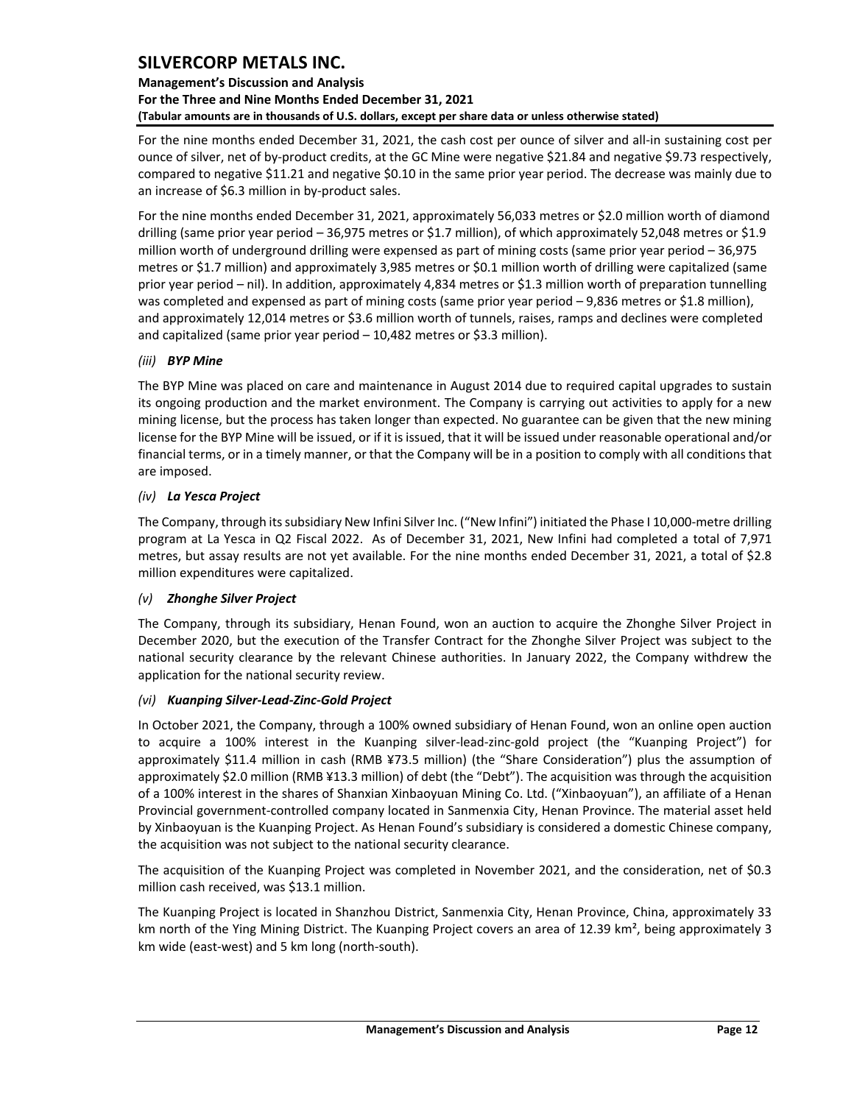## **Management's Discussion and Analysis For the Three and Nine Months Ended December 31, 2021 (Tabular amounts are in thousands of U.S. dollars, except per share data or unless otherwise stated)**

For the nine months ended December 31, 2021, the cash cost per ounce of silver and all-in sustaining cost per ounce of silver, net of by‐product credits, at the GC Mine were negative \$21.84 and negative \$9.73 respectively, compared to negative \$11.21 and negative \$0.10 in the same prior year period. The decrease was mainly due to an increase of \$6.3 million in by-product sales.

For the nine months ended December 31, 2021, approximately 56,033 metres or \$2.0 million worth of diamond drilling (same prior year period – 36,975 metres or \$1.7 million), of which approximately 52,048 metres or \$1.9 million worth of underground drilling were expensed as part of mining costs (same prior year period – 36,975 metres or \$1.7 million) and approximately 3,985 metres or \$0.1 million worth of drilling were capitalized (same prior year period – nil). In addition, approximately 4,834 metres or \$1.3 million worth of preparation tunnelling was completed and expensed as part of mining costs (same prior year period – 9,836 metres or \$1.8 million), and approximately 12,014 metres or \$3.6 million worth of tunnels, raises, ramps and declines were completed and capitalized (same prior year period – 10,482 metres or \$3.3 million).

### *(iii) BYP Mine*

The BYP Mine was placed on care and maintenance in August 2014 due to required capital upgrades to sustain its ongoing production and the market environment. The Company is carrying out activities to apply for a new mining license, but the process has taken longer than expected. No guarantee can be given that the new mining license for the BYP Mine will be issued, or if it is issued, that it will be issued under reasonable operational and/or financial terms, or in a timely manner, or that the Company will be in a position to comply with all conditions that are imposed.

### *(iv) La Yesca Project*

The Company, through its subsidiary New Infini Silver Inc. ("New Infini") initiated the Phase I 10,000-metre drilling program at La Yesca in Q2 Fiscal 2022. As of December 31, 2021, New Infini had completed a total of 7,971 metres, but assay results are not yet available. For the nine months ended December 31, 2021, a total of \$2.8 million expenditures were capitalized.

#### *(v) Zhonghe Silver Project*

The Company, through its subsidiary, Henan Found, won an auction to acquire the Zhonghe Silver Project in December 2020, but the execution of the Transfer Contract for the Zhonghe Silver Project was subject to the national security clearance by the relevant Chinese authorities. In January 2022, the Company withdrew the application for the national security review.

#### *(vi) Kuanping Silver-Lead-Zinc-Gold Project*

In October 2021, the Company, through a 100% owned subsidiary of Henan Found, won an online open auction to acquire a 100% interest in the Kuanping silver-lead-zinc-gold project (the "Kuanping Project") for approximately \$11.4 million in cash (RMB ¥73.5 million) (the "Share Consideration") plus the assumption of approximately \$2.0 million (RMB ¥13.3 million) of debt (the "Debt"). The acquisition was through the acquisition of a 100% interest in the shares of Shanxian Xinbaoyuan Mining Co. Ltd. ("Xinbaoyuan"), an affiliate of a Henan Provincial government-controlled company located in Sanmenxia City, Henan Province. The material asset held by Xinbaoyuan is the Kuanping Project. As Henan Found's subsidiary is considered a domestic Chinese company, the acquisition was not subject to the national security clearance.

The acquisition of the Kuanping Project was completed in November 2021, and the consideration, net of \$0.3 million cash received, was \$13.1 million.

The Kuanping Project is located in Shanzhou District, Sanmenxia City, Henan Province, China, approximately 33 km north of the Ying Mining District. The Kuanping Project covers an area of 12.39 km<sup>2</sup>, being approximately 3 km wide (east-west) and 5 km long (north-south).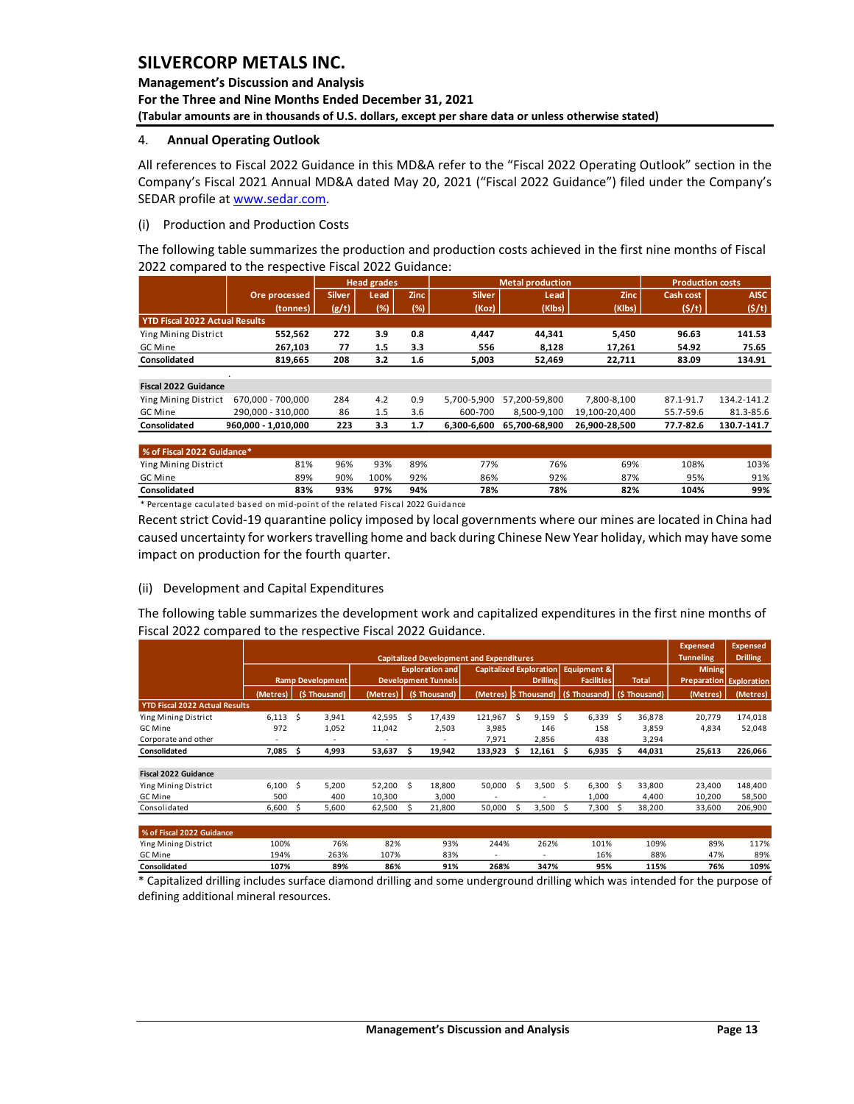### **Management's Discussion and Analysis For the Three and Nine Months Ended December 31, 2021 (Tabular amounts are in thousands of U.S. dollars, except per share data or unless otherwise stated)**

#### <span id="page-13-0"></span>4. **Annual Operating Outlook**

All references to Fiscal 2022 Guidance in this MD&A refer to the "Fiscal 2022 Operating Outlook" section in the Company's Fiscal 2021 Annual MD&A dated May 20, 2021 ("Fiscal 2022 Guidance") filed under the Company's SEDAR profile a[t www.sedar.com.](http://www.sedar.com/)

#### (i) Production and Production Costs

The following table summarizes the production and production costs achieved in the first nine months of Fiscal 2022 compared to the respective Fiscal 2022 Guidance:

|                                       |                     |               | <b>Head grades</b> |             |               | <b>Metal production</b> |               | <b>Production costs</b> |             |
|---------------------------------------|---------------------|---------------|--------------------|-------------|---------------|-------------------------|---------------|-------------------------|-------------|
|                                       | Ore processed       | <b>Silver</b> | Lead               | <b>Zinc</b> | <b>Silver</b> | Lead                    | <b>Zinc</b>   | <b>Cash cost</b>        | <b>AISC</b> |
|                                       | (tonnes)            | (g/t)         | $(\%)$             | (%)         | (Koz)         | (Klbs)                  | (Klbs)        | (S/t)                   | (5/t)       |
| <b>YTD Fiscal 2022 Actual Results</b> |                     |               |                    |             |               |                         |               |                         |             |
| Ying Mining District                  | 552,562             | 272           | 3.9                | 0.8         | 4,447         | 44.341                  | 5,450         | 96.63                   | 141.53      |
| GC Mine                               | 267,103             | 77            | 1.5                | 3.3         | 556           | 8,128                   | 17,261        | 54.92                   | 75.65       |
| Consolidated                          | 819.665             | 208           | 3.2                | 1.6         | 5,003         | 52,469                  | 22,711        | 83.09                   | 134.91      |
|                                       |                     |               |                    |             |               |                         |               |                         |             |
| <b>Fiscal 2022 Guidance</b>           |                     |               |                    |             |               |                         |               |                         |             |
| Ying Mining District                  | 670.000 - 700.000   | 284           | 4.2                | 0.9         | 5.700-5.900   | 57.200-59.800           | 7.800-8.100   | 87.1-91.7               | 134.2-141.2 |
| GC Mine                               | 290.000 - 310.000   | 86            | 1.5                | 3.6         | 600-700       | 8.500-9.100             | 19.100-20.400 | 55.7-59.6               | 81.3-85.6   |
| Consolidated                          | 960,000 - 1,010,000 | 223           | 3.3                | 1.7         | 6.300-6.600   | 65.700-68.900           | 26.900-28.500 | 77.7-82.6               | 130.7-141.7 |
|                                       |                     |               |                    |             |               |                         |               |                         |             |

| % of Fiscal 2022 Guidance* |     |     |      |     |     |     |     |      |      |  |  |  |  |  |
|----------------------------|-----|-----|------|-----|-----|-----|-----|------|------|--|--|--|--|--|
| Ying Mining District       | 81% | 96% | 93%  | 89% | 77% | 76% | 69% | 108% | 103% |  |  |  |  |  |
| GC Mine                    | 89% | 90% | 100% | 92% | 86% | 92% | 87% | 95%  | 91%  |  |  |  |  |  |
| Consolidated               | 83% | 93% | 97%  | 94% | 78% | 78% | 82% | 104% | 99%  |  |  |  |  |  |
|                            |     |     |      |     |     |     |     |      |      |  |  |  |  |  |

\* Percentage caculated based on mid-point of the related Fiscal 2022 Guidance

Recent strict Covid-19 quarantine policy imposed by local governments where our mines are located in China had caused uncertainty for workers travelling home and back during Chinese New Year holiday, which may have some impact on production for the fourth quarter.

#### (ii) Development and Capital Expenditures

The following table summarizes the development work and capitalized expenditures in the first nine months of Fiscal 2022 compared to the respective Fiscal 2022 Guidance.

|                                       |            |   |                         |          |                            |                                                 |                          |                 |                                |    |                        |              |              | <b>Expensed</b>                | <b>Expensed</b> |
|---------------------------------------|------------|---|-------------------------|----------|----------------------------|-------------------------------------------------|--------------------------|-----------------|--------------------------------|----|------------------------|--------------|--------------|--------------------------------|-----------------|
|                                       |            |   |                         |          |                            | <b>Capitalized Development and Expenditures</b> |                          |                 |                                |    |                        |              |              | <b>Tunneling</b>               | <b>Drilling</b> |
|                                       |            |   |                         |          |                            | <b>Exploration and</b>                          |                          |                 | <b>Capitalized Exploration</b> |    | <b>Equipment &amp;</b> |              |              | <b>Mining</b>                  |                 |
|                                       |            |   | <b>Ramp Development</b> |          | <b>Development Tunnels</b> |                                                 |                          | <b>Drilling</b> |                                |    | <b>Facilities</b>      | <b>Total</b> |              | <b>Preparation Exploration</b> |                 |
|                                       | (Metres)   |   | (\$Thousand)            | (Metres) |                            | (\$Thousand)                                    |                          |                 | (Metres) S Thousand)           |    | (\$Thousand)           |              | (\$Thousand) | (Metres)                       | (Metres)        |
| <b>YTD Fiscal 2022 Actual Results</b> |            |   |                         |          |                            |                                                 |                          |                 |                                |    |                        |              |              |                                |                 |
| Ying Mining District                  | $6,113$ \$ |   | 3,941                   | 42,595   | Ŝ.                         | 17,439                                          | 121,967                  | Ŝ.              | 9,159                          | Ŝ. | 6,339                  | - \$         | 36,878       | 20,779                         | 174,018         |
| GC Mine                               | 972        |   | 1,052                   | 11,042   |                            | 2,503                                           | 3,985                    |                 | 146                            |    | 158                    |              | 3,859        | 4,834                          | 52,048          |
| Corporate and other                   | ٠          |   | ٠                       |          |                            | ÷                                               | 7,971                    |                 | 2,856                          |    | 438                    |              | 3,294        |                                |                 |
| Consolidated                          | 7,085      | s | 4,993                   | 53,637   | s                          | 19,942                                          | 133,923                  | s               | 12,161                         | S  | 6,935                  | S            | 44,031       | 25,613                         | 226,066         |
| <b>Fiscal 2022 Guidance</b>           |            |   |                         |          |                            |                                                 |                          |                 |                                |    |                        |              |              |                                |                 |
| Ying Mining District                  | 6,100      | Ś | 5,200                   | 52,200   | \$                         | 18,800                                          | 50,000                   | \$              | 3,500                          | Ŝ. | 6,300                  | - \$         | 33,800       | 23,400                         | 148,400         |
| GC Mine                               | 500        |   | 400                     | 10,300   |                            | 3,000                                           | $\overline{\phantom{a}}$ |                 |                                |    | 1,000                  |              | 4,400        | 10,200                         | 58,500          |
| Consolidated                          | 6,600      | s | 5,600                   | 62,500   | Ś                          | 21,800                                          | 50,000                   | S               | 3,500                          | S  | 7,300                  | -Ś           | 38,200       | 33,600                         | 206,900         |
| % of Fiscal 2022 Guidance             |            |   |                         |          |                            |                                                 |                          |                 |                                |    |                        |              |              |                                |                 |
| Ying Mining District                  | 100%       |   | 76%                     | 82%      |                            | 93%                                             | 244%                     |                 | 262%                           |    | 101%                   |              | 109%         | 89%                            | 117%            |
| GC Mine                               | 194%       |   | 263%                    | 107%     |                            | 83%                                             |                          |                 |                                |    | 16%                    |              | 88%          | 47%                            | 89%             |

<span id="page-13-1"></span>\* Capitalized drilling includes surface diamond drilling and some underground drilling which was intended for the purpose of defining additional mineral resources. **Consolidated 107% 89% 86% 91% 268% 347% 95% 115% 76% 109%**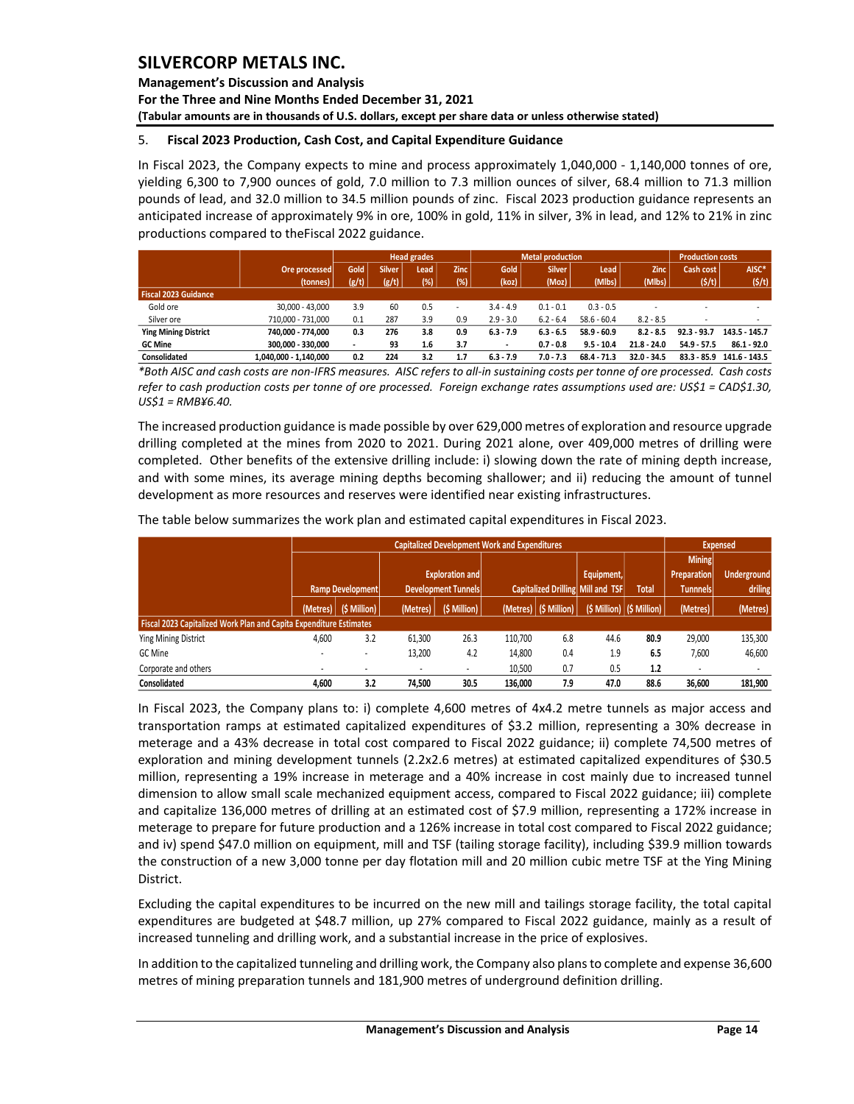**Management's Discussion and Analysis** 

**For the Three and Nine Months Ended December 31, 2021 (Tabular amounts are in thousands of U.S. dollars, except per share data or unless otherwise stated)** 

## 5. **Fiscal 2023 Production, Cash Cost, and Capital Expenditure Guidance**

In Fiscal 2023, the Company expects to mine and process approximately 1,040,000 - 1,140,000 tonnes of ore, yielding 6,300 to 7,900 ounces of gold, 7.0 million to 7.3 million ounces of silver, 68.4 million to 71.3 million pounds of lead, and 32.0 million to 34.5 million pounds of zinc. Fiscal 2023 production guidance represents an anticipated increase of approximately 9% in ore, 100% in gold, 11% in silver, 3% in lead, and 12% to 21% in zinc productions compared to theFiscal 2022 guidance.

|                             |                       |       |               | <b>Head grades</b> |             |                          | <b>Metal production</b> |               |               | <b>Production costs</b> |               |  |
|-----------------------------|-----------------------|-------|---------------|--------------------|-------------|--------------------------|-------------------------|---------------|---------------|-------------------------|---------------|--|
|                             | Ore processed         | Gold  | <b>Silver</b> | Lead               | <b>Zinc</b> | <b>Gold</b>              | <b>Silver</b>           | Lead          | <b>Zinc</b>   | Cash cost               | AISC*         |  |
|                             | (tonnes)              | (g/t) | (g/t)         | (%)                | (%)         | (koz)                    | (Moz)                   | (Mlbs)        | (Mlbs)        | (5/t)                   | $($ \$/t $)$  |  |
| Fiscal 2023 Guidance        |                       |       |               |                    |             |                          |                         |               |               |                         |               |  |
| Gold ore                    | 30.000 - 43.000       | 3.9   | 60            | 0.5                |             | $3.4 - 4.9$              | $0.1 - 0.1$             | $0.3 - 0.5$   |               |                         |               |  |
| Silver ore                  | 710.000 - 731.000     | 0.1   | 287           | 3.9                | 0.9         | $2.9 - 3.0$              | $6.2 - 6.4$             | $58.6 - 60.4$ | $8.2 - 8.5$   |                         |               |  |
| <b>Ying Mining District</b> | 740.000 - 774.000     | 0.3   | 276           | 3.8                | 0.9         | $6.3 - 7.9$              | $6.3 - 6.5$             | $58.9 - 60.9$ | $8.2 - 8.5$   | $92.3 - 93.7$           | 143.5 - 145.7 |  |
| <b>GC Mine</b>              | 300.000 - 330.000     |       | 93            | 1.6                | 3.7         | $\overline{\phantom{0}}$ | $0.7 - 0.8$             | $9.5 - 10.4$  | $21.8 - 24.0$ | $54.9 - 57.5$           | $86.1 - 92.0$ |  |
| <b>Consolidated</b>         | 1,040,000 - 1,140,000 | 0.2   | 224           | 3.2                | 1.7         | $6.3 - 7.9$              | 7.0 - 7.3               | $68.4 - 71.3$ | $32.0 - 34.5$ | $83.3 - 85.9$           | 141.6 - 143.5 |  |

*\*Both AISC and cash costs are non-IFRS measures. AISC refers to all-in sustaining costs per tonne of ore processed. Cash costs refer to cash production costs per tonne of ore processed. Foreign exchange rates assumptions used are: US\$1 = CAD\$1.30, US\$1 = RMB¥6.40.*

The increased production guidance is made possible by over 629,000 metres of exploration and resource upgrade drilling completed at the mines from 2020 to 2021. During 2021 alone, over 409,000 metres of drilling were completed. Other benefits of the extensive drilling include: i) slowing down the rate of mining depth increase, and with some mines, its average mining depths becoming shallower; and ii) reducing the amount of tunnel development as more resources and reserves were identified near existing infrastructures.

|                                                                           |       |                         |          |                            | <b>Capitalized Development Work and Expenditures</b> |                         |                                          |                            |                 | <b>Expensed</b>    |  |  |
|---------------------------------------------------------------------------|-------|-------------------------|----------|----------------------------|------------------------------------------------------|-------------------------|------------------------------------------|----------------------------|-----------------|--------------------|--|--|
|                                                                           |       |                         |          |                            |                                                      |                         |                                          |                            | <b>Mining</b>   |                    |  |  |
|                                                                           |       |                         |          | <b>Exploration and</b>     |                                                      |                         |                                          | Equipment,                 | Preparation     | <b>Underground</b> |  |  |
|                                                                           |       | Ramp Development        |          | <b>Development Tunnels</b> |                                                      |                         | <b>Capitalized Drilling Mill and TSF</b> | <b>Total</b>               | <b>Tunnnels</b> | driling            |  |  |
|                                                                           |       | (Metres)   (\$ Million) | (Metres) | (\$ Million)               |                                                      | (Metres)   (\$ Million) |                                          | $(S$ Million) $(S$ Million | (Metres)        | (Metres)           |  |  |
| <b>Fiscal 2023 Capitalized Work Plan and Capita Expenditure Estimates</b> |       |                         |          |                            |                                                      |                         |                                          |                            |                 |                    |  |  |
| Ying Mining District                                                      | 4,600 | 3.2                     | 61.300   | 26.3                       | 110.700                                              | 6.8                     | 44.6                                     | 80.9                       | 29.000          | 135,300            |  |  |
| GC Mine                                                                   |       |                         | 13,200   | 4.2                        | 14,800                                               | 0.4                     | 1.9                                      | 6.5                        | 7,600           | 46,600             |  |  |
| Corporate and others                                                      |       |                         |          |                            | 10.500                                               | 0.7                     | 0.5                                      | 1.2                        | ٠               |                    |  |  |
| Consolidated                                                              | 4,600 | 3.2                     | 74.500   | 30.5                       | 136.000                                              | 7.9                     | 47.0                                     | 88.6                       | 36,600          | 181,900            |  |  |

The table below summarizes the work plan and estimated capital expenditures in Fiscal 2023.

In Fiscal 2023, the Company plans to: i) complete 4,600 metres of 4x4.2 metre tunnels as major access and transportation ramps at estimated capitalized expenditures of \$3.2 million, representing a 30% decrease in meterage and a 43% decrease in total cost compared to Fiscal 2022 guidance; ii) complete 74,500 metres of exploration and mining development tunnels (2.2x2.6 metres) at estimated capitalized expenditures of \$30.5 million, representing a 19% increase in meterage and a 40% increase in cost mainly due to increased tunnel dimension to allow small scale mechanized equipment access, compared to Fiscal 2022 guidance; iii) complete and capitalize 136,000 metres of drilling at an estimated cost of \$7.9 million, representing a 172% increase in meterage to prepare for future production and a 126% increase in total cost compared to Fiscal 2022 guidance; and iv) spend \$47.0 million on equipment, mill and TSF (tailing storage facility), including \$39.9 million towards the construction of a new 3,000 tonne per day flotation mill and 20 million cubic metre TSF at the Ying Mining District.

Excluding the capital expenditures to be incurred on the new mill and tailings storage facility, the total capital expenditures are budgeted at \$48.7 million, up 27% compared to Fiscal 2022 guidance, mainly as a result of increased tunneling and drilling work, and a substantial increase in the price of explosives.

In addition to the capitalized tunneling and drilling work, the Company also plans to complete and expense 36,600 metres of mining preparation tunnels and 181,900 metres of underground definition drilling.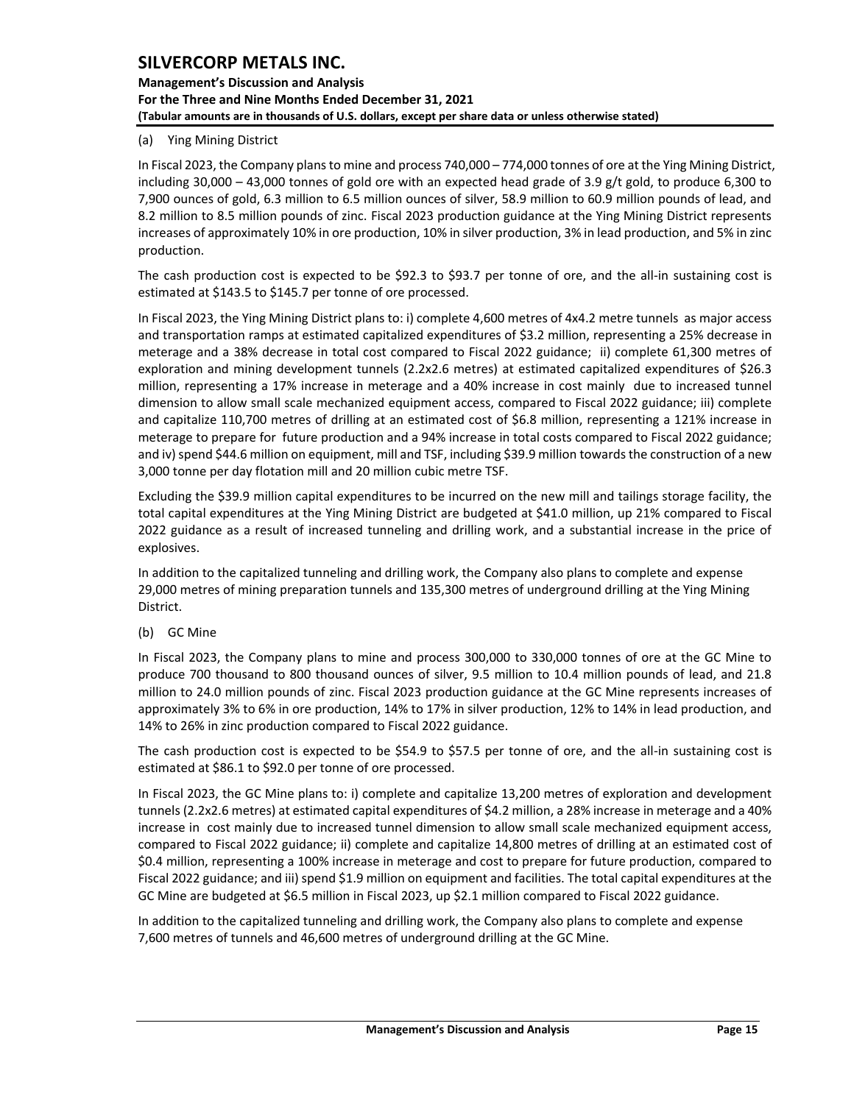## **Management's Discussion and Analysis For the Three and Nine Months Ended December 31, 2021 (Tabular amounts are in thousands of U.S. dollars, except per share data or unless otherwise stated)**

### (a) Ying Mining District

In Fiscal 2023, the Company plans to mine and process 740,000 – 774,000 tonnes of ore at the Ying Mining District, including 30,000 – 43,000 tonnes of gold ore with an expected head grade of 3.9 g/t gold, to produce 6,300 to 7,900 ounces of gold, 6.3 million to 6.5 million ounces of silver, 58.9 million to 60.9 million pounds of lead, and 8.2 million to 8.5 million pounds of zinc. Fiscal 2023 production guidance at the Ying Mining District represents increases of approximately 10% in ore production, 10% in silver production, 3% in lead production, and 5% in zinc production.

The cash production cost is expected to be \$92.3 to \$93.7 per tonne of ore, and the all-in sustaining cost is estimated at \$143.5 to \$145.7 per tonne of ore processed.

In Fiscal 2023, the Ying Mining District plans to: i) complete 4,600 metres of 4x4.2 metre tunnels as major access and transportation ramps at estimated capitalized expenditures of \$3.2 million, representing a 25% decrease in meterage and a 38% decrease in total cost compared to Fiscal 2022 guidance; ii) complete 61,300 metres of exploration and mining development tunnels (2.2x2.6 metres) at estimated capitalized expenditures of \$26.3 million, representing a 17% increase in meterage and a 40% increase in cost mainly due to increased tunnel dimension to allow small scale mechanized equipment access, compared to Fiscal 2022 guidance; iii) complete and capitalize 110,700 metres of drilling at an estimated cost of \$6.8 million, representing a 121% increase in meterage to prepare for future production and a 94% increase in total costs compared to Fiscal 2022 guidance; and iv) spend \$44.6 million on equipment, mill and TSF, including \$39.9 million towards the construction of a new 3,000 tonne per day flotation mill and 20 million cubic metre TSF.

Excluding the \$39.9 million capital expenditures to be incurred on the new mill and tailings storage facility, the total capital expenditures at the Ying Mining District are budgeted at \$41.0 million, up 21% compared to Fiscal 2022 guidance as a result of increased tunneling and drilling work, and a substantial increase in the price of explosives.

In addition to the capitalized tunneling and drilling work, the Company also plans to complete and expense 29,000 metres of mining preparation tunnels and 135,300 metres of underground drilling at the Ying Mining District.

(b) GC Mine

In Fiscal 2023, the Company plans to mine and process 300,000 to 330,000 tonnes of ore at the GC Mine to produce 700 thousand to 800 thousand ounces of silver, 9.5 million to 10.4 million pounds of lead, and 21.8 million to 24.0 million pounds of zinc. Fiscal 2023 production guidance at the GC Mine represents increases of approximately 3% to 6% in ore production, 14% to 17% in silver production, 12% to 14% in lead production, and 14% to 26% in zinc production compared to Fiscal 2022 guidance.

The cash production cost is expected to be \$54.9 to \$57.5 per tonne of ore, and the all-in sustaining cost is estimated at \$86.1 to \$92.0 per tonne of ore processed.

In Fiscal 2023, the GC Mine plans to: i) complete and capitalize 13,200 metres of exploration and development tunnels (2.2x2.6 metres) at estimated capital expenditures of \$4.2 million, a 28% increase in meterage and a 40% increase in cost mainly due to increased tunnel dimension to allow small scale mechanized equipment access, compared to Fiscal 2022 guidance; ii) complete and capitalize 14,800 metres of drilling at an estimated cost of \$0.4 million, representing a 100% increase in meterage and cost to prepare for future production, compared to Fiscal 2022 guidance; and iii) spend \$1.9 million on equipment and facilities. The total capital expenditures at the GC Mine are budgeted at \$6.5 million in Fiscal 2023, up \$2.1 million compared to Fiscal 2022 guidance.

In addition to the capitalized tunneling and drilling work, the Company also plans to complete and expense 7,600 metres of tunnels and 46,600 metres of underground drilling at the GC Mine.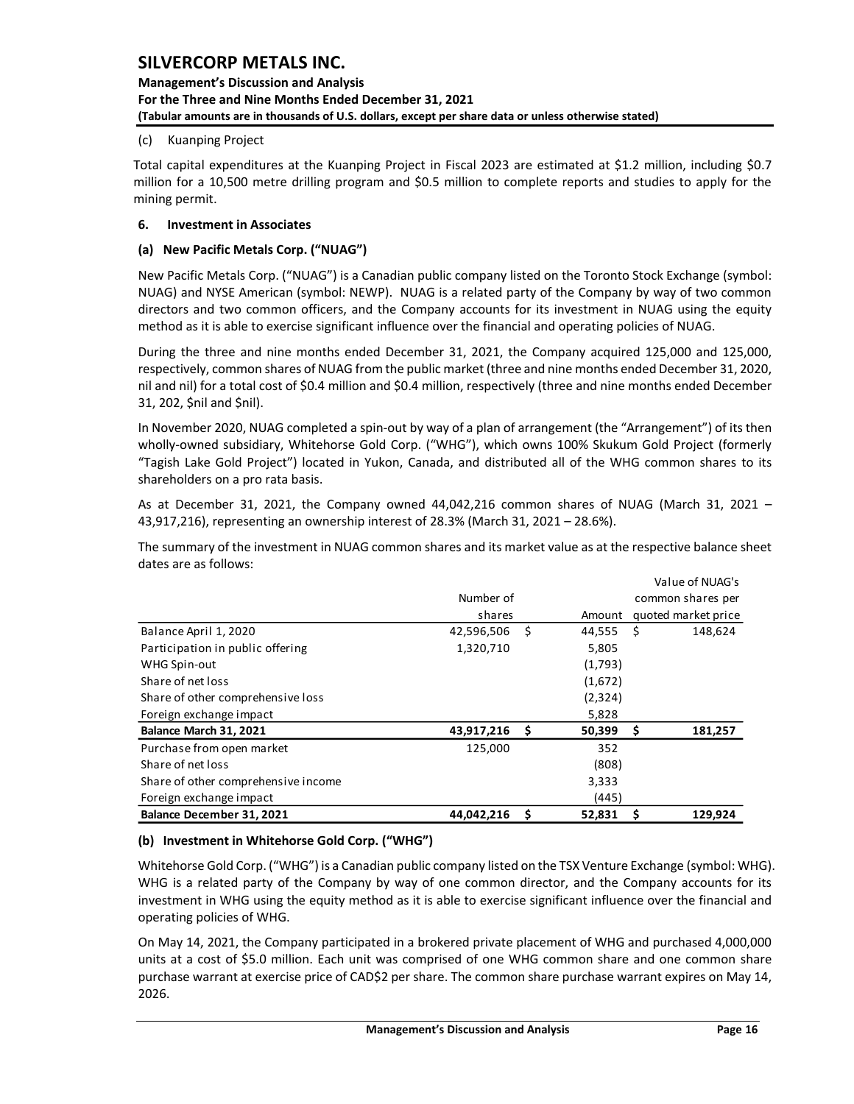**Management's Discussion and Analysis For the Three and Nine Months Ended December 31, 2021 (Tabular amounts are in thousands of U.S. dollars, except per share data or unless otherwise stated)** 

### (c) Kuanping Project

Total capital expenditures at the Kuanping Project in Fiscal 2023 are estimated at \$1.2 million, including \$0.7 million for a 10,500 metre drilling program and \$0.5 million to complete reports and studies to apply for the mining permit.

### <span id="page-16-0"></span>**6. Investment in Associates**

## **(a) New Pacific Metals Corp. ("NUAG")**

New Pacific Metals Corp. ("NUAG") is a Canadian public company listed on the Toronto Stock Exchange (symbol: NUAG) and NYSE American (symbol: NEWP). NUAG is a related party of the Company by way of two common directors and two common officers, and the Company accounts for its investment in NUAG using the equity method as it is able to exercise significant influence over the financial and operating policies of NUAG.

During the three and nine months ended December 31, 2021, the Company acquired 125,000 and 125,000, respectively, common shares of NUAG from the public market (three and nine months ended December 31, 2020, nil and nil) for a total cost of \$0.4 million and \$0.4 million, respectively (three and nine months ended December 31, 202, \$nil and \$nil).

In November 2020, NUAG completed a spin-out by way of a plan of arrangement (the "Arrangement") of its then wholly-owned subsidiary, Whitehorse Gold Corp. ("WHG"), which owns 100% Skukum Gold Project (formerly "Tagish Lake Gold Project") located in Yukon, Canada, and distributed all of the WHG common shares to its shareholders on a pro rata basis.

As at December 31, 2021, the Company owned 44,042,216 common shares of NUAG (March 31, 2021 – 43,917,216), representing an ownership interest of 28.3% (March 31, 2021 – 28.6%).

The summary of the investment in NUAG common shares and its market value as at the respective balance sheet dates are as follows:

|                                     |            |      |         |      | Value of NUAG's     |
|-------------------------------------|------------|------|---------|------|---------------------|
|                                     | Number of  |      |         |      | common shares per   |
|                                     | shares     |      | Amount  |      | quoted market price |
| Balance April 1, 2020               | 42,596,506 | Ŝ.   | 44,555  | - \$ | 148,624             |
| Participation in public offering    | 1,320,710  |      | 5,805   |      |                     |
| WHG Spin-out                        |            |      | (1,793) |      |                     |
| Share of net loss                   |            |      | (1,672) |      |                     |
| Share of other comprehensive loss   |            |      | (2,324) |      |                     |
| Foreign exchange impact             |            |      | 5,828   |      |                     |
| Balance March 31, 2021              | 43,917,216 | - \$ | 50,399  | .\$  | 181,257             |
| Purchase from open market           | 125,000    |      | 352     |      |                     |
| Share of net loss                   |            |      | (808)   |      |                     |
| Share of other comprehensive income |            |      | 3,333   |      |                     |
| Foreign exchange impact             |            |      | (445)   |      |                     |
| Balance December 31, 2021           | 44,042,216 | \$   | 52,831  | S    | 129,924             |

## **(b) Investment in Whitehorse Gold Corp. ("WHG")**

Whitehorse Gold Corp. ("WHG") is a Canadian public company listed on the TSX Venture Exchange (symbol: WHG). WHG is a related party of the Company by way of one common director, and the Company accounts for its investment in WHG using the equity method as it is able to exercise significant influence over the financial and operating policies of WHG.

On May 14, 2021, the Company participated in a brokered private placement of WHG and purchased 4,000,000 units at a cost of \$5.0 million. Each unit was comprised of one WHG common share and one common share purchase warrant at exercise price of CAD\$2 per share. The common share purchase warrant expires on May 14, 2026.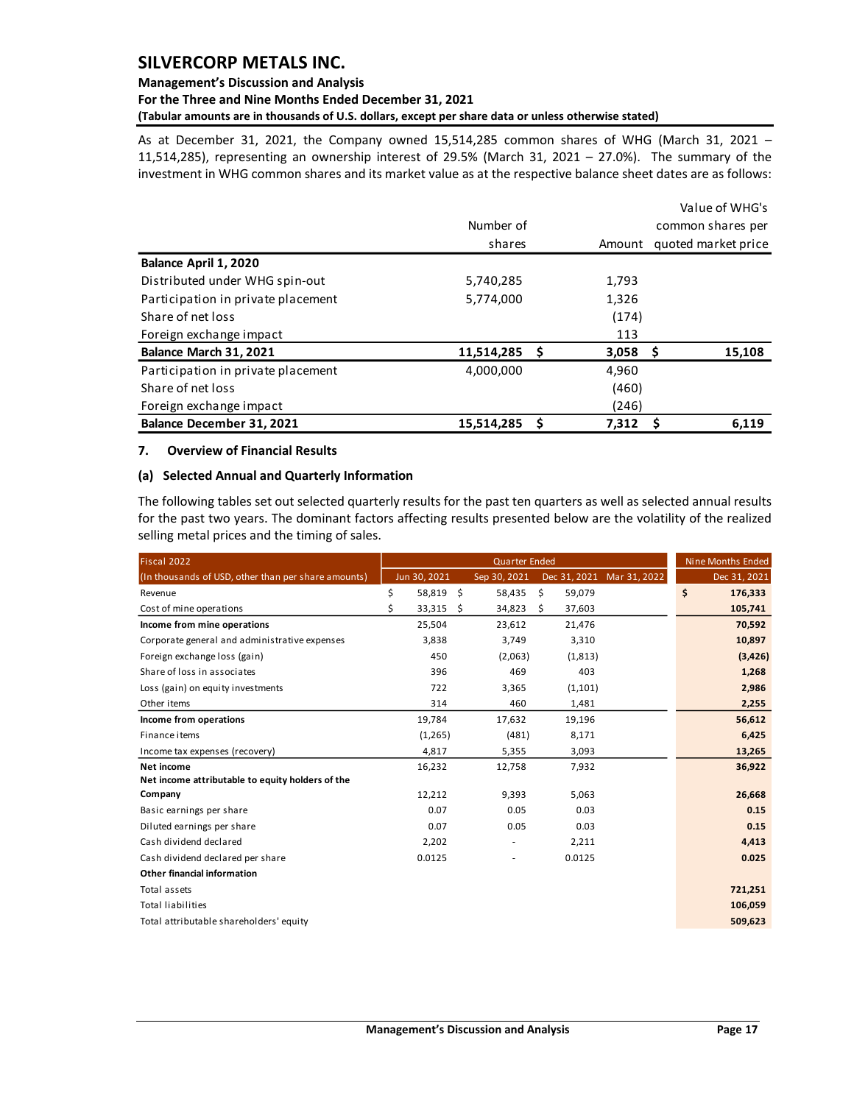### **Management's Discussion and Analysis**

**For the Three and Nine Months Ended December 31, 2021**

**(Tabular amounts are in thousands of U.S. dollars, except per share data or unless otherwise stated)** 

As at December 31, 2021, the Company owned 15,514,285 common shares of WHG (March 31, 2021 – 11,514,285), representing an ownership interest of 29.5% (March 31, 2021 – 27.0%). The summary of the investment in WHG common shares and its market value as at the respective balance sheet dates are as follows:

|                                    |            |                     |            |                   | Value of WHG's |  |  |  |
|------------------------------------|------------|---------------------|------------|-------------------|----------------|--|--|--|
|                                    | Number of  |                     |            | common shares per |                |  |  |  |
|                                    | shares     | quoted market price |            |                   |                |  |  |  |
| Balance April 1, 2020              |            |                     |            |                   |                |  |  |  |
| Distributed under WHG spin-out     | 5,740,285  |                     | 1,793      |                   |                |  |  |  |
| Participation in private placement | 5,774,000  |                     | 1,326      |                   |                |  |  |  |
| Share of net loss                  |            |                     | (174)      |                   |                |  |  |  |
| Foreign exchange impact            |            |                     | 113        |                   |                |  |  |  |
| Balance March 31, 2021             | 11,514,285 | S                   | $3,058$ \$ |                   | 15,108         |  |  |  |
| Participation in private placement | 4,000,000  |                     | 4,960      |                   |                |  |  |  |
| Share of net loss                  |            |                     | (460)      |                   |                |  |  |  |
| Foreign exchange impact            |            |                     | (246)      |                   |                |  |  |  |
| Balance December 31, 2021          | 15.514.285 | S                   | 7,312      |                   | 6.119          |  |  |  |

#### <span id="page-17-0"></span>**7. Overview of Financial Results**

### **(a) Selected Annual and Quarterly Information**

The following tables set out selected quarterly results for the past ten quarters as well as selected annual results for the past two years. The dominant factors affecting results presented below are the volatility of the realized selling metal prices and the timing of sales.

| Fiscal 2022                                         |              |     | <b>Nine Months Ended</b> |    |         |                           |               |
|-----------------------------------------------------|--------------|-----|--------------------------|----|---------|---------------------------|---------------|
| (In thousands of USD, other than per share amounts) | Jun 30, 2021 |     | Sep 30, 2021             |    |         | Dec 31, 2021 Mar 31, 2022 | Dec 31, 2021  |
| Revenue                                             | \$<br>58,819 | -\$ | 58,435                   | Ŝ. | 59,079  |                           | \$<br>176,333 |
| Cost of mine operations                             | \$<br>33,315 | \$  | 34,823                   | \$ | 37,603  |                           | 105,741       |
| Income from mine operations                         | 25,504       |     | 23,612                   |    | 21,476  |                           | 70,592        |
| Corporate general and administrative expenses       | 3,838        |     | 3,749                    |    | 3,310   |                           | 10,897        |
| Foreign exchange loss (gain)                        | 450          |     | (2,063)                  |    | (1,813) |                           | (3,426)       |
| Share of loss in associates                         | 396          |     | 469                      |    | 403     |                           | 1,268         |
| Loss (gain) on equity investments                   | 722          |     | 3,365                    |    | (1,101) |                           | 2,986         |
| Other items                                         | 314          |     | 460                      |    | 1,481   |                           | 2,255         |
| Income from operations                              | 19,784       |     | 17,632                   |    | 19,196  |                           | 56,612        |
| Finance items                                       | (1,265)      |     | (481)                    |    | 8,171   |                           | 6,425         |
| Income tax expenses (recovery)                      | 4,817        |     | 5,355                    |    | 3,093   |                           | 13,265        |
| Net income                                          | 16,232       |     | 12,758                   |    | 7,932   |                           | 36,922        |
| Net income attributable to equity holders of the    |              |     |                          |    |         |                           |               |
| Company                                             | 12,212       |     | 9,393                    |    | 5,063   |                           | 26,668        |
| Basic earnings per share                            | 0.07         |     | 0.05                     |    | 0.03    |                           | 0.15          |
| Diluted earnings per share                          | 0.07         |     | 0.05                     |    | 0.03    |                           | 0.15          |
| Cash dividend declared                              | 2,202        |     | $\overline{\phantom{a}}$ |    | 2,211   |                           | 4,413         |
| Cash dividend declared per share                    | 0.0125       |     | ٠                        |    | 0.0125  |                           | 0.025         |
| <b>Other financial information</b>                  |              |     |                          |    |         |                           |               |
| Total assets                                        |              |     |                          |    |         |                           | 721,251       |
| <b>Total liabilities</b>                            |              |     |                          |    |         |                           | 106,059       |
| Total attributable shareholders' equity             |              |     |                          |    |         |                           | 509,623       |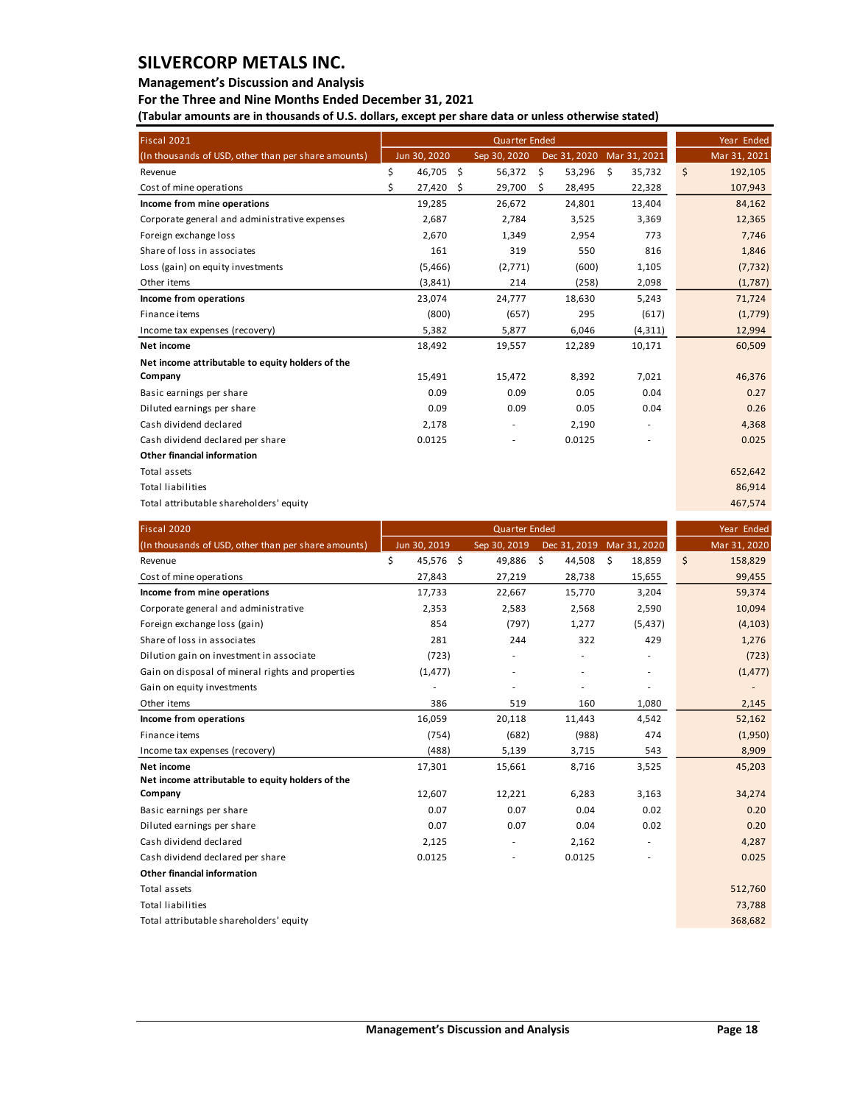#### **Management's Discussion and Analysis**

**Net income attributable to equity holders of the** 

**Other financial information**

#### **For the Three and Nine Months Ended December 31, 2021**

**(Tabular amounts are in thousands of U.S. dollars, except per share data or unless otherwise stated)** 

| Fiscal 2021                                         |                 | <b>Quarter Ended</b> |              |                           | Year Ended    |
|-----------------------------------------------------|-----------------|----------------------|--------------|---------------------------|---------------|
| (In thousands of USD, other than per share amounts) | Jun 30, 2020    | Sep 30, 2020         |              | Dec 31, 2020 Mar 31, 2021 | Mar 31, 2021  |
| Revenue                                             | \$<br>46,705 \$ | 56,372               | \$<br>53,296 | \$<br>35,732              | \$<br>192,105 |
| Cost of mine operations                             | \$<br>27,420    | \$<br>29,700         | \$<br>28,495 | 22,328                    | 107,943       |
| Income from mine operations                         | 19,285          | 26,672               | 24,801       | 13,404                    | 84,162        |
| Corporate general and administrative expenses       | 2,687           | 2,784                | 3,525        | 3,369                     | 12,365        |
| Foreign exchange loss                               | 2,670           | 1,349                | 2,954        | 773                       | 7,746         |
| Share of loss in associates                         | 161             | 319                  | 550          | 816                       | 1,846         |
| Loss (gain) on equity investments                   | (5, 466)        | (2,771)              | (600)        | 1,105                     | (7, 732)      |
| Other items                                         | (3,841)         | 214                  | (258)        | 2,098                     | (1,787)       |
| Income from operations                              | 23,074          | 24,777               | 18,630       | 5,243                     | 71,724        |
| Finance items                                       | (800)           | (657)                | 295          | (617)                     | (1,779)       |
| Income tax expenses (recovery)                      | 5,382           | 5,877                | 6,046        | (4, 311)                  | 12,994        |
| <b>Net income</b>                                   | 18,492          | 19,557               | 12,289       | 10,171                    | 60,509        |
| Net income attributable to equity holders of the    |                 |                      |              |                           |               |
| Company                                             | 15,491          | 15,472               | 8,392        | 7,021                     | 46,376        |
| Basic earnings per share                            | 0.09            | 0.09                 | 0.05         | 0.04                      | 0.27          |
| Diluted earnings per share                          | 0.09            | 0.09                 | 0.05         | 0.04                      | 0.26          |
| Cash dividend declared                              | 2,178           | ä,                   | 2,190        | ä,                        | 4,368         |
| Cash dividend declared per share                    | 0.0125          |                      | 0.0125       |                           | 0.025         |
| Other financial information                         |                 |                      |              |                           |               |
| Total assets                                        |                 |                      |              |                           | 652,642       |
| Total liabilities                                   |                 |                      |              |                           | 86,914        |
| Total attributable shareholders' equity             |                 |                      |              |                           | 467,574       |
| Fiscal 2020                                         |                 | <b>Quarter Ended</b> |              |                           | Year Ended    |
| (In thousands of USD, other than per share amounts) | Jun 30, 2019    | Sep 30, 2019         |              | Dec 31, 2019 Mar 31, 2020 | Mar 31, 2020  |
| Revenue                                             | \$<br>45,576 \$ | 49,886               | \$<br>44,508 | \$<br>18,859              | \$<br>158,829 |
| Cost of mine operations                             | 27,843          | 27,219               | 28,738       | 15,655                    | 99,455        |
| Income from mine operations                         | 17,733          | 22,667               | 15,770       | 3,204                     | 59,374        |
| Corporate general and administrative                | 2,353           | 2,583                | 2,568        | 2,590                     | 10,094        |
| Foreign exchange loss (gain)                        | 854             | (797)                | 1,277        | (5, 437)                  | (4, 103)      |
| Share of loss in associates                         | 281             | 244                  | 322          | 429                       | 1,276         |
| Dilution gain on investment in associate            | (723)           |                      |              |                           | (723)         |
| Gain on disposal of mineral rights and properties   | (1, 477)        |                      |              |                           | (1, 477)      |
| Gain on equity investments                          | ÷,              |                      |              |                           |               |
| Other items                                         | 386             | 519                  | 160          | 1,080                     | 2,145         |
| Income from operations                              | 16,059          | 20,118               | 11,443       | 4,542                     | 52,162        |
| Finance items                                       | (754)           | (682)                | (988)        | 474                       | (1,950)       |

Income tax expenses (recovery) (488) 5,139 3,715 543 8,909 **Net income** 17,301 15,661 8,716 3,525 45,203

**Company** 20 20 34,274 34,274 34,274 35,163 36,283 3,163 34,274 Basic earnings per share 0.07 0.07 0.04 0.02 0.20 Diluted earnings per share 0.07 0.07 0.04 0.02 0.20 Cash dividend declared 2,125 - 2,162 - 2,162 - 2,162 - 4,287 Cash dividend declared per share 0.0125 0.0125 - 0.0125 0.025 0.025 0.025

Total assets 512,760 Total liabilities 73,788 Total attributable shareholders' equity 368,682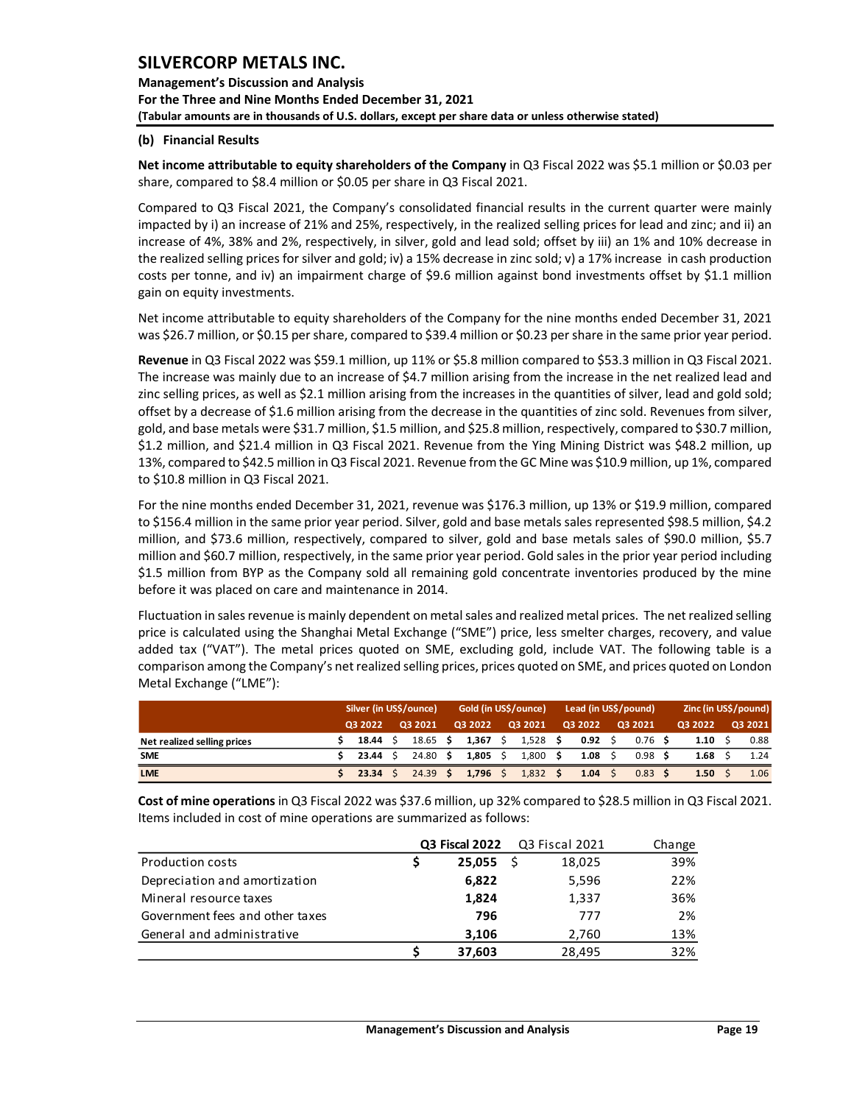**Management's Discussion and Analysis For the Three and Nine Months Ended December 31, 2021 (Tabular amounts are in thousands of U.S. dollars, except per share data or unless otherwise stated)** 

#### **(b) Financial Results**

**Net income attributable to equity shareholders of the Company** in Q3 Fiscal 2022 was \$5.1 million or \$0.03 per share, compared to \$8.4 million or \$0.05 per share in Q3 Fiscal 2021.

Compared to Q3 Fiscal 2021, the Company's consolidated financial results in the current quarter were mainly impacted by i) an increase of 21% and 25%, respectively, in the realized selling prices for lead and zinc; and ii) an increase of 4%, 38% and 2%, respectively, in silver, gold and lead sold; offset by iii) an 1% and 10% decrease in the realized selling prices for silver and gold; iv) a 15% decrease in zinc sold; v) a 17% increase in cash production costs per tonne, and iv) an impairment charge of \$9.6 million against bond investments offset by \$1.1 million gain on equity investments.

Net income attributable to equity shareholders of the Company for the nine months ended December 31, 2021 was \$26.7 million, or \$0.15 per share, compared to \$39.4 million or \$0.23 per share in the same prior year period.

**Revenue** in Q3 Fiscal 2022 was \$59.1 million, up 11% or \$5.8 million compared to \$53.3 million in Q3 Fiscal 2021. The increase was mainly due to an increase of \$4.7 million arising from the increase in the net realized lead and zinc selling prices, as well as \$2.1 million arising from the increases in the quantities of silver, lead and gold sold; offset by a decrease of \$1.6 million arising from the decrease in the quantities of zinc sold. Revenues from silver, gold, and base metals were \$31.7 million, \$1.5 million, and \$25.8 million, respectively, compared to \$30.7 million, \$1.2 million, and \$21.4 million in Q3 Fiscal 2021. Revenue from the Ying Mining District was \$48.2 million, up 13%, compared to \$42.5 million in Q3 Fiscal 2021. Revenue from the GC Mine was \$10.9 million, up 1%, compared to \$10.8 million in Q3 Fiscal 2021.

For the nine months ended December 31, 2021, revenue was \$176.3 million, up 13% or \$19.9 million, compared to \$156.4 million in the same prior year period. Silver, gold and base metals sales represented \$98.5 million, \$4.2 million, and \$73.6 million, respectively, compared to silver, gold and base metals sales of \$90.0 million, \$5.7 million and \$60.7 million, respectively, in the same prior year period. Gold sales in the prior year period including \$1.5 million from BYP as the Company sold all remaining gold concentrate inventories produced by the mine before it was placed on care and maintenance in 2014.

Fluctuation in sales revenue is mainly dependent on metal sales and realized metal prices. The net realized selling price is calculated using the Shanghai Metal Exchange ("SME") price, less smelter charges, recovery, and value added tax ("VAT"). The metal prices quoted on SME, excluding gold, include VAT. The following table is a comparison among the Company's net realized selling prices, prices quoted on SME, and prices quoted on London Metal Exchange ("LME"):

|                             |         | Silver (in US\$/ounce) |                    |  | Gold (in US\$/ounce) |  |         |  | Lead (in US\$/pound) |  | Zinc (in US\$/pound) |         |  |         |
|-----------------------------|---------|------------------------|--------------------|--|----------------------|--|---------|--|----------------------|--|----------------------|---------|--|---------|
|                             | 03 2022 |                        | 03 2021            |  | Q3 2022              |  | Q3 2021 |  | Q3 2022              |  | 03 2021              | 03 2022 |  | Q3 2021 |
| Net realized selling prices | 18.44   |                        | $18.65$ \$         |  | 1.367                |  | 1,528   |  | 0.92                 |  | $0.76$ \$            | 1.10    |  | 0.88    |
| <b>SME</b>                  | 23.44   |                        | 24.80 S            |  | 1.805                |  | 1,800   |  | 1.08                 |  | 0.98                 | 1.68    |  | 1.24    |
| <b>LME</b>                  | 23.34   |                        | 24.39 <sup>5</sup> |  | 1.796                |  | 1,832   |  | 1.04                 |  | 0.83                 | 1.50    |  | 1.06    |

**Cost of mine operations** in Q3 Fiscal 2022 was \$37.6 million, up 32% compared to \$28.5 million in Q3 Fiscal 2021. Items included in cost of mine operations are summarized as follows:

|                                 | Q3 Fiscal 2022 | Q3 Fiscal 2021 | Change |
|---------------------------------|----------------|----------------|--------|
| <b>Production costs</b>         | 25,055         | 18,025         | 39%    |
| Depreciation and amortization   | 6,822          | 5.596          | 22%    |
| Mineral resource taxes          | 1,824          | 1,337          | 36%    |
| Government fees and other taxes | 796            | 777            | 2%     |
| General and administrative      | 3.106          | 2.760          | 13%    |
|                                 | 37,603         | 28,495         | 32%    |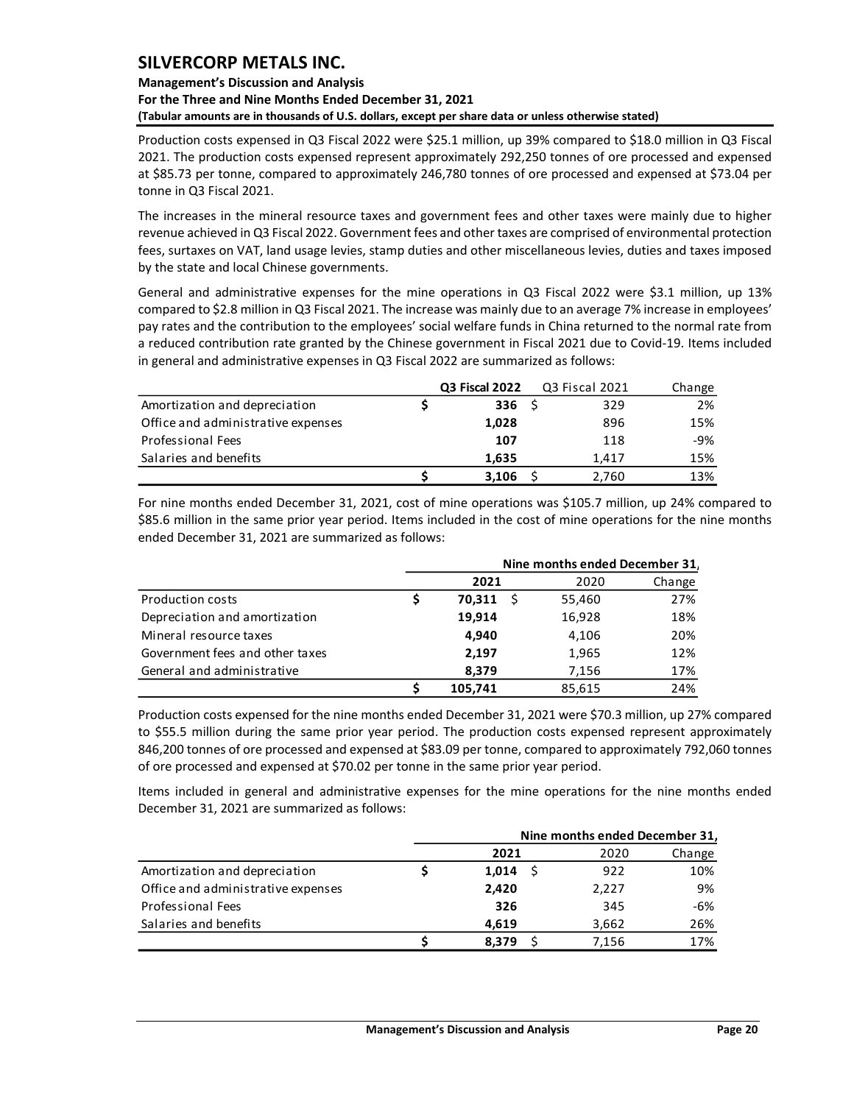### **Management's Discussion and Analysis For the Three and Nine Months Ended December 31, 2021 (Tabular amounts are in thousands of U.S. dollars, except per share data or unless otherwise stated)**

Production costs expensed in Q3 Fiscal 2022 were \$25.1 million, up 39% compared to \$18.0 million in Q3 Fiscal 2021. The production costs expensed represent approximately 292,250 tonnes of ore processed and expensed at \$85.73 per tonne, compared to approximately 246,780 tonnes of ore processed and expensed at \$73.04 per tonne in Q3 Fiscal 2021.

The increases in the mineral resource taxes and government fees and other taxes were mainly due to higher revenue achieved in Q3 Fiscal 2022. Government fees and other taxes are comprised of environmental protection fees, surtaxes on VAT, land usage levies, stamp duties and other miscellaneous levies, duties and taxes imposed by the state and local Chinese governments.

General and administrative expenses for the mine operations in Q3 Fiscal 2022 were \$3.1 million, up 13% compared to \$2.8 million in Q3 Fiscal 2021. The increase was mainly due to an average 7% increase in employees' pay rates and the contribution to the employees' social welfare funds in China returned to the normal rate from a reduced contribution rate granted by the Chinese government in Fiscal 2021 due to Covid-19. Items included in general and administrative expenses in Q3 Fiscal 2022 are summarized as follows:

|                                    | <b>Q3 Fiscal 2022</b> | Q3 Fiscal 2021 | Change |
|------------------------------------|-----------------------|----------------|--------|
| Amortization and depreciation      | 336 <sub>5</sub>      | 329            | 2%     |
| Office and administrative expenses | 1.028                 | 896            | 15%    |
| Professional Fees                  | 107                   | 118            | -9%    |
| Salaries and benefits              | 1.635                 | 1.417          | 15%    |
|                                    | 3.106                 | 2.760          | 13%    |

For nine months ended December 31, 2021, cost of mine operations was \$105.7 million, up 24% compared to \$85.6 million in the same prior year period. Items included in the cost of mine operations for the nine months ended December 31, 2021 are summarized as follows:

|                                 | Nine months ended December 31, |        |        |  |  |  |  |  |  |  |
|---------------------------------|--------------------------------|--------|--------|--|--|--|--|--|--|--|
|                                 | 2021                           | 2020   | Change |  |  |  |  |  |  |  |
| <b>Production costs</b>         | 70,311                         | 55,460 | 27%    |  |  |  |  |  |  |  |
| Depreciation and amortization   | 19,914                         | 16,928 | 18%    |  |  |  |  |  |  |  |
| Mineral resource taxes          | 4.940                          | 4,106  | 20%    |  |  |  |  |  |  |  |
| Government fees and other taxes | 2.197                          | 1,965  | 12%    |  |  |  |  |  |  |  |
| General and administrative      | 8.379                          | 7.156  | 17%    |  |  |  |  |  |  |  |
|                                 | 105,741                        | 85,615 | 24%    |  |  |  |  |  |  |  |

Production costs expensed for the nine months ended December 31, 2021 were \$70.3 million, up 27% compared to \$55.5 million during the same prior year period. The production costs expensed represent approximately 846,200 tonnes of ore processed and expensed at \$83.09 per tonne, compared to approximately 792,060 tonnes of ore processed and expensed at \$70.02 per tonne in the same prior year period.

Items included in general and administrative expenses for the mine operations for the nine months ended December 31, 2021 are summarized as follows:

|                                    | Nine months ended December 31, |       |        |  |  |  |  |  |
|------------------------------------|--------------------------------|-------|--------|--|--|--|--|--|
|                                    | 2021                           | 2020  | Change |  |  |  |  |  |
| Amortization and depreciation      | 1.014                          | 922   | 10%    |  |  |  |  |  |
| Office and administrative expenses | 2,420                          | 2,227 | 9%     |  |  |  |  |  |
| Professional Fees                  | 326                            | 345   | $-6%$  |  |  |  |  |  |
| Salaries and benefits              | 4.619                          | 3,662 | 26%    |  |  |  |  |  |
|                                    | 8.379                          | 7.156 | 17%    |  |  |  |  |  |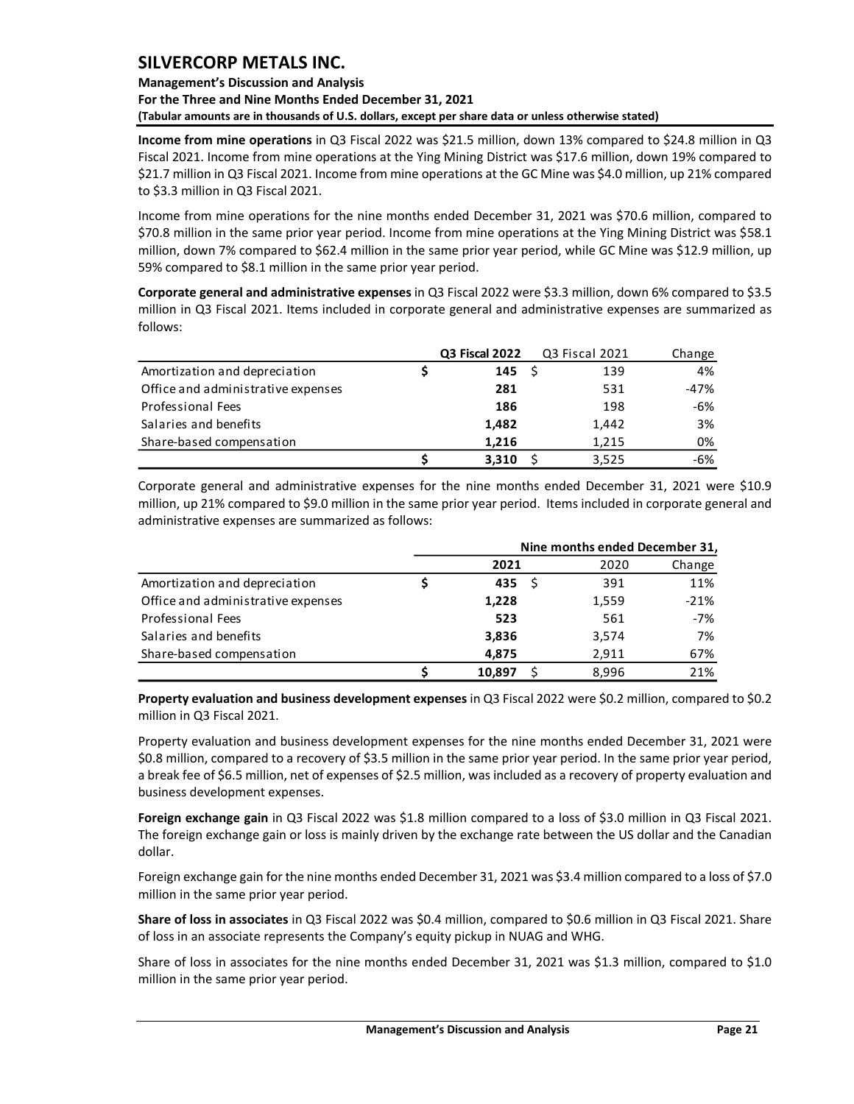### **Management's Discussion and Analysis For the Three and Nine Months Ended December 31, 2021 (Tabular amounts are in thousands of U.S. dollars, except per share data or unless otherwise stated)**

**Income from mine operations** in Q3 Fiscal 2022 was \$21.5 million, down 13% compared to \$24.8 million in Q3 Fiscal 2021. Income from mine operations at the Ying Mining District was \$17.6 million, down 19% compared to \$21.7 million in Q3 Fiscal 2021. Income from mine operations at the GC Mine was \$4.0 million, up 21% compared to \$3.3 million in Q3 Fiscal 2021.

Income from mine operations for the nine months ended December 31, 2021 was \$70.6 million, compared to \$70.8 million in the same prior year period. Income from mine operations at the Ying Mining District was \$58.1 million, down 7% compared to \$62.4 million in the same prior year period, while GC Mine was \$12.9 million, up 59% compared to \$8.1 million in the same prior year period.

**Corporate general and administrative expenses** in Q3 Fiscal 2022 were \$3.3 million, down 6% compared to \$3.5 million in Q3 Fiscal 2021. Items included in corporate general and administrative expenses are summarized as follows:

|                                    | <b>Q3 Fiscal 2022</b> | Q3 Fiscal 2021 | Change |
|------------------------------------|-----------------------|----------------|--------|
| Amortization and depreciation      | $145 \quad$           | 139            | 4%     |
| Office and administrative expenses | 281                   | 531            | $-47%$ |
| Professional Fees                  | 186                   | 198            | $-6%$  |
| Salaries and benefits              | 1,482                 | 1,442          | 3%     |
| Share-based compensation           | 1.216                 | 1,215          | 0%     |
|                                    | 3,310                 | 3,525          | -6%    |

Corporate general and administrative expenses for the nine months ended December 31, 2021 were \$10.9 million, up 21% compared to \$9.0 million in the same prior year period. Items included in corporate general and administrative expenses are summarized as follows:

|                                    | Nine months ended December 31, |  |       |        |  |  |  |  |  |
|------------------------------------|--------------------------------|--|-------|--------|--|--|--|--|--|
|                                    | 2021                           |  | 2020  | Change |  |  |  |  |  |
| Amortization and depreciation      | 435 $\frac{1}{2}$              |  | 391   | 11%    |  |  |  |  |  |
| Office and administrative expenses | 1,228                          |  | 1,559 | $-21%$ |  |  |  |  |  |
| <b>Professional Fees</b>           | 523                            |  | 561   | $-7%$  |  |  |  |  |  |
| Salaries and benefits              | 3,836                          |  | 3,574 | 7%     |  |  |  |  |  |
| Share-based compensation           | 4,875                          |  | 2.911 | 67%    |  |  |  |  |  |
|                                    | 10.897                         |  | 8.996 | 21%    |  |  |  |  |  |

**Property evaluation and business development expenses** in Q3 Fiscal 2022 were \$0.2 million, compared to \$0.2 million in Q3 Fiscal 2021.

Property evaluation and business development expenses for the nine months ended December 31, 2021 were \$0.8 million, compared to a recovery of \$3.5 million in the same prior year period. In the same prior year period, a break fee of \$6.5 million, net of expenses of \$2.5 million, was included as a recovery of property evaluation and business development expenses.

**Foreign exchange gain** in Q3 Fiscal 2022 was \$1.8 million compared to a loss of \$3.0 million in Q3 Fiscal 2021. The foreign exchange gain or loss is mainly driven by the exchange rate between the US dollar and the Canadian dollar.

Foreign exchange gain for the nine months ended December 31, 2021 was \$3.4 million compared to a loss of \$7.0 million in the same prior year period.

**Share of loss in associates** in Q3 Fiscal 2022 was \$0.4 million, compared to \$0.6 million in Q3 Fiscal 2021. Share of loss in an associate represents the Company's equity pickup in NUAG and WHG.

Share of loss in associates for the nine months ended December 31, 2021 was \$1.3 million, compared to \$1.0 million in the same prior year period.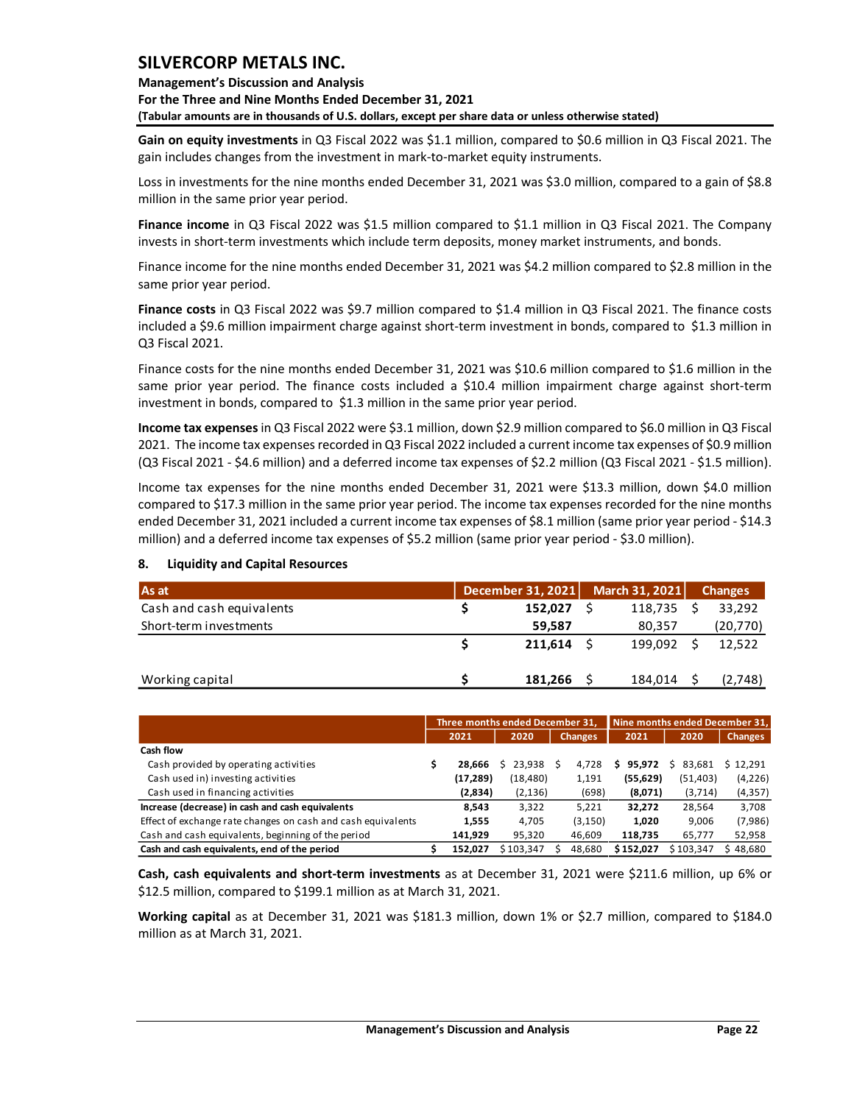### **Management's Discussion and Analysis For the Three and Nine Months Ended December 31, 2021 (Tabular amounts are in thousands of U.S. dollars, except per share data or unless otherwise stated)**

**Gain on equity investments** in Q3 Fiscal 2022 was \$1.1 million, compared to \$0.6 million in Q3 Fiscal 2021. The gain includes changes from the investment in mark-to-market equity instruments.

Loss in investments for the nine months ended December 31, 2021 was \$3.0 million, compared to a gain of \$8.8 million in the same prior year period.

**Finance income** in Q3 Fiscal 2022 was \$1.5 million compared to \$1.1 million in Q3 Fiscal 2021. The Company invests in short-term investments which include term deposits, money market instruments, and bonds.

Finance income for the nine months ended December 31, 2021 was \$4.2 million compared to \$2.8 million in the same prior year period.

**Finance costs** in Q3 Fiscal 2022 was \$9.7 million compared to \$1.4 million in Q3 Fiscal 2021. The finance costs included a \$9.6 million impairment charge against short-term investment in bonds, compared to \$1.3 million in Q3 Fiscal 2021.

Finance costs for the nine months ended December 31, 2021 was \$10.6 million compared to \$1.6 million in the same prior year period. The finance costs included a \$10.4 million impairment charge against short-term investment in bonds, compared to \$1.3 million in the same prior year period.

**Income tax expenses** in Q3 Fiscal 2022 were \$3.1 million, down \$2.9 million compared to \$6.0 million in Q3 Fiscal 2021. The income tax expenses recorded in Q3 Fiscal 2022 included a current income tax expenses of \$0.9 million (Q3 Fiscal 2021 - \$4.6 million) and a deferred income tax expenses of \$2.2 million (Q3 Fiscal 2021 - \$1.5 million).

Income tax expenses for the nine months ended December 31, 2021 were \$13.3 million, down \$4.0 million compared to \$17.3 million in the same prior year period. The income tax expenses recorded for the nine months ended December 31, 2021 included a current income tax expenses of \$8.1 million (same prior year period - \$14.3 million) and a deferred income tax expenses of \$5.2 million (same prior year period - \$3.0 million).

| As at                     | December 31, 2021 | March 31, 2021 | <b>Changes</b> |
|---------------------------|-------------------|----------------|----------------|
| Cash and cash equivalents | 152.027           | 118,735        | 33.292         |
| Short-term investments    | 59.587            | 80.357         | (20,770)       |
|                           | 211.614           | 199.092        | 12.522         |
| Working capital           | 181,266           | 184,014        | (2,748)        |

### <span id="page-22-0"></span>**8. Liquidity and Capital Resources**

|                                                              | Three months ended December 31, |           |           |   |                | Nine months ended December 31, |             |                |  |  |  |
|--------------------------------------------------------------|---------------------------------|-----------|-----------|---|----------------|--------------------------------|-------------|----------------|--|--|--|
|                                                              |                                 | 2021      | 2020      |   | <b>Changes</b> | 2021                           | 2020        | <b>Changes</b> |  |  |  |
| <b>Cash flow</b>                                             |                                 |           |           |   |                |                                |             |                |  |  |  |
| Cash provided by operating activities                        |                                 | 28.666    | 23.938    | S | 4.728          | 95.972<br>s                    | 83.681<br>s | \$12,291       |  |  |  |
| Cash used in) investing activities                           |                                 | (17, 289) | (18, 480) |   | 1,191          | (55, 629)                      | (51, 403)   | (4,226)        |  |  |  |
| Cash used in financing activities                            |                                 | (2,834)   | (2, 136)  |   | (698)          | (8,071)                        | (3, 714)    | (4, 357)       |  |  |  |
| Increase (decrease) in cash and cash equivalents             |                                 | 8.543     | 3,322     |   | 5.221          | 32.272                         | 28.564      | 3,708          |  |  |  |
| Effect of exchange rate changes on cash and cash equivalents |                                 | 1.555     | 4.705     |   | (3, 150)       | 1.020                          | 9.006       | (7,986)        |  |  |  |
| Cash and cash equivalents, beginning of the period           |                                 | 141.929   | 95.320    |   | 46.609         | 118.735                        | 65.777      | 52,958         |  |  |  |
| Cash and cash equivalents, end of the period                 |                                 | 152.027   | \$103.347 |   | 48.680         | \$152.027                      | \$103.347   | \$48.680       |  |  |  |

**Cash, cash equivalents and short-term investments** as at December 31, 2021 were \$211.6 million, up 6% or \$12.5 million, compared to \$199.1 million as at March 31, 2021.

**Working capital** as at December 31, 2021 was \$181.3 million, down 1% or \$2.7 million, compared to \$184.0 million as at March 31, 2021.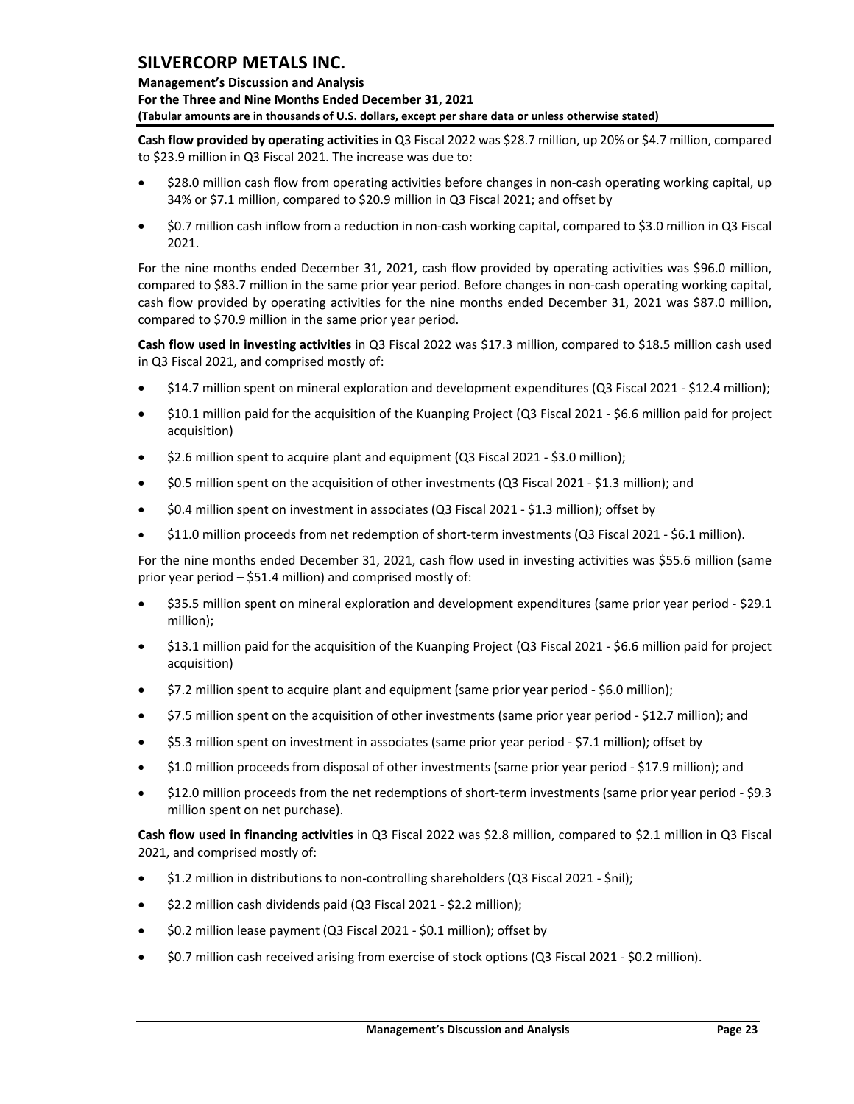**Management's Discussion and Analysis** 

**For the Three and Nine Months Ended December 31, 2021**

**(Tabular amounts are in thousands of U.S. dollars, except per share data or unless otherwise stated)** 

**Cash flow provided by operating activities**in Q3 Fiscal 2022 was \$28.7 million, up 20% or \$4.7 million, compared to \$23.9 million in Q3 Fiscal 2021. The increase was due to:

- \$28.0 million cash flow from operating activities before changes in non-cash operating working capital, up 34% or \$7.1 million, compared to \$20.9 million in Q3 Fiscal 2021; and offset by
- \$0.7 million cash inflow from a reduction in non-cash working capital, compared to \$3.0 million in Q3 Fiscal 2021.

For the nine months ended December 31, 2021, cash flow provided by operating activities was \$96.0 million, compared to \$83.7 million in the same prior year period. Before changes in non-cash operating working capital, cash flow provided by operating activities for the nine months ended December 31, 2021 was \$87.0 million, compared to \$70.9 million in the same prior year period.

**Cash flow used in investing activities** in Q3 Fiscal 2022 was \$17.3 million, compared to \$18.5 million cash used in Q3 Fiscal 2021, and comprised mostly of:

- \$14.7 million spent on mineral exploration and development expenditures (Q3 Fiscal 2021 \$12.4 million);
- \$10.1 million paid for the acquisition of the Kuanping Project (Q3 Fiscal 2021 \$6.6 million paid for project acquisition)
- \$2.6 million spent to acquire plant and equipment (Q3 Fiscal 2021 \$3.0 million);
- \$0.5 million spent on the acquisition of other investments (Q3 Fiscal 2021 \$1.3 million); and
- \$0.4 million spent on investment in associates (Q3 Fiscal 2021 \$1.3 million); offset by
- \$11.0 million proceeds from net redemption of short-term investments (Q3 Fiscal 2021 \$6.1 million).

For the nine months ended December 31, 2021, cash flow used in investing activities was \$55.6 million (same prior year period – \$51.4 million) and comprised mostly of:

- \$35.5 million spent on mineral exploration and development expenditures (same prior year period \$29.1 million);
- \$13.1 million paid for the acquisition of the Kuanping Project (Q3 Fiscal 2021 \$6.6 million paid for project acquisition)
- \$7.2 million spent to acquire plant and equipment (same prior year period \$6.0 million);
- \$7.5 million spent on the acquisition of other investments (same prior year period \$12.7 million); and
- \$5.3 million spent on investment in associates (same prior year period \$7.1 million); offset by
- \$1.0 million proceeds from disposal of other investments (same prior year period \$17.9 million); and
- \$12.0 million proceeds from the net redemptions of short-term investments (same prior year period \$9.3 million spent on net purchase).

**Cash flow used in financing activities** in Q3 Fiscal 2022 was \$2.8 million, compared to \$2.1 million in Q3 Fiscal 2021, and comprised mostly of:

- \$1.2 million in distributions to non-controlling shareholders (Q3 Fiscal 2021 \$nil);
- \$2.2 million cash dividends paid (Q3 Fiscal 2021 \$2.2 million);
- \$0.2 million lease payment (Q3 Fiscal 2021 \$0.1 million); offset by
- \$0.7 million cash received arising from exercise of stock options (Q3 Fiscal 2021 \$0.2 million).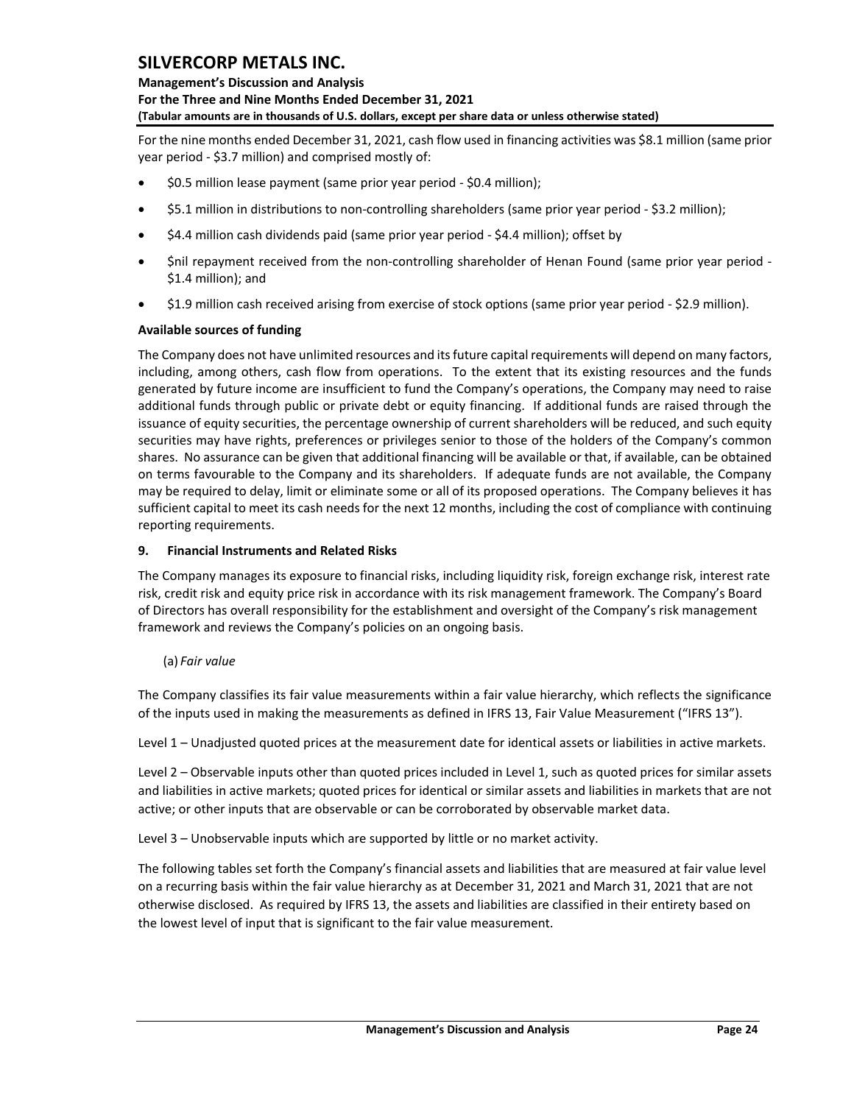**Management's Discussion and Analysis** 

**For the Three and Nine Months Ended December 31, 2021 (Tabular amounts are in thousands of U.S. dollars, except per share data or unless otherwise stated)** 

For the nine months ended December 31, 2021, cash flow used in financing activities was \$8.1 million (same prior year period - \$3.7 million) and comprised mostly of:

- \$0.5 million lease payment (same prior year period \$0.4 million);
- \$5.1 million in distributions to non-controlling shareholders (same prior year period \$3.2 million);
- \$4.4 million cash dividends paid (same prior year period \$4.4 million); offset by
- \$nil repayment received from the non-controlling shareholder of Henan Found (same prior year period \$1.4 million); and
- \$1.9 million cash received arising from exercise of stock options (same prior year period \$2.9 million).

### **Available sources of funding**

The Company does not have unlimited resources and its future capital requirements will depend on many factors, including, among others, cash flow from operations. To the extent that its existing resources and the funds generated by future income are insufficient to fund the Company's operations, the Company may need to raise additional funds through public or private debt or equity financing. If additional funds are raised through the issuance of equity securities, the percentage ownership of current shareholders will be reduced, and such equity securities may have rights, preferences or privileges senior to those of the holders of the Company's common shares. No assurance can be given that additional financing will be available or that, if available, can be obtained on terms favourable to the Company and its shareholders. If adequate funds are not available, the Company may be required to delay, limit or eliminate some or all of its proposed operations. The Company believes it has sufficient capital to meet its cash needs for the next 12 months, including the cost of compliance with continuing reporting requirements.

### <span id="page-24-0"></span>**9. Financial Instruments and Related Risks**

The Company manages its exposure to financial risks, including liquidity risk, foreign exchange risk, interest rate risk, credit risk and equity price risk in accordance with its risk management framework. The Company's Board of Directors has overall responsibility for the establishment and oversight of the Company's risk management framework and reviews the Company's policies on an ongoing basis.

#### (a) *Fair value*

The Company classifies its fair value measurements within a fair value hierarchy, which reflects the significance of the inputs used in making the measurements as defined in IFRS 13, Fair Value Measurement ("IFRS 13").

Level 1 – Unadjusted quoted prices at the measurement date for identical assets or liabilities in active markets.

Level 2 – Observable inputs other than quoted prices included in Level 1, such as quoted prices for similar assets and liabilities in active markets; quoted prices for identical or similar assets and liabilities in markets that are not active; or other inputs that are observable or can be corroborated by observable market data.

Level 3 – Unobservable inputs which are supported by little or no market activity.

The following tables set forth the Company's financial assets and liabilities that are measured at fair value level on a recurring basis within the fair value hierarchy as at December 31, 2021 and March 31, 2021 that are not otherwise disclosed. As required by IFRS 13, the assets and liabilities are classified in their entirety based on the lowest level of input that is significant to the fair value measurement.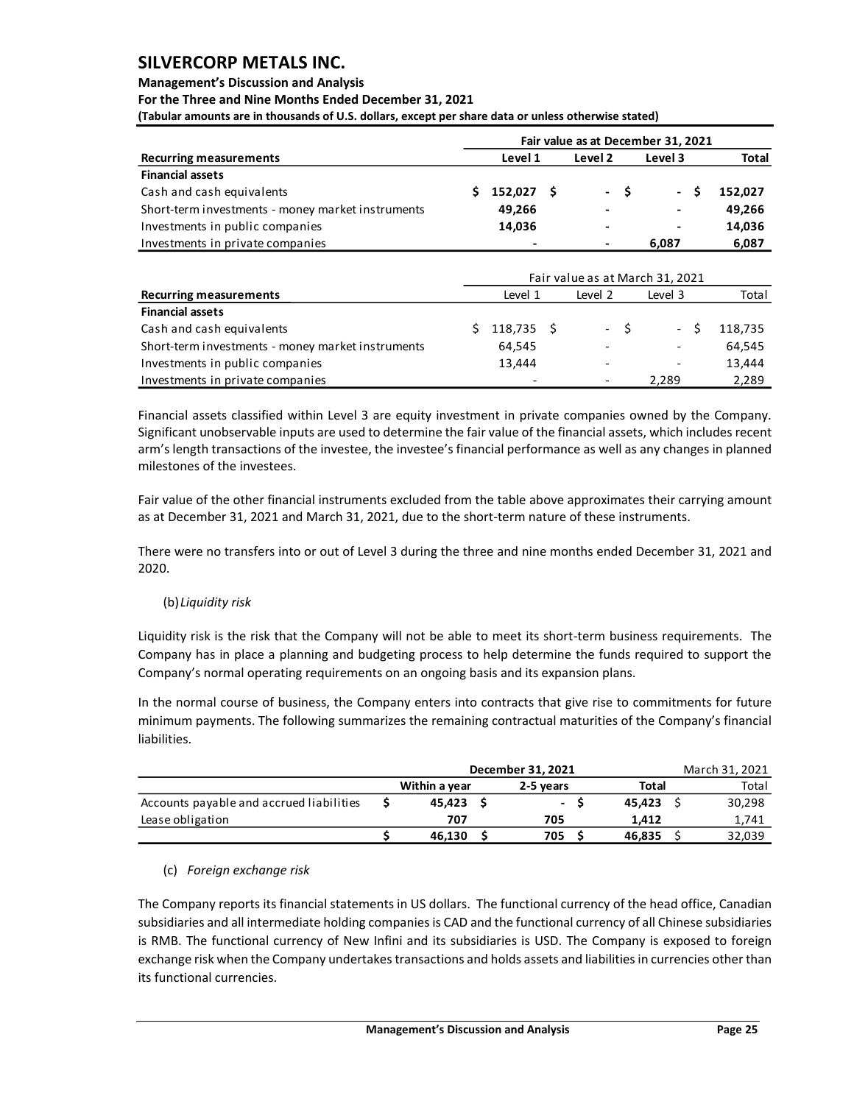## **Management's Discussion and Analysis**

### **For the Three and Nine Months Ended December 31, 2021**

**(Tabular amounts are in thousands of U.S. dollars, except per share data or unless otherwise stated)** 

|                                                   | Fair value as at December 31, 2021 |                          |  |                          |  |         |              |  |  |  |  |  |
|---------------------------------------------------|------------------------------------|--------------------------|--|--------------------------|--|---------|--------------|--|--|--|--|--|
| <b>Recurring measurements</b>                     |                                    | Level 1                  |  |                          |  | Level 3 | <b>Total</b> |  |  |  |  |  |
| <b>Financial assets</b>                           |                                    |                          |  |                          |  |         |              |  |  |  |  |  |
| Cash and cash equivalents                         |                                    | $152,027$ \$             |  | $-S$                     |  | $\sim$  | 152.027      |  |  |  |  |  |
| Short-term investments - money market instruments |                                    | 49,266                   |  |                          |  | -       | 49,266       |  |  |  |  |  |
| Investments in public companies                   |                                    | 14,036                   |  | $\overline{\phantom{0}}$ |  | -       | 14,036       |  |  |  |  |  |
| Investments in private companies                  |                                    | $\overline{\phantom{a}}$ |  |                          |  | 6.087   | 6,087        |  |  |  |  |  |

|                                                   | Fair value as at March 31, 2021 |                               |  |                          |  |            |         |  |  |
|---------------------------------------------------|---------------------------------|-------------------------------|--|--------------------------|--|------------|---------|--|--|
| <b>Recurring measurements</b>                     |                                 | Level 1<br>Level 2<br>Level 3 |  |                          |  |            | Total   |  |  |
| <b>Financial assets</b>                           |                                 |                               |  |                          |  |            |         |  |  |
| Cash and cash equivalents                         |                                 | 118,735 \$                    |  | $-S$                     |  | $\sim$ $-$ | 118.735 |  |  |
| Short-term investments - money market instruments |                                 | 64,545                        |  | $\overline{\phantom{0}}$ |  | -          | 64,545  |  |  |
| Investments in public companies                   |                                 | 13.444                        |  |                          |  |            | 13,444  |  |  |
| Investments in private companies                  |                                 |                               |  |                          |  | 2.289      | 2,289   |  |  |

Financial assets classified within Level 3 are equity investment in private companies owned by the Company. Significant unobservable inputs are used to determine the fair value of the financial assets, which includes recent arm's length transactions of the investee, the investee's financial performance as well as any changes in planned milestones of the investees.

Fair value of the other financial instruments excluded from the table above approximates their carrying amount as at December 31, 2021 and March 31, 2021, due to the short-term nature of these instruments.

There were no transfers into or out of Level 3 during the three and nine months ended December 31, 2021 and 2020.

#### (b)*Liquidity risk*

Liquidity risk is the risk that the Company will not be able to meet its short-term business requirements. The Company has in place a planning and budgeting process to help determine the funds required to support the Company's normal operating requirements on an ongoing basis and its expansion plans.

In the normal course of business, the Company enters into contracts that give rise to commitments for future minimum payments. The following summarizes the remaining contractual maturities of the Company's financial liabilities.

|                                          | December 31, 2021 | March 31, 2021 |        |        |  |  |
|------------------------------------------|-------------------|----------------|--------|--------|--|--|
|                                          | Within a year     | 2-5 years      | Total  | Total  |  |  |
| Accounts payable and accrued liabilities | 45.423            | $\sim$         | 45.423 | 30,298 |  |  |
| Lease obligation                         | 707               | 705            | 1.412  | 1,741  |  |  |
|                                          | 46.130            | 705            | 46.835 | 32,039 |  |  |

#### (c) *Foreign exchange risk*

The Company reports its financial statements in US dollars. The functional currency of the head office, Canadian subsidiaries and all intermediate holding companies is CAD and the functional currency of all Chinese subsidiaries is RMB. The functional currency of New Infini and its subsidiaries is USD. The Company is exposed to foreign exchange risk when the Company undertakes transactions and holds assets and liabilities in currencies other than its functional currencies.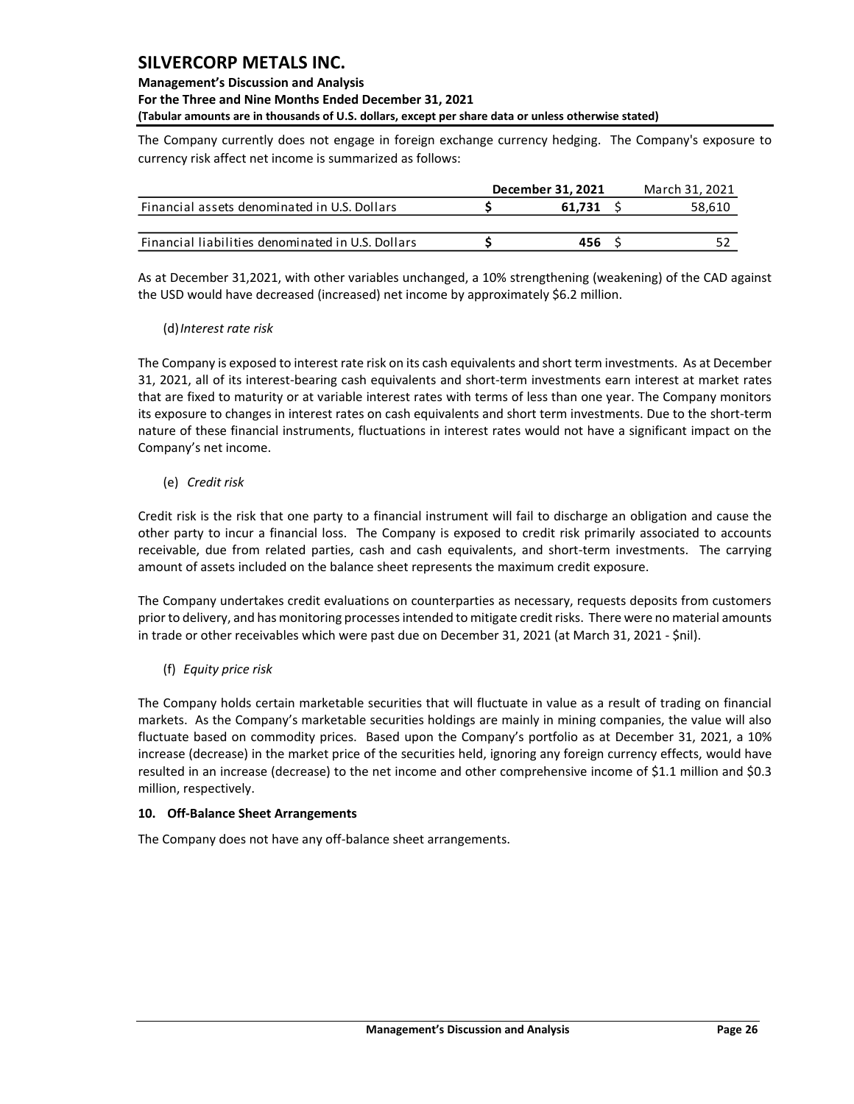### **Management's Discussion and Analysis**

#### **For the Three and Nine Months Ended December 31, 2021**

**(Tabular amounts are in thousands of U.S. dollars, except per share data or unless otherwise stated)** 

The Company currently does not engage in foreign exchange currency hedging. The Company's exposure to currency risk affect net income is summarized as follows:

|                                                   | December 31, 2021 | March 31, 2021 |
|---------------------------------------------------|-------------------|----------------|
| Financial assets denominated in U.S. Dollars      | 61.731            | 58.610         |
|                                                   |                   |                |
| Financial liabilities denominated in U.S. Dollars | 456               |                |

As at December 31,2021, with other variables unchanged, a 10% strengthening (weakening) of the CAD against the USD would have decreased (increased) net income by approximately \$6.2 million.

#### (d)*Interest rate risk*

The Company is exposed to interest rate risk on its cash equivalents and short term investments. As at December 31, 2021, all of its interest-bearing cash equivalents and short-term investments earn interest at market rates that are fixed to maturity or at variable interest rates with terms of less than one year. The Company monitors its exposure to changes in interest rates on cash equivalents and short term investments. Due to the short-term nature of these financial instruments, fluctuations in interest rates would not have a significant impact on the Company's net income.

## (e) *Credit risk*

Credit risk is the risk that one party to a financial instrument will fail to discharge an obligation and cause the other party to incur a financial loss. The Company is exposed to credit risk primarily associated to accounts receivable, due from related parties, cash and cash equivalents, and short-term investments. The carrying amount of assets included on the balance sheet represents the maximum credit exposure.

The Company undertakes credit evaluations on counterparties as necessary, requests deposits from customers prior to delivery, and has monitoring processes intended to mitigate credit risks. There were no material amounts in trade or other receivables which were past due on December 31, 2021 (at March 31, 2021 - \$nil).

(f) *Equity price risk*

The Company holds certain marketable securities that will fluctuate in value as a result of trading on financial markets. As the Company's marketable securities holdings are mainly in mining companies, the value will also fluctuate based on commodity prices. Based upon the Company's portfolio as at December 31, 2021, a 10% increase (decrease) in the market price of the securities held, ignoring any foreign currency effects, would have resulted in an increase (decrease) to the net income and other comprehensive income of \$1.1 million and \$0.3 million, respectively.

#### <span id="page-26-0"></span>**10. Off-Balance Sheet Arrangements**

<span id="page-26-1"></span>The Company does not have any off-balance sheet arrangements.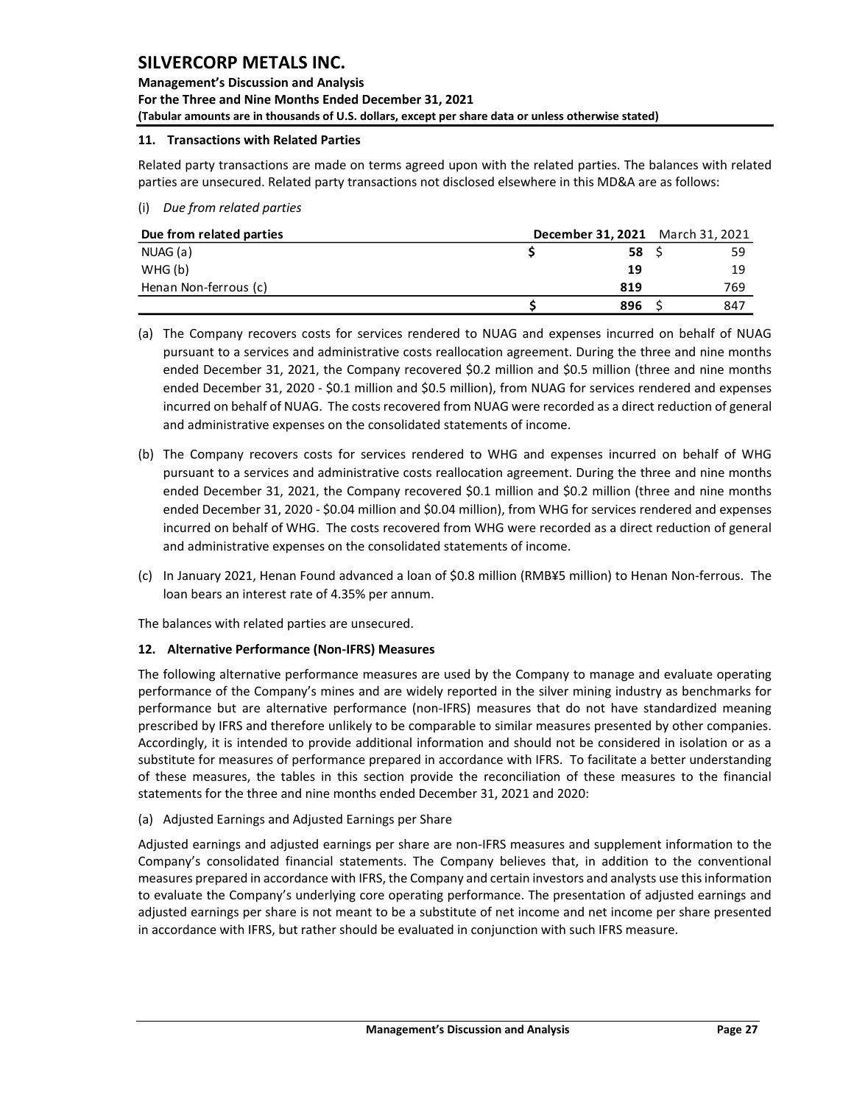## **Management's Discussion and Analysis For the Three and Nine Months Ended December 31, 2021 (Tabular amounts are in thousands of U.S. dollars, except per share data or unless otherwise stated)**

#### **11. Transactions with Related Parties**

Related party transactions are made on terms agreed upon with the related parties. The balances with related parties are unsecured. Related party transactions not disclosed elsewhere in this MD&A are as follows:

### (i) *Due from related parties*

| Due from related parties |      | <b>December 31, 2021</b> March 31, 2021 |
|--------------------------|------|-----------------------------------------|
| NUAG (a)                 | 58 S | 59                                      |
| WHG(b)                   | 19   | 19                                      |
| Henan Non-ferrous (c)    | 819  | 769                                     |
|                          | 896  | 847                                     |

(a) The Company recovers costs for services rendered to NUAG and expenses incurred on behalf of NUAG pursuant to a services and administrative costs reallocation agreement. During the three and nine months ended December 31, 2021, the Company recovered \$0.2 million and \$0.5 million (three and nine months ended December 31, 2020 - \$0.1 million and \$0.5 million), from NUAG for services rendered and expenses incurred on behalf of NUAG. The costs recovered from NUAG were recorded as a direct reduction of general and administrative expenses on the consolidated statements of income.

- (b) The Company recovers costs for services rendered to WHG and expenses incurred on behalf of WHG pursuant to a services and administrative costs reallocation agreement. During the three and nine months ended December 31, 2021, the Company recovered \$0.1 million and \$0.2 million (three and nine months ended December 31, 2020 - \$0.04 million and \$0.04 million), from WHG for services rendered and expenses incurred on behalf of WHG. The costs recovered from WHG were recorded as a direct reduction of general and administrative expenses on the consolidated statements of income.
- (c) In January 2021, Henan Found advanced a loan of \$0.8 million (RMB¥5 million) to Henan Non-ferrous. The loan bears an interest rate of 4.35% per annum.

The balances with related parties are unsecured.

## <span id="page-27-0"></span>**12. Alternative Performance (Non-IFRS) Measures**

The following alternative performance measures are used by the Company to manage and evaluate operating performance of the Company's mines and are widely reported in the silver mining industry as benchmarks for performance but are alternative performance (non-IFRS) measures that do not have standardized meaning prescribed by IFRS and therefore unlikely to be comparable to similar measures presented by other companies. Accordingly, it is intended to provide additional information and should not be considered in isolation or as a substitute for measures of performance prepared in accordance with IFRS. To facilitate a better understanding of these measures, the tables in this section provide the reconciliation of these measures to the financial statements for the three and nine months ended December 31, 2021 and 2020:

#### (a) Adjusted Earnings and Adjusted Earnings per Share

Adjusted earnings and adjusted earnings per share are non-IFRS measures and supplement information to the Company's consolidated financial statements. The Company believes that, in addition to the conventional measures prepared in accordance with IFRS, the Company and certain investors and analysts use this information to evaluate the Company's underlying core operating performance. The presentation of adjusted earnings and adjusted earnings per share is not meant to be a substitute of net income and net income per share presented in accordance with IFRS, but rather should be evaluated in conjunction with such IFRS measure.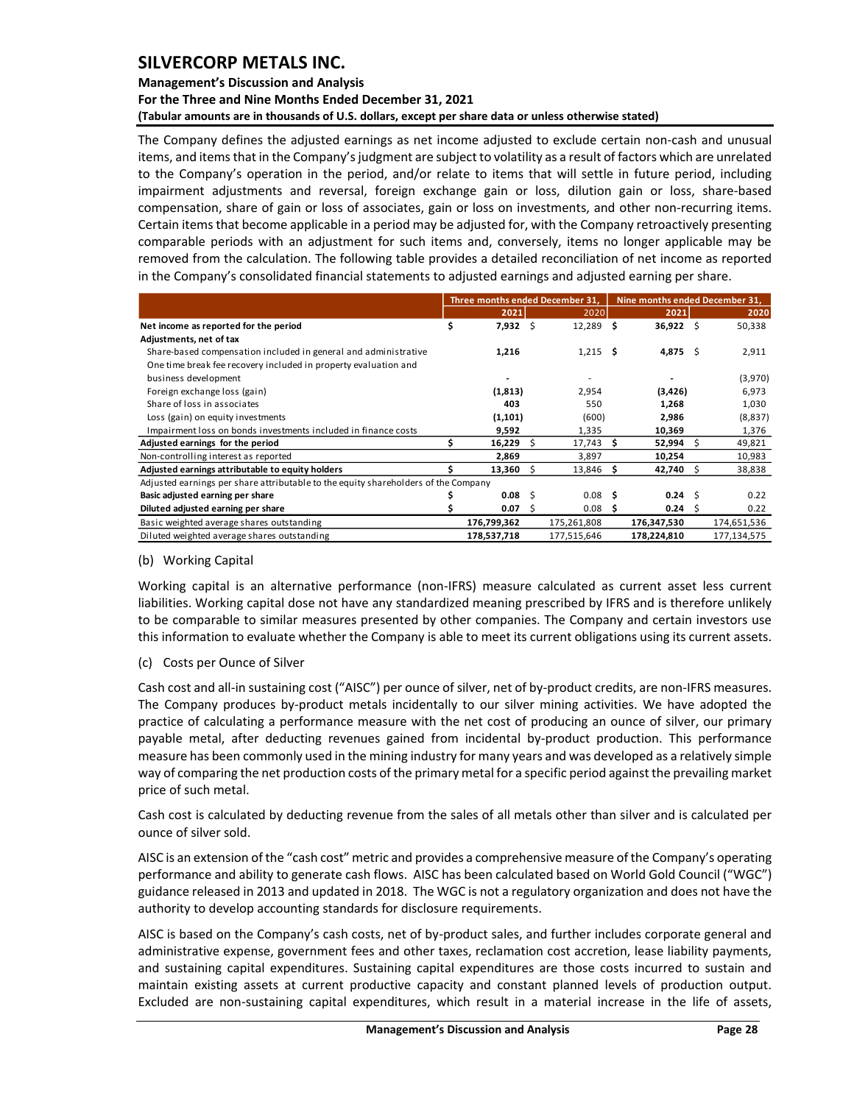### **Management's Discussion and Analysis**

**For the Three and Nine Months Ended December 31, 2021**

**(Tabular amounts are in thousands of U.S. dollars, except per share data or unless otherwise stated)** 

The Company defines the adjusted earnings as net income adjusted to exclude certain non-cash and unusual items, and items that in the Company's judgment are subject to volatility as a result of factors which are unrelated to the Company's operation in the period, and/or relate to items that will settle in future period, including impairment adjustments and reversal, foreign exchange gain or loss, dilution gain or loss, share-based compensation, share of gain or loss of associates, gain or loss on investments, and other non-recurring items. Certain items that become applicable in a period may be adjusted for, with the Company retroactively presenting comparable periods with an adjustment for such items and, conversely, items no longer applicable may be removed from the calculation. The following table provides a detailed reconciliation of net income as reported in the Company's consolidated financial statements to adjusted earnings and adjusted earning per share.

|                                                                                                                                                                                                                                                                                                                                                                                                                                                                                                                                                                                                                                                                                                                           |    | Three months ended December 31, |                | Nine months ended December 31, |      |             |  |  |  |  |
|---------------------------------------------------------------------------------------------------------------------------------------------------------------------------------------------------------------------------------------------------------------------------------------------------------------------------------------------------------------------------------------------------------------------------------------------------------------------------------------------------------------------------------------------------------------------------------------------------------------------------------------------------------------------------------------------------------------------------|----|---------------------------------|----------------|--------------------------------|------|-------------|--|--|--|--|
|                                                                                                                                                                                                                                                                                                                                                                                                                                                                                                                                                                                                                                                                                                                           |    | 2021                            | 2020           | 2021                           |      | 2020        |  |  |  |  |
| Net income as reported for the period                                                                                                                                                                                                                                                                                                                                                                                                                                                                                                                                                                                                                                                                                     | \$ | $7,932 \quad $$                 | $12,289$ \$    | $36,922$ \$                    |      | 50,338      |  |  |  |  |
| Adjustments, net of tax                                                                                                                                                                                                                                                                                                                                                                                                                                                                                                                                                                                                                                                                                                   |    |                                 |                |                                |      |             |  |  |  |  |
| Share-based compensation included in general and administrative                                                                                                                                                                                                                                                                                                                                                                                                                                                                                                                                                                                                                                                           |    | 1,216                           | $1,215$ \$     | 4,875 S                        |      | 2,911       |  |  |  |  |
| One time break fee recovery included in property evaluation and                                                                                                                                                                                                                                                                                                                                                                                                                                                                                                                                                                                                                                                           |    |                                 |                |                                |      |             |  |  |  |  |
| business development                                                                                                                                                                                                                                                                                                                                                                                                                                                                                                                                                                                                                                                                                                      |    |                                 | $\blacksquare$ |                                |      | (3,970)     |  |  |  |  |
| Foreign exchange loss (gain)                                                                                                                                                                                                                                                                                                                                                                                                                                                                                                                                                                                                                                                                                              |    | (1, 813)                        | 2,954          | (3,426)                        |      | 6,973       |  |  |  |  |
| Share of loss in associates                                                                                                                                                                                                                                                                                                                                                                                                                                                                                                                                                                                                                                                                                               |    | 403                             | 550            | 1,268                          |      | 1,030       |  |  |  |  |
| Loss (gain) on equity investments                                                                                                                                                                                                                                                                                                                                                                                                                                                                                                                                                                                                                                                                                         |    | (1, 101)                        | (600)          | 2,986                          |      | (8,837)     |  |  |  |  |
| Impairment loss on bonds investments included in finance costs                                                                                                                                                                                                                                                                                                                                                                                                                                                                                                                                                                                                                                                            |    | 9,592                           | 1,335          | 10,369                         |      | 1,376       |  |  |  |  |
| Adjusted earnings for the period                                                                                                                                                                                                                                                                                                                                                                                                                                                                                                                                                                                                                                                                                          | \$ | 16,229                          | \$<br>17,743   | \$<br>52,994                   | \$   | 49,821      |  |  |  |  |
| Non-controlling interest as reported                                                                                                                                                                                                                                                                                                                                                                                                                                                                                                                                                                                                                                                                                      |    | 2,869                           | 3,897          | 10,254                         |      | 10,983      |  |  |  |  |
| Adjusted earnings attributable to equity holders                                                                                                                                                                                                                                                                                                                                                                                                                                                                                                                                                                                                                                                                          | \$ | 13,360                          | \$<br>13,846   | \$<br>42,740                   | \$   | 38,838      |  |  |  |  |
| Adjusted earnings per share attributable to the equity shareholders of the Company                                                                                                                                                                                                                                                                                                                                                                                                                                                                                                                                                                                                                                        |    |                                 |                |                                |      |             |  |  |  |  |
| Basic adjusted earning per share                                                                                                                                                                                                                                                                                                                                                                                                                                                                                                                                                                                                                                                                                          | Ş  | 0.08                            | \$<br>0.08     | \$<br>0.24                     | - \$ | 0.22        |  |  |  |  |
| Diluted adjusted earning per share                                                                                                                                                                                                                                                                                                                                                                                                                                                                                                                                                                                                                                                                                        | \$ | 0.07                            | \$<br>0.08     | \$<br>0.24                     | \$   | 0.22        |  |  |  |  |
| Basic weighted average shares outstanding                                                                                                                                                                                                                                                                                                                                                                                                                                                                                                                                                                                                                                                                                 |    | 176,799,362                     | 175,261,808    | 176,347,530                    |      | 174,651,536 |  |  |  |  |
| Diluted weighted average shares outstanding                                                                                                                                                                                                                                                                                                                                                                                                                                                                                                                                                                                                                                                                               |    | 178,537,718                     | 177,515,646    | 178,224,810                    |      | 177,134,575 |  |  |  |  |
| liabilities. Working capital dose not have any standardized meaning prescribed by IFRS and is therefore unlikely<br>to be comparable to similar measures presented by other companies. The Company and certain investors use<br>this information to evaluate whether the Company is able to meet its current obligations using its current assets.<br>(c) Costs per Ounce of Silver                                                                                                                                                                                                                                                                                                                                       |    |                                 |                |                                |      |             |  |  |  |  |
| Cash cost and all-in sustaining cost ("AISC") per ounce of silver, net of by-product credits, are non-IFRS measures.<br>The Company produces by-product metals incidentally to our silver mining activities. We have adopted the<br>practice of calculating a performance measure with the net cost of producing an ounce of silver, our primary<br>payable metal, after deducting revenues gained from incidental by-product production. This performance<br>measure has been commonly used in the mining industry for many years and was developed as a relatively simple<br>way of comparing the net production costs of the primary metal for a specific period against the prevailing market<br>price of such metal. |    |                                 |                |                                |      |             |  |  |  |  |
| Cash cost is calculated by deducting revenue from the sales of all metals other than silver and is calculated per<br>ounce of silver sold.                                                                                                                                                                                                                                                                                                                                                                                                                                                                                                                                                                                |    |                                 |                |                                |      |             |  |  |  |  |
| AISC is an extension of the "cash cost" metric and provides a comprehensive measure of the Company's operating<br>performance and ability to generate cash flows. AISC has been calculated based on World Gold Council ("WGC")<br>guidance released in 2013 and updated in 2018. The WGC is not a regulatory organization and does not have the<br>authority to develop accounting standards for disclosure requirements.                                                                                                                                                                                                                                                                                                 |    |                                 |                |                                |      |             |  |  |  |  |
| AISC is based on the Company's cash costs, net of by-product sales, and further includes corporate general and<br>administrative expense, government fees and other taxes, reclamation cost accretion, lease liability payments,<br>and sustaining capital expenditures. Sustaining capital expenditures are those costs incurred to sustain and<br>maintain existing assets at current productive capacity and constant planned levels of production output.<br>Excluded are non-sustaining capital expenditures, which result in a material increase in the life of assets,                                                                                                                                             |    |                                 |                |                                |      |             |  |  |  |  |

#### (b) Working Capital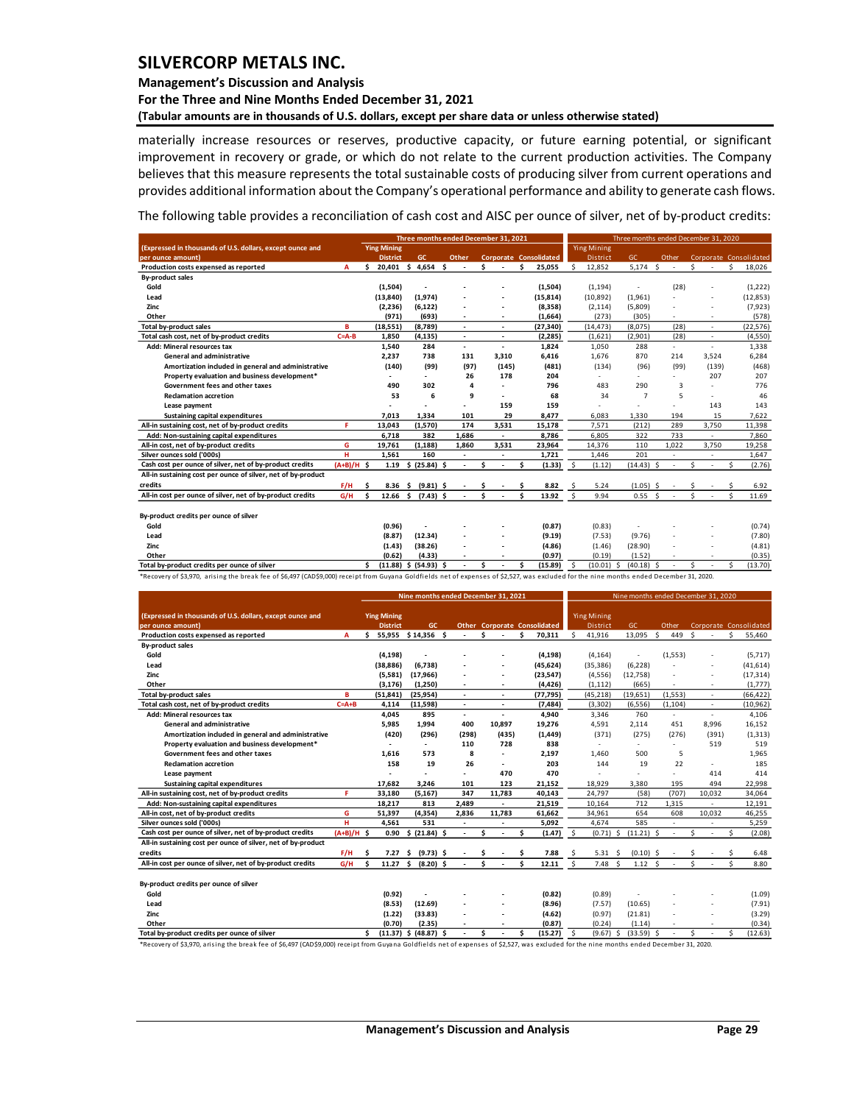#### **Management's Discussion and Analysis**

**For the Three and Nine Months Ended December 31, 2021**

**(Tabular amounts are in thousands of U.S. dollars, except per share data or unless otherwise stated)** 

materially increase resources or reserves, productive capacity, or future earning potential, or significant improvement in recovery or grade, or which do not relate to the current production activities. The Company believes that this measure represents the total sustainable costs of producing silver from current operations and provides additional information about the Company's operational performance and ability to generate cash flows.

The following table provides a reconciliation of cash cost and AISC per ounce of silver, net of by-product credits:

|                                                                                                                                                                                          |              | Three months ended December 31, 2021 |                    |                     |      |                          |   |       | Three months ended December 31, 2020 |                               |     |                    |                |    |                          |    |                          |    |                        |
|------------------------------------------------------------------------------------------------------------------------------------------------------------------------------------------|--------------|--------------------------------------|--------------------|---------------------|------|--------------------------|---|-------|--------------------------------------|-------------------------------|-----|--------------------|----------------|----|--------------------------|----|--------------------------|----|------------------------|
| (Expressed in thousands of U.S. dollars, except ounce and                                                                                                                                |              |                                      | <b>Ying Mining</b> |                     |      |                          |   |       |                                      |                               |     | <b>Ying Mining</b> |                |    |                          |    |                          |    |                        |
| per ounce amount)                                                                                                                                                                        |              |                                      | <b>District</b>    | GC.                 |      | Other                    |   |       |                                      | <b>Corporate Consolidated</b> |     | <b>District</b>    | GC             |    | Other                    |    |                          |    | Corporate Consolidated |
| Production costs expensed as reported                                                                                                                                                    | A            | Ś.                                   | 20,401             | Ś.<br>4,654         | - \$ |                          | Ś |       | Ś                                    | 25,055                        | Ś.  | 12,852             | 5,174          | \$ |                          | Ś  |                          | Ś  | 18,026                 |
| <b>By-product sales</b>                                                                                                                                                                  |              |                                      |                    |                     |      |                          |   |       |                                      |                               |     |                    |                |    |                          |    |                          |    |                        |
| Gold                                                                                                                                                                                     |              |                                      | (1, 504)           |                     |      |                          |   |       |                                      | (1,504)                       |     | (1, 194)           |                |    | (28)                     |    |                          |    | (1, 222)               |
| Lead                                                                                                                                                                                     |              |                                      | (13, 840)          | (1,974)             |      |                          |   |       |                                      | (15, 814)                     |     | (10, 892)          | (1,961)        |    |                          |    |                          |    | (12, 853)              |
| Zinc                                                                                                                                                                                     |              |                                      | (2, 236)           | (6, 122)            |      |                          |   |       |                                      | (8, 358)                      |     | (2, 114)           | (5,809)        |    |                          |    |                          |    | (7, 923)               |
| Other                                                                                                                                                                                    |              |                                      | (971)              | (693)               |      | $\overline{\phantom{a}}$ |   | ٠     |                                      | (1,664)                       |     | (273)              | (305)          |    |                          |    |                          |    | (578)                  |
| Total by-product sales                                                                                                                                                                   | в            |                                      | (18, 551)          | (8,789)             |      | ٠                        |   | ٠     |                                      | (27, 340)                     |     | (14, 473)          | (8,075)        |    | (28)                     |    | $\overline{\phantom{a}}$ |    | (22, 576)              |
| Total cash cost, net of by-product credits                                                                                                                                               | $C = A - B$  |                                      | 1,850              | (4, 135)            |      | $\sim$                   |   | ٠     |                                      | (2, 285)                      |     | (1,621)            | (2,901)        |    | (28)                     |    | $\overline{\phantom{a}}$ |    | (4,550)                |
| Add: Mineral resources tax                                                                                                                                                               |              |                                      | 1.540              | 284                 |      | $\overline{\phantom{a}}$ |   | ٠     |                                      | 1,824                         |     | 1,050              | 288            |    | $\overline{\phantom{a}}$ |    | $\overline{\phantom{a}}$ |    | 1,338                  |
| <b>General and administrative</b>                                                                                                                                                        |              |                                      | 2.237              | 738                 |      | 131                      |   | 3,310 |                                      | 6,416                         |     | 1,676              | 870            |    | 214                      |    | 3,524                    |    | 6,284                  |
| Amortization included in general and administrative                                                                                                                                      |              |                                      | (140)              | (99)                |      | (97)                     |   | (145) |                                      | (481)                         |     | (134)              | (96)           |    | (99)                     |    | (139)                    |    | (468)                  |
| Property evaluation and business development*                                                                                                                                            |              |                                      |                    |                     |      | 26                       |   | 178   |                                      | 204                           |     |                    |                |    |                          |    | 207                      |    | 207                    |
| Government fees and other taxes                                                                                                                                                          |              |                                      | 490                | 302                 |      | 4                        |   |       |                                      | 796                           |     | 483                | 290            |    | $\overline{3}$           |    |                          |    | 776                    |
| <b>Reclamation accretion</b>                                                                                                                                                             |              |                                      | 53                 | 6                   |      | 9                        |   |       |                                      | 68                            |     | 34                 | $\overline{7}$ |    | 5                        |    |                          |    | 46                     |
| Lease payment                                                                                                                                                                            |              |                                      |                    |                     |      | ٠                        |   | 159   |                                      | 159                           |     |                    | ä,             |    |                          |    | 143                      |    | 143                    |
| Sustaining capital expenditures                                                                                                                                                          |              |                                      | 7,013              | 1,334               |      | 101                      |   | 29    |                                      | 8,477                         |     | 6,083              | 1,330          |    | 194                      |    | 15                       |    | 7,622                  |
| All-in sustaining cost, net of by-product credits                                                                                                                                        | F            |                                      | 13,043             | (1,570)             |      | 174                      |   | 3,531 |                                      | 15,178                        |     | 7,571              | (212)          |    | 289                      |    | 3,750                    |    | 11,398                 |
| Add: Non-sustaining capital expenditures                                                                                                                                                 |              |                                      | 6,718              | 382                 |      | 1,686                    |   | ٠     |                                      | 8,786                         |     | 6,805              | 322            |    | 733                      |    |                          |    | 7,860                  |
| All-in cost, net of by-product credits                                                                                                                                                   | G            |                                      | 19,761             | (1, 188)            |      | 1,860                    |   | 3,531 |                                      | 23,964                        |     | 14,376             | 110            |    | 1,022                    |    | 3,750                    |    | 19,258                 |
| Silver ounces sold ('000s)                                                                                                                                                               | н            |                                      | 1,561              | 160                 |      |                          |   |       |                                      | 1,721                         |     | 1,446              | 201            |    |                          |    |                          |    | 1,647                  |
| Cash cost per ounce of silver, net of by-product credits                                                                                                                                 | $(A+B)/H$ \$ |                                      | 1.19               | \$ (25.84) \$       |      | ÷.                       | ۹ |       | \$.                                  | (1.33)                        | \$. | (1.12)             | (14.43)        | \$ |                          | Ś  | $\overline{\phantom{a}}$ | Ś. | (2.76)                 |
| All-in sustaining cost per ounce of silver, net of by-product                                                                                                                            |              |                                      |                    |                     |      |                          |   |       |                                      |                               |     |                    |                |    |                          |    |                          |    |                        |
| credits                                                                                                                                                                                  | F/H          | Ŝ.                                   | 8.36 <sub>5</sub>  | $(9.81)$ \$         |      |                          |   |       |                                      | 8.82                          | -\$ | 5.24               | (1.05)         | Š. |                          |    |                          |    | 6.92                   |
| All-in cost per ounce of silver, net of by-product credits                                                                                                                               | G/H          | Ś                                    | 12.66              | - \$<br>$(7.43)$ \$ |      |                          | Ś |       | \$.                                  | 13.92                         | Ŝ.  | 9.94               | $0.55$ \$      |    |                          | ¢. |                          |    | 11.69                  |
|                                                                                                                                                                                          |              |                                      |                    |                     |      |                          |   |       |                                      |                               |     |                    |                |    |                          |    |                          |    |                        |
| By-product credits per ounce of silver                                                                                                                                                   |              |                                      |                    |                     |      |                          |   |       |                                      |                               |     |                    |                |    |                          |    |                          |    |                        |
| Gold                                                                                                                                                                                     |              |                                      | (0.96)             |                     |      |                          |   |       |                                      | (0.87)                        |     | (0.83)             |                |    |                          |    |                          |    | (0.74)                 |
| Lead                                                                                                                                                                                     |              |                                      | (8.87)             | (12.34)             |      |                          |   |       |                                      | (9.19)                        |     | (7.53)             | (9.76)         |    |                          |    |                          |    | (7.80)                 |
| Zinc                                                                                                                                                                                     |              |                                      | (1.43)             | (38.26)             |      |                          |   |       |                                      | (4.86)                        |     | (1.46)             | (28.90)        |    |                          |    |                          |    | (4.81)                 |
| Other                                                                                                                                                                                    |              |                                      | (0.62)             | (4.33)              |      |                          |   |       |                                      | (0.97)                        |     | (0.19)             | (1.52)         |    |                          |    |                          |    | (0.35)                 |
| Total by-product credits per ounce of silver                                                                                                                                             |              | Ś.                                   | (11.88)            | $(54.93)$ \$<br>\$  |      |                          | Ś |       | Ś                                    | (15.89)                       | Ŝ   | (10.01)<br>-S      | (40.18)        | \$ |                          |    |                          | ς  | (13.70)                |
| *Recovery of \$3.970, arising the break fee of \$6.497 (CAD\$9.000) receipt from Guyana Goldfields net of expenses of \$2.527, was excluded for the nine months ended December 31, 2020. |              |                                      |                    |                     |      |                          |   |       |                                      |                               |     |                    |                |    |                          |    |                          |    |                        |

\*Recovery of \$3,970, arising the break fee of \$6,497 (CAD\$9,000) receipt from Guyana Goldfields net of expenses of \$2,527, was excluded for the nine months ended December 31, 2020.

|                                                                                |              | Nine months ended December 31, 2021   |                           |  |                          |   |                          |     | Nine months ended December 31, 2020 |     |                                       |     |              |    |          |    |                          |    |                        |
|--------------------------------------------------------------------------------|--------------|---------------------------------------|---------------------------|--|--------------------------|---|--------------------------|-----|-------------------------------------|-----|---------------------------------------|-----|--------------|----|----------|----|--------------------------|----|------------------------|
| (Expressed in thousands of U.S. dollars, except ounce and<br>per ounce amount) |              | <b>Ying Mining</b><br><b>District</b> | GC.                       |  |                          |   |                          |     | <b>Other Corporate Consolidated</b> |     | <b>Ying Mining</b><br><b>District</b> |     | GC           |    | Other    |    |                          |    | Corporate Consolidated |
| Production costs expensed as reported                                          | A            | ¢                                     | 55,955 \$14,356 \$        |  | ÷                        | Ś |                          | Ś   | 70,311                              | Ś.  | 41,916                                |     | 13,095       | -Ś | 449      | Ŝ. |                          | Ś  | 55,460                 |
| <b>By-product sales</b>                                                        |              |                                       |                           |  |                          |   |                          |     |                                     |     |                                       |     |              |    |          |    |                          |    |                        |
| Gold                                                                           |              | (4, 198)                              |                           |  |                          |   |                          |     | (4, 198)                            |     | (4, 164)                              |     |              |    | (1, 553) |    |                          |    | (5,717)                |
| Lead                                                                           |              | (38, 886)                             | (6,738)                   |  |                          |   |                          |     | (45, 624)                           |     | (35, 386)                             |     | (6, 228)     |    |          |    |                          |    | (41, 614)              |
| Zinc                                                                           |              | (5,581)                               | (17, 966)                 |  |                          |   |                          |     | (23, 547)                           |     | (4,556)                               |     | (12, 758)    |    |          |    |                          |    | (17, 314)              |
| Other                                                                          |              | (3, 176)                              | (1,250)                   |  |                          |   |                          |     | (4, 426)                            |     | (1, 112)                              |     | (665)        |    |          |    |                          |    | (1,777)                |
| Total by-product sales                                                         | B            | (51, 841)                             | (25, 954)                 |  | ٠                        |   | $\overline{\phantom{a}}$ |     | (77, 795)                           |     | (45, 218)                             |     | (19, 651)    |    | (1, 553) |    |                          |    | (66, 422)              |
| Total cash cost, net of by-product credits                                     | $C = A + B$  | 4,114                                 | (11,598)                  |  | $\sim$                   |   | ٠                        |     | (7, 484)                            |     | (3,302)                               |     | (6, 556)     |    | (1, 104) |    |                          |    | (10, 962)              |
| Add: Mineral resources tax                                                     |              | 4,045                                 | 895                       |  | $\overline{\phantom{a}}$ |   | ٠                        |     | 4,940                               |     | 3,346                                 |     | 760          |    |          |    |                          |    | 4,106                  |
| General and administrative                                                     |              | 5.985                                 | 1.994                     |  | 400                      |   | 10.897                   |     | 19,276                              |     | 4,591                                 |     | 2.114        |    | 451      |    | 8.996                    |    | 16,152                 |
| Amortization included in general and administrative                            |              | (420)                                 | (296)                     |  | (298)                    |   | (435)                    |     | (1, 449)                            |     | (371)                                 |     | (275)        |    | (276)    |    | (391)                    |    | (1, 313)               |
| Property evaluation and business development*                                  |              | $\overline{a}$                        | $\overline{\phantom{a}}$  |  | 110                      |   | 728                      |     | 838                                 |     |                                       |     | $\sim$       |    | $\sim$   |    | 519                      |    | 519                    |
| Government fees and other taxes                                                |              | 1.616                                 | 573                       |  | 8                        |   | ٠                        |     | 2,197                               |     | 1.460                                 |     | 500          |    | 5        |    |                          |    | 1,965                  |
| <b>Reclamation accretion</b>                                                   |              | 158                                   | 19                        |  | 26                       |   | ٠                        |     | 203                                 |     | 144                                   |     | 19           |    | 22       |    | $\overline{a}$           |    | 185                    |
| Lease payment                                                                  |              |                                       |                           |  | ٠                        |   | 470                      |     | 470                                 |     |                                       |     | ÷            |    |          |    | 414                      |    | 414                    |
| Sustaining capital expenditures                                                |              | 17,682                                | 3,246                     |  | 101                      |   | 123                      |     | 21,152                              |     | 18,929                                |     | 3,380        |    | 195      |    | 494                      |    | 22,998                 |
| All-in sustaining cost, net of by-product credits                              | я            | 33,180                                | (5, 167)                  |  | 347                      |   | 11,783                   |     | 40,143                              |     | 24,797                                |     | (58)         |    | (707)    |    | 10,032                   |    | 34,064                 |
| Add: Non-sustaining capital expenditures                                       |              | 18,217                                | 813                       |  | 2,489                    |   | $\sim$                   |     | 21,519                              |     | 10,164                                |     | 712          |    | 1,315    |    | $\overline{\phantom{a}}$ |    | 12,191                 |
| All-in cost, net of by-product credits                                         | G            | 51,397                                | (4, 354)                  |  | 2,836                    |   | 11,783                   |     | 61,662                              |     | 34,961                                |     | 654          |    | 608      |    | 10,032                   |    | 46,255                 |
| Silver ounces sold ('000s)                                                     | н            | 4,561                                 | 531                       |  | ٠                        |   |                          |     | 5,092                               |     | 4,674                                 |     | 585          |    |          |    |                          |    | 5,259                  |
| Cash cost per ounce of silver, net of by-product credits                       | $(A+B)/H$ \$ | 0.90                                  | \$ (21.84) \$             |  | $\overline{\phantom{a}}$ | Ś |                          | \$. | (1.47)                              | \$. | $(0.71)$ \$                           |     | (11.21)      | \$ |          | Ś  |                          | Ŝ  | (2.08)                 |
| All-in sustaining cost per ounce of silver, net of by-product                  |              |                                       |                           |  |                          |   |                          |     |                                     |     |                                       |     |              |    |          |    |                          |    |                        |
| credits                                                                        | F/H          | 7.27                                  | $(9.73)$ \$<br>\$.        |  |                          | Ś |                          | \$  | 7.88                                | Ŝ   | 5.31                                  | - S | $(0.10)$ \$  |    |          | Ś  |                          |    | 6.48                   |
| All-in cost per ounce of silver, net of by-product credits                     | G/H          | Ś<br>11.27                            | $(8.20)$ \$<br>Ŝ          |  |                          | ¢ |                          | \$. | 12.11                               | Ŝ.  | 7.48 <sup>5</sup>                     |     | $1.12 \quad$ |    |          | Ś. |                          | ¢. | 8.80                   |
| By-product credits per ounce of silver                                         |              |                                       |                           |  |                          |   |                          |     |                                     |     |                                       |     |              |    |          |    |                          |    |                        |
| Gold                                                                           |              | (0.92)                                |                           |  |                          |   |                          |     | (0.82)                              |     | (0.89)                                |     |              |    |          |    |                          |    | (1.09)                 |
| Lead                                                                           |              | (8.53)                                | (12.69)                   |  |                          |   |                          |     | (8.96)                              |     | (7.57)                                |     | (10.65)      |    |          |    |                          |    | (7.91)                 |
| Zinc                                                                           |              | (1.22)                                | (33.83)                   |  |                          |   |                          |     | (4.62)                              |     | (0.97)                                |     | (21.81)      |    |          |    |                          |    | (3.29)                 |
| Other                                                                          |              | (0.70)                                | (2.35)                    |  | ٠                        |   |                          |     | (0.87)                              |     | (0.24)                                |     | (1.14)       |    |          |    |                          |    | (0.34)                 |
| Total by-product credits per ounce of silver                                   |              | \$                                    | $(11.37)$ \$ $(48.87)$ \$ |  | ÷.                       | Ś |                          | \$. | (15.27)                             | Ŝ.  | $(9.67)$ \$                           |     | $(33.59)$ \$ |    |          | Ś  |                          | Ś  | (12.63)                |

\*Recovery of \$3,970, arising the break fee of \$6,497 (CAD\$9,000) receipt from Guyana Goldfields net of expenses of \$2,527, was excluded for the nine months ended December 31, 2020.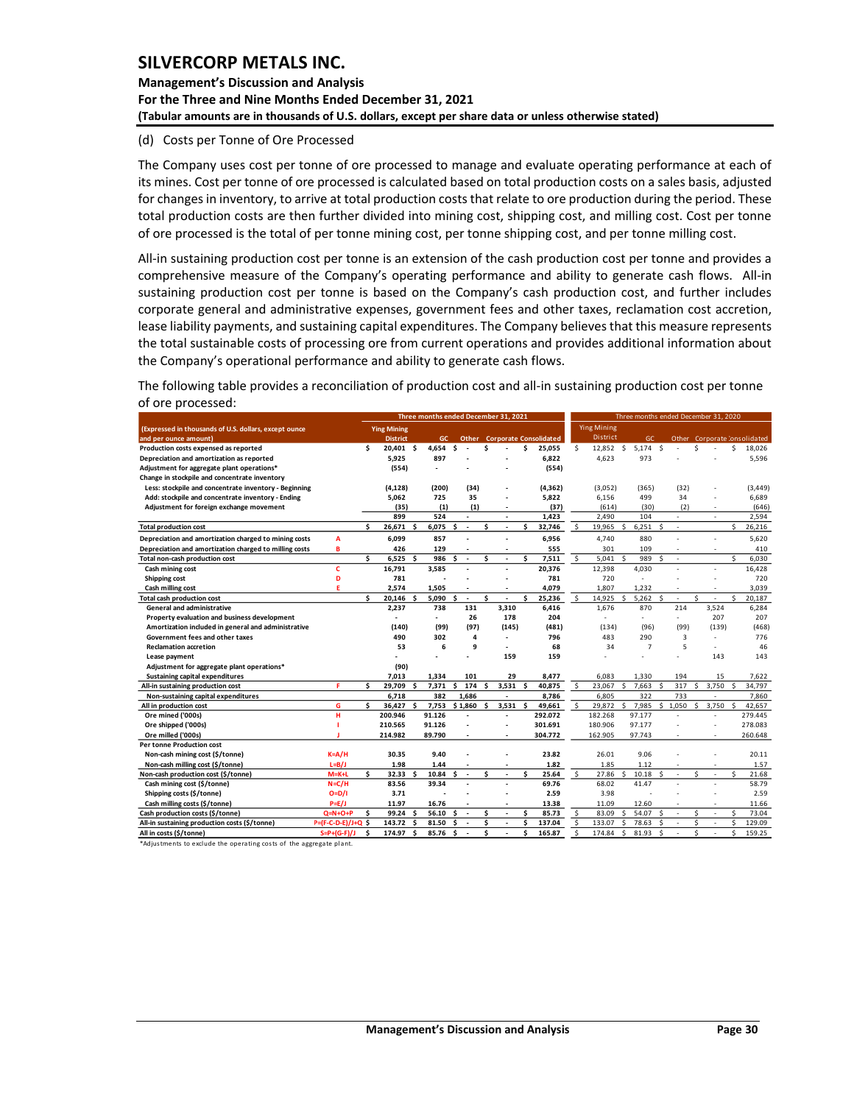## **Management's Discussion and Analysis For the Three and Nine Months Ended December 31, 2021 (Tabular amounts are in thousands of U.S. dollars, except per share data or unless otherwise stated)**

#### (d) Costs per Tonne of Ore Processed

The Company uses cost per tonne of ore processed to manage and evaluate operating performance at each of its mines. Cost per tonne of ore processed is calculated based on total production costs on a sales basis, adjusted for changes in inventory, to arrive at total production costs that relate to ore production during the period. These total production costs are then further divided into mining cost, shipping cost, and milling cost. Cost per tonne of ore processed is the total of per tonne mining cost, per tonne shipping cost, and per tonne milling cost.

All-in sustaining production cost per tonne is an extension of the cash production cost per tonne and provides a comprehensive measure of the Company's operating performance and ability to generate cash flows. All-in sustaining production cost per tonne is based on the Company's cash production cost, and further includes corporate general and administrative expenses, government fees and other taxes, reclamation cost accretion, lease liability payments, and sustaining capital expenditures. The Company believes that this measure represents the total sustainable costs of processing ore from current operations and provides additional information about the Company's operational performance and ability to generate cash flows.

The following table provides a reconciliation of production cost and all-in sustaining production cost per tonne of ore processed:

|                                                        |                     | Three months ended December 31, 2021 |                    |    |           |          |                      |     | Three months ended December 31, 2020 |    |                               |              |                    |              |                |    |                          |   |       |    |                        |
|--------------------------------------------------------|---------------------|--------------------------------------|--------------------|----|-----------|----------|----------------------|-----|--------------------------------------|----|-------------------------------|--------------|--------------------|--------------|----------------|----|--------------------------|---|-------|----|------------------------|
| (Expressed in thousands of U.S. dollars, except ounce  |                     |                                      | <b>Ying Mining</b> |    |           |          |                      |     |                                      |    |                               |              | <b>Ying Mining</b> |              |                |    |                          |   |       |    |                        |
| and per ounce amount)                                  |                     |                                      | <b>District</b>    |    | <b>GC</b> |          | Other                |     |                                      |    | <b>Corporate Consolidated</b> |              | <b>District</b>    |              | GC             |    | Other                    |   |       |    | Corporate Consolidated |
| Production costs expensed as reported                  |                     | \$                                   | 20.401 \$          |    | 4,654     | \$.      |                      | Ś   |                                      | \$ | 25,055                        | \$           | 12,852 \$          |              | $5,174$ \$     |    |                          | Ś |       | \$ | 18,026                 |
| Depreciation and amortization as reported              |                     |                                      | 5,925              |    | 897       |          |                      |     |                                      |    | 6,822                         |              | 4,623              |              | 973            |    |                          |   |       |    | 5,596                  |
| Adjustment for aggregate plant operations*             |                     |                                      | (554)              |    |           |          |                      |     |                                      |    | (554)                         |              |                    |              |                |    |                          |   |       |    |                        |
| Change in stockpile and concentrate inventory          |                     |                                      |                    |    |           |          |                      |     |                                      |    |                               |              |                    |              |                |    |                          |   |       |    |                        |
| Less: stockpile and concentrate inventory - Beginning  |                     |                                      | (4, 128)           |    | (200)     |          | (34)                 |     |                                      |    | (4, 362)                      |              | (3,052)            |              | (365)          |    | (32)                     |   |       |    | (3, 449)               |
| Add: stockpile and concentrate inventory - Ending      |                     |                                      | 5,062              |    | 725       |          | 35                   |     |                                      |    | 5.822                         |              | 6,156              |              | 499            |    | 34                       |   |       |    | 6,689                  |
| Adjustment for foreign exchange movement               |                     |                                      | (35)               |    | (1)       |          | (1)                  |     |                                      |    | (37)                          |              | (614)              |              | (30)           |    | (2)                      |   | ÷     |    | (646)                  |
|                                                        |                     |                                      | 899                |    | 524       |          | $\blacksquare$       |     | $\sim$                               |    | 1,423                         |              | 2,490              |              | 104            |    | $\overline{\phantom{a}}$ |   | ÷.    |    | 2,594                  |
| <b>Total production cost</b>                           |                     | Ś                                    | 26,671             |    | 6,075     | Ś        | $\blacksquare$       | Ś   | $\ddot{\phantom{1}}$                 | Ś  | 32,746                        | Ŝ.           | 19,965             | Ś            | 6,251          | Ś  | ÷                        |   |       | Ś  | 26,216                 |
| Depreciation and amortization charged to mining costs  | A                   |                                      | 6,099              |    | 857       |          |                      |     |                                      |    | 6,956                         |              | 4,740              |              | 880            |    |                          |   |       |    | 5,620                  |
| Depreciation and amortization charged to milling costs | в                   |                                      | 426                |    | 129       |          |                      |     |                                      |    | 555                           |              | 301                |              | 109            |    |                          |   |       |    | 410                    |
| Total non-cash production cost                         |                     | Ś                                    | 6,525              | Ŝ  | 986       | Ś        | ÷.                   | \$. | $\overline{\phantom{a}}$             | Ś  | 7,511                         | \$           | 5,041              | Ś            | 989            | ¢  | ÷.                       |   |       | Ś  | 6,030                  |
| Cash mining cost                                       | c                   |                                      | 16,791             |    | 3,585     |          |                      |     | ÷                                    |    | 20,376                        |              | 12,398             |              | 4,030          |    |                          |   | ÷     |    | 16,428                 |
| Shipping cost                                          | D                   |                                      | 781                |    |           |          |                      |     |                                      |    | 781                           |              | 720                |              |                |    |                          |   |       |    | 720                    |
| Cash milling cost                                      | F                   |                                      | 2,574              |    | 1.505     |          |                      |     |                                      |    | 4.079                         |              | 1.807              |              | 1,232          |    |                          |   |       |    | 3.039                  |
| <b>Total cash production cost</b>                      |                     | Ś.                                   | 20,146             | Ŝ  | 5,090     | Ś        | $\blacksquare$       | Ś   | $\overline{\phantom{a}}$             | \$ | 25,236                        | $\mathsf{S}$ | 14,925             | $\mathsf{S}$ | 5,262          | Ś  | $\sim$                   | Ś | ٠     | Ś  | 20,187                 |
| <b>General and administrative</b>                      |                     |                                      | 2,237              |    | 738       |          | 131                  |     | 3,310                                |    | 6,416                         |              | 1,676              |              | 870            |    | 214                      |   | 3,524 |    | 6,284                  |
| Property evaluation and business development           |                     |                                      | ٠                  |    | $\sim$    |          | 26                   |     | 178                                  |    | 204                           |              | ÷                  |              | $\sim$         |    | ÷                        |   | 207   |    | 207                    |
| Amortization included in general and administrative    |                     |                                      | (140)              |    | (99)      |          | (97)                 |     | (145)                                |    | (481)                         |              | (134)              |              | (96)           |    | (99)                     |   | (139) |    | (468)                  |
| Government fees and other taxes                        |                     |                                      | 490                |    | 302       |          | 4                    |     | ÷                                    |    | 796                           |              | 483                |              | 290            |    | 3                        |   | ÷     |    | 776                    |
| <b>Reclamation accretion</b>                           |                     |                                      | 53                 |    | 6         |          | 9                    |     |                                      |    | 68                            |              | 34                 |              | $\overline{7}$ |    | 5                        |   |       |    | 46                     |
| Lease payment                                          |                     |                                      |                    |    |           |          |                      |     | 159                                  |    | 159                           |              |                    |              |                |    |                          |   | 143   |    | 143                    |
| Adjustment for aggregate plant operations*             |                     |                                      | (90)               |    |           |          |                      |     |                                      |    |                               |              |                    |              |                |    |                          |   |       |    |                        |
| <b>Sustaining capital expenditures</b>                 |                     |                                      | 7,013              |    | 1,334     |          | 101                  |     | 29                                   |    | 8,477                         |              | 6.083              |              | 1,330          |    | 194                      |   | 15    |    | 7,622                  |
| All-in sustaining production cost                      | я                   | \$                                   | 29,709             | Ŝ  | 7,371     | Ś        | 174                  | \$. | 3,531                                | Ŝ. | 40,875                        | Ŝ            | 23.067             | Ś            | 7,663          | .s | 317                      | Ś | 3,750 | .s | 34,797                 |
| Non-sustaining capital expenditures                    |                     |                                      | 6,718              |    | 382       |          | 1,686                |     |                                      |    | 8,786                         |              | 6,805              |              | 322            |    | 733                      |   | ÷.    |    | 7,860                  |
| All in production cost                                 | G                   | Ś.                                   | 36,427             | Ŝ  | 7,753     |          | \$1.860              | \$  | 3,531                                | Ś  | 49,661                        | \$           | 29,872             | Š.           | 7,985          | Š. | 1.050                    | Ś | 3,750 | Ś  | 42,657                 |
| Ore mined ('000s)                                      | н                   |                                      | 200.946            |    | 91.126    |          |                      |     |                                      |    | 292.072                       |              | 182.268            |              | 97.177         |    |                          |   |       |    | 279.445                |
| Ore shipped ('000s)                                    |                     |                                      | 210.565            |    | 91.126    |          |                      |     | $\ddot{\phantom{1}}$                 |    | 301.691                       |              | 180.906            |              | 97.177         |    |                          |   | ÷,    |    | 278.083                |
| Ore milled ('000s)                                     |                     |                                      | 214.982            |    | 89.790    |          |                      |     | $\overline{\phantom{a}}$             |    | 304.772                       |              | 162.905            |              | 97.743         |    | ÷                        |   | ÷.    |    | 260.648                |
| <b>Per tonne Production cost</b>                       |                     |                                      |                    |    |           |          |                      |     |                                      |    |                               |              |                    |              |                |    |                          |   |       |    |                        |
| Non-cash mining cost (\$/tonne)                        | $K = A/H$           |                                      | 30.35              |    | 9.40      |          |                      |     |                                      |    | 23.82                         |              | 26.01              |              | 9.06           |    |                          |   |       |    | 20.11                  |
| Non-cash milling cost (\$/tonne)                       | L=B/J               |                                      | 1.98               |    | 1.44      |          |                      |     |                                      |    | 1.82                          |              | 1.85               |              | 1.12           |    |                          |   |       |    | 1.57                   |
| Non-cash production cost (\$/tonne)                    | $M=K+L$             | \$                                   | 32.33              | ۹  | 10.84     | Ś        | $\blacksquare$       | \$  | $\overline{\phantom{a}}$             | Ś  | 25.64                         | \$           | 27.86              | $\mathsf{s}$ | 10.18          | S  | $\overline{a}$           | Ś | ÷     | Ś  | 21.68                  |
| Cash mining cost (\$/tonne)                            | $N = C/H$           |                                      | 83.56              |    | 39.34     |          | $\ddot{\phantom{a}}$ |     | ÷                                    |    | 69.76                         |              | 68.02              |              | 41.47          |    |                          |   |       |    | 58.79                  |
| Shipping costs (\$/tonne)                              | $O=D/I$             |                                      | 3.71               |    |           |          |                      |     |                                      |    | 2.59                          |              | 3.98               |              |                |    |                          |   |       |    | 2.59                   |
| Cash milling costs (\$/tonne)                          | $P=E/J$             |                                      | 11.97              |    | 16.76     |          |                      |     | $\ddot{\phantom{1}}$                 |    | 13.38                         |              | 11.09              |              | 12.60          |    | $\overline{a}$           |   | ÷     |    | 11.66                  |
| Cash production costs (\$/tonne)                       | $Q=N+O+P$           | \$                                   | 99.24              | Ŝ. | 56.10     | Ŝ        |                      | \$  |                                      | \$ | 85.73                         | \$           | 83.09              | Š.           | 54.07          | Š. |                          | Ś |       | Ś  | 73.04                  |
| All-in sustaining production costs (\$/tonne)          | P=(F-C-D-E)/J+Q \$  |                                      | 143.72             |    | 81.50     | Ś        |                      | Ś   |                                      | ¢  | 137.04                        | Ś            | 133.07             | Ś            | 78.63          | Ś  |                          | ¢ |       | Ś  | 129.09                 |
| All in costs (\$/tonne)                                | $S = P + (G - F)/J$ | \$.                                  | 174.97             | \$ | 85.76     | <b>s</b> |                      | \$. |                                      | Ś  | 165.87                        | Ś            | 174.84             | Ś            | 81.93          | Ś  |                          | Ś | ÷     | Ś  | 159.25                 |

\*Adjustments to exclude the operating costs of the aggregate plant.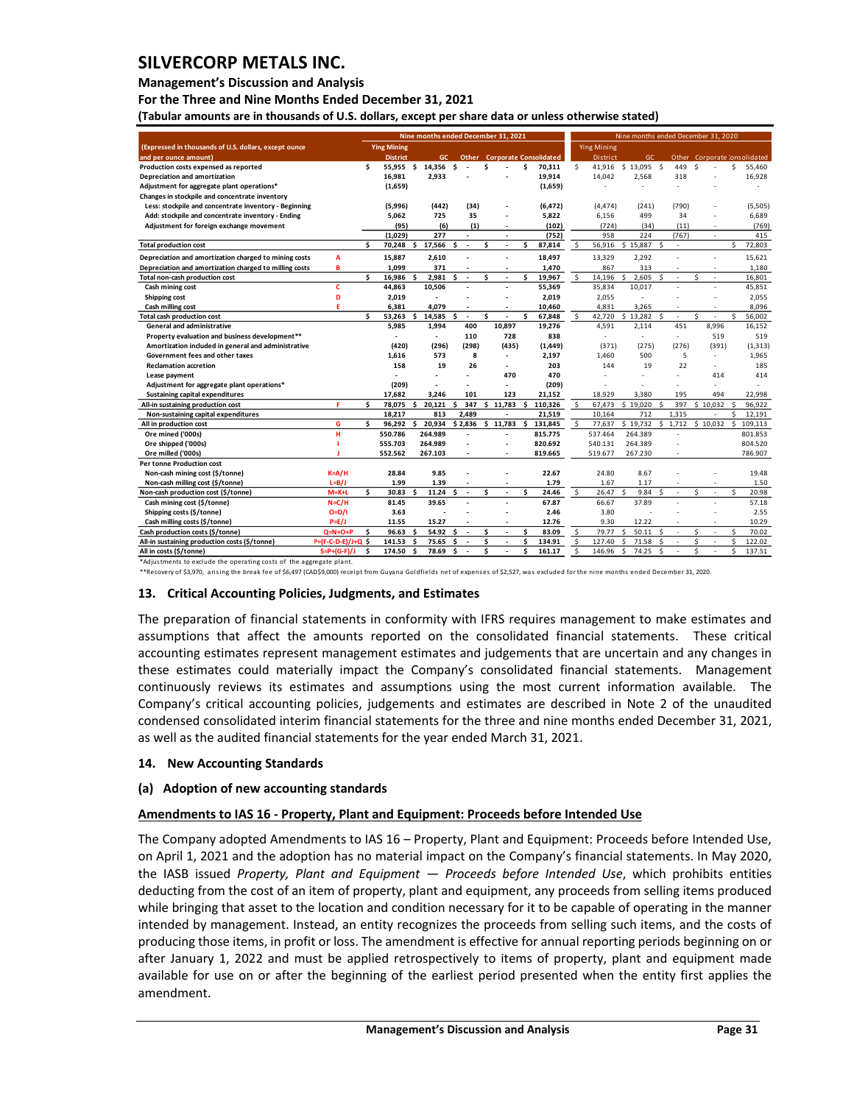#### **Management's Discussion and Analysis**

#### **For the Three and Nine Months Ended December 31, 2021**

**(Tabular amounts are in thousands of U.S. dollars, except per share data or unless otherwise stated)** 

|                                                        |                     |     |                          |    | Nine months ended December 31, 2021 |     |                          |    |                          |     |                                     |               |                    | Nine months ended December 31, 2020 |          |        |          |        |    |                        |
|--------------------------------------------------------|---------------------|-----|--------------------------|----|-------------------------------------|-----|--------------------------|----|--------------------------|-----|-------------------------------------|---------------|--------------------|-------------------------------------|----------|--------|----------|--------|----|------------------------|
| (Expressed in thousands of U.S. dollars, except ounce  |                     |     | <b>Ying Mining</b>       |    |                                     |     |                          |    |                          |     |                                     |               | <b>Ying Mining</b> |                                     |          |        |          |        |    |                        |
| and per ounce amount)                                  |                     |     | <b>District</b>          |    | GC                                  |     |                          |    |                          |     | <b>Other</b> Corporate Consolidated |               | <b>District</b>    | GC                                  |          | Other  |          |        |    | Corporate Consolidated |
| Production costs expensed as reported                  |                     | \$. |                          |    | 55,955 \$ 14,356                    | \$. | $\overline{\phantom{a}}$ | Ś  |                          | \$. | 70,311                              | Š.            | 41,916             | \$13,095                            | - Ś      | 449    | Ŝ.       |        | \$ | 55,460                 |
| Depreciation and amortization                          |                     |     | 16,981                   |    | 2.933                               |     |                          |    |                          |     | 19,914                              |               | 14,042             | 2,568                               |          | 318    |          |        |    | 16,928                 |
| Adjustment for aggregate plant operations*             |                     |     | (1,659)                  |    |                                     |     |                          |    |                          |     | (1,659)                             |               |                    | ÷                                   |          |        |          |        |    |                        |
| Changes in stockpile and concentrate inventory         |                     |     |                          |    |                                     |     |                          |    |                          |     |                                     |               |                    |                                     |          |        |          |        |    |                        |
| Less: stockpile and concentrate inventory - Beginning  |                     |     | (5,996)                  |    | (442)                               |     | (34)                     |    |                          |     | (6, 472)                            |               | (4, 474)           | (241)                               |          | (790)  |          |        |    | (5,505)                |
| Add: stockpile and concentrate inventory - Ending      |                     |     | 5,062                    |    | 725                                 |     | 35                       |    |                          |     | 5,822                               |               | 6,156              | 499                                 |          | 34     |          | ×,     |    | 6,689                  |
| Adjustment for foreign exchange movement               |                     |     | (95)                     |    | (6)                                 |     | (1)                      |    |                          |     | (102)                               |               | (724)              | (34)                                |          | (11)   |          |        |    | (769)                  |
|                                                        |                     |     | (1,029)                  |    | 277                                 |     |                          |    | $\overline{\phantom{a}}$ |     | (752)                               |               | 958                | 224                                 |          | (767)  |          | $\sim$ |    | 415                    |
| <b>Total production cost</b>                           |                     | Ś.  | 70,248                   | Ś  | 17,566                              | \$. | $\overline{\phantom{a}}$ | \$ | $\overline{\phantom{a}}$ | Ś   | 87,814                              | Ŝ.            | 56,916             | \$15,887                            | Ś        | $\sim$ |          |        | Ś. | 72,803                 |
| Depreciation and amortization charged to mining costs  | Α                   |     | 15,887                   |    | 2,610                               |     |                          |    |                          |     | 18,497                              |               | 13,329             | 2,292                               |          |        |          |        |    | 15,621                 |
| Depreciation and amortization charged to milling costs | в                   |     | 1,099                    |    | 371                                 |     | $\overline{\phantom{a}}$ |    | $\overline{\phantom{a}}$ |     | 1,470                               |               | 867                | 313                                 |          | $\sim$ |          | $\sim$ |    | 1,180                  |
| Total non-cash production cost                         |                     | \$  | 16,986                   | Ŝ  | 2,981                               | \$  | $\blacksquare$           | Ś  | $\overline{\phantom{a}}$ | Ś   | 19,967                              | \$.           | 14,196             | 2,605<br>Ŝ.                         | <b>S</b> | ÷,     | Ś        |        |    | 16,801                 |
| Cash mining cost                                       | Ċ                   |     | 44,863                   |    | 10,506                              |     |                          |    |                          |     | 55,369                              |               | 35,834             | 10.017                              |          |        |          |        |    | 45,851                 |
| <b>Shipping cost</b>                                   | D                   |     | 2,019                    |    |                                     |     |                          |    |                          |     | 2,019                               |               | 2,055              | ä,                                  |          |        |          |        |    | 2,055                  |
| Cash milling cost                                      | F                   |     | 6,381                    |    | 4,079                               |     |                          |    | $\overline{\phantom{a}}$ |     | 10,460                              |               | 4,831              | 3,265                               |          |        |          | ٠      |    | 8,096                  |
| <b>Total cash production cost</b>                      |                     | Ś   | 53,263                   | Ŝ  | 14,585                              | Ŝ.  | $\sim$                   | Ś  | $\overline{\phantom{a}}$ | Ś   | 67,848                              | -S            | 42,720             | $$13,282$ \$                        |          | ÷      | ¢        | ÷      | Š. | 56,002                 |
| General and administrative                             |                     |     | 5,985                    |    | 1.994                               |     | 400                      |    | 10.897                   |     | 19.276                              |               | 4.591              | 2.114                               |          | 451    |          | 8,996  |    | 16,152                 |
| Property evaluation and business development**         |                     |     | $\overline{\phantom{a}}$ |    | $\blacksquare$                      |     | 110                      |    | 728                      |     | 838                                 |               | ÷,                 | ÷,                                  |          | $\sim$ |          | 519    |    | 519                    |
| Amortization included in general and administrative    |                     |     | (420)                    |    | (296)                               |     | (298)                    |    | (435)                    |     | (1, 449)                            |               | (371)              | (275)                               |          | (276)  |          | (391)  |    | (1, 313)               |
| Government fees and other taxes                        |                     |     | 1,616                    |    | 573                                 |     | 8                        |    |                          |     | 2,197                               |               | 1,460              | 500                                 |          | 5      |          | ÷      |    | 1,965                  |
| <b>Reclamation accretion</b>                           |                     |     | 158                      |    | 19                                  |     | 26                       |    | $\overline{\phantom{a}}$ |     | 203                                 |               | 144                | 19                                  |          | 22     |          | ÷      |    | 185                    |
| Lease payment                                          |                     |     |                          |    |                                     |     | $\overline{a}$           |    | 470                      |     | 470                                 |               |                    |                                     |          |        |          | 414    |    | 414                    |
| Adjustment for aggregate plant operations*             |                     |     | (209)                    |    |                                     |     |                          |    |                          |     | (209)                               |               |                    |                                     |          |        |          | ä,     |    |                        |
| <b>Sustaining capital expenditures</b>                 |                     |     | 17,682                   |    | 3,246                               |     | 101                      |    | 123                      |     | 21,152                              |               | 18,929             | 3,380                               |          | 195    |          | 494    |    | 22,998                 |
| All-in sustaining production cost                      | F                   | \$. | 78,075                   | Ś  | 20.121                              | Ś   | 347                      |    | \$11,783                 | \$. | 110,326                             | \$.           | 67.473             | \$19.020                            | ς        | 397    | \$10.032 |        | Ś  | 96,922                 |
| Non-sustaining capital expenditures                    |                     |     | 18.217                   |    | 813                                 |     | 2.489                    |    |                          |     | 21,519                              |               | 10.164             | 712                                 |          | 1,315  |          |        | Ś  | 12,191                 |
| All in production cost                                 | G                   | \$. | 96,292                   | Ś  | 20,934                              |     | \$2,836                  |    | \$11,783                 | \$  | 131,845                             | <sup>\$</sup> | 77,637             | \$19,732                            | Ś        | 1,712  | \$10,032 |        |    | 109,113                |
| Ore mined ('000s)                                      | н                   |     | 550.786                  |    | 264.989                             |     |                          |    |                          |     | 815.775                             |               | 537.464            | 264.389                             |          |        |          |        |    | 801.853                |
| Ore shipped ('000s)                                    |                     |     | 555.703                  |    | 264.989                             |     |                          |    | $\ddot{\phantom{1}}$     |     | 820.692                             |               | 540.131            | 264.389                             |          |        |          |        |    | 804.520                |
| Ore milled ('000s)                                     |                     |     | 552.562                  |    | 267.103                             |     |                          |    |                          |     | 819.665                             |               | 519.677            | 267.230                             |          |        |          |        |    | 786.907                |
| <b>Per tonne Production cost</b>                       |                     |     |                          |    |                                     |     |                          |    |                          |     |                                     |               |                    |                                     |          |        |          |        |    |                        |
| Non-cash mining cost (\$/tonne)                        | $K = A/H$           |     | 28.84                    |    | 9.85                                |     |                          |    |                          |     | 22.67                               |               | 24.80              | 8.67                                |          |        |          |        |    | 19.48                  |
| Non-cash milling cost (\$/tonne)                       | $L=B/J$             |     | 1.99                     |    | 1.39                                |     |                          |    | $\overline{\phantom{a}}$ |     | 1.79                                |               | 1.67               | 1.17                                |          |        |          | ×,     |    | 1.50                   |
| Non-cash production cost (\$/tonne)                    | $M=K+L$             | Ś   | 30.83                    | Ś  | 11.24                               | \$. | $\ddot{\phantom{1}}$     | \$ | ÷                        | \$  | 24.46                               | \$            | 26.47              | \$<br>9.84                          | Ś        |        | \$       |        | Ś  | 20.98                  |
| Cash mining cost (\$/tonne)                            | $N = C/H$           |     | 81.45                    |    | 39.65                               |     |                          |    |                          |     | 67.87                               |               | 66.67              | 37.89                               |          |        |          | ÷      |    | 57.18                  |
| Shipping costs (\$/tonne)                              | $O=D/I$             |     | 3.63                     |    |                                     |     |                          |    |                          |     | 2.46                                |               | 3.80               |                                     |          |        |          | ä,     |    | 2.55                   |
| Cash milling costs (\$/tonne)                          | $P=E/J$             |     | 11.55                    |    | 15.27                               |     |                          |    |                          |     | 12.76                               |               | 9.30               | 12.22                               |          |        |          |        |    | 10.29                  |
| Cash production costs (\$/tonne)                       | $Q=N+O+P$           | \$. | 96.63                    | Ŝ  | 54.92                               | Ŝ.  |                          | Ś  |                          | Ś   | 83.09                               | Ŝ.            | 79.77              | Ŝ.<br>50.11                         | Ŝ        | $\sim$ | Ś        |        | Ś  | 70.02                  |
| All-in sustaining production costs (\$/tonne)          | P=(F-C-D-E)/J+Q \$  |     | 141.53                   | Ś  | 75.65                               | \$. |                          | Ś  | $\overline{\phantom{a}}$ | Ś   | 134.91                              | $\sf S$       | 127.40             | 71.58<br>\$                         | Ŝ        | $\sim$ | Ś        |        | Ś  | 122.02                 |
| All in costs (\$/tonne)                                | $S = P + (G - F)/J$ | \$. | 174.50                   | \$ | 78.69                               | Ŝ.  | - 4                      | Ś  |                          | Ś   | 161.17                              | Š.            | 146.96             | Ŝ.<br>74.25                         | -Ś       |        | Ś        |        | Ś  | 137.51                 |

\*Adjustments to exclude the operating costs of the aggregate plant. \*\*Recovery of \$3,970, arising the break fee of \$6,497 (CAD\$9,000) receipt from Guyana Goldfields net of expenses of \$2,527, was excluded for the nine months ended December 31, 2020.

#### <span id="page-31-0"></span>**13. Critical Accounting Policies, Judgments, and Estimates**

The preparation of financial statements in conformity with IFRS requires management to make estimates and assumptions that affect the amounts reported on the consolidated financial statements. These critical accounting estimates represent management estimates and judgements that are uncertain and any changes in these estimates could materially impact the Company's consolidated financial statements. Management continuously reviews its estimates and assumptions using the most current information available. The Company's critical accounting policies, judgements and estimates are described in Note 2 of the unaudited condensed consolidated interim financial statements for the three and nine months ended December 31, 2021, as well as the audited financial statements for the year ended March 31, 2021.

#### <span id="page-31-1"></span>**14. New Accounting Standards**

#### **(a) Adoption of new accounting standards**

#### **Amendments to IAS 16 - Property, Plant and Equipment: Proceeds before Intended Use**

The Company adopted Amendments to IAS 16 – Property, Plant and Equipment: Proceeds before Intended Use, on April 1, 2021 and the adoption has no material impact on the Company's financial statements. In May 2020, the IASB issued *Property, Plant and Equipment — Proceeds before Intended Use*, which prohibits entities deducting from the cost of an item of property, plant and equipment, any proceeds from selling items produced while bringing that asset to the location and condition necessary for it to be capable of operating in the manner intended by management. Instead, an entity recognizes the proceeds from selling such items, and the costs of producing those items, in profit or loss. The amendment is effective for annual reporting periods beginning on or after January 1, 2022 and must be applied retrospectively to items of property, plant and equipment made available for use on or after the beginning of the earliest period presented when the entity first applies the amendment.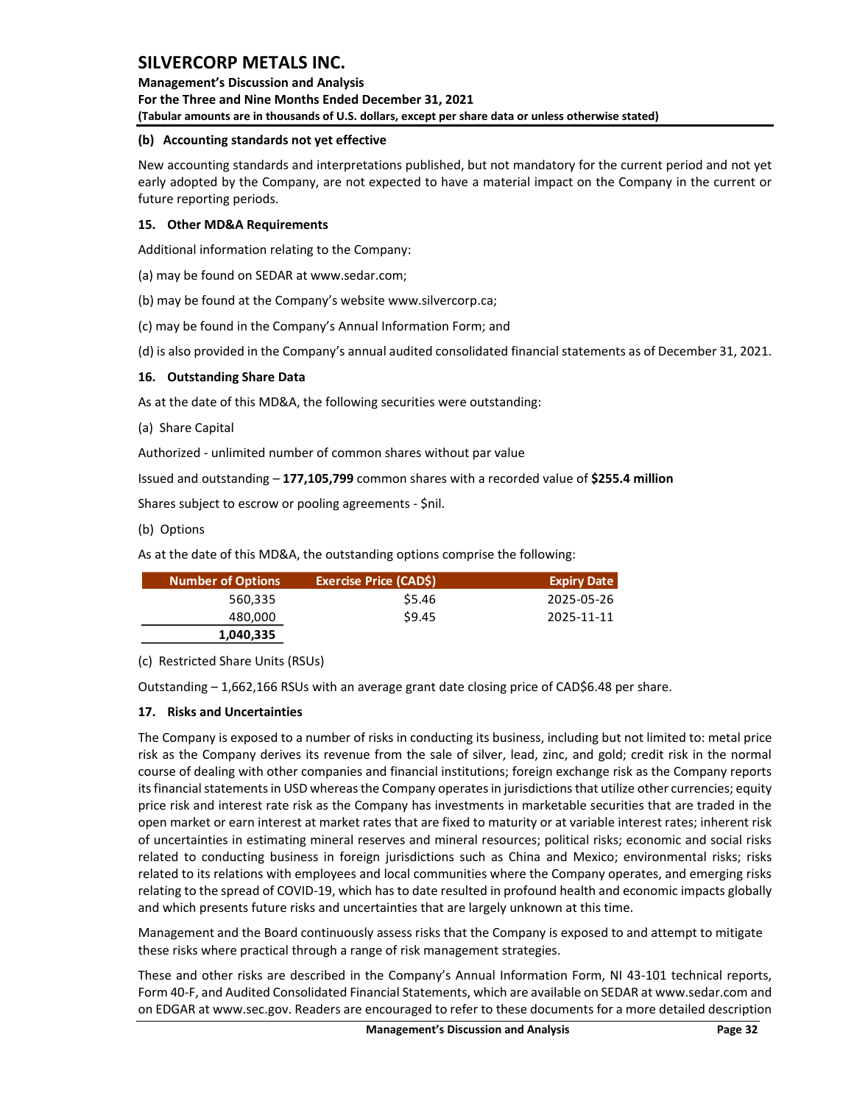**Management's Discussion and Analysis For the Three and Nine Months Ended December 31, 2021 (Tabular amounts are in thousands of U.S. dollars, except per share data or unless otherwise stated)** 

### **(b) Accounting standards not yet effective**

New accounting standards and interpretations published, but not mandatory for the current period and not yet early adopted by the Company, are not expected to have a material impact on the Company in the current or future reporting periods.

### <span id="page-32-0"></span>**15. Other MD&A Requirements**

Additional information relating to the Company:

(a) may be found on SEDAR at www.sedar.com;

(b) may be found at the Company's website www.silvercorp.ca;

(c) may be found in the Company's Annual Information Form; and

(d) is also provided in the Company's annual audited consolidated financial statements as of December 31, 2021.

### <span id="page-32-1"></span>**16. Outstanding Share Data**

As at the date of this MD&A, the following securities were outstanding:

(a) Share Capital

Authorized - unlimited number of common shares without par value

Issued and outstanding – **177,105,799** common shares with a recorded value of **\$255.4 million** 

Shares subject to escrow or pooling agreements - \$nil.

(b) Options

As at the date of this MD&A, the outstanding options comprise the following:

| Number of Options | <b>Exercise Price (CADS)</b> | <b>Expiry Date</b> |
|-------------------|------------------------------|--------------------|
| 560.335           | \$5.46                       | 2025-05-26         |
| 480,000           | \$9.45                       | 2025-11-11         |
| 1,040,335         |                              |                    |

(c) Restricted Share Units (RSUs)

Outstanding – 1,662,166 RSUs with an average grant date closing price of CAD\$6.48 per share.

## <span id="page-32-2"></span>**17. Risks and Uncertainties**

The Company is exposed to a number of risks in conducting its business, including but not limited to: metal price risk as the Company derives its revenue from the sale of silver, lead, zinc, and gold; credit risk in the normal course of dealing with other companies and financial institutions; foreign exchange risk as the Company reports its financial statements in USD whereas the Company operates in jurisdictions that utilize other currencies; equity price risk and interest rate risk as the Company has investments in marketable securities that are traded in the open market or earn interest at market rates that are fixed to maturity or at variable interest rates; inherent risk of uncertainties in estimating mineral reserves and mineral resources; political risks; economic and social risks related to conducting business in foreign jurisdictions such as China and Mexico; environmental risks; risks related to its relations with employees and local communities where the Company operates, and emerging risks relating to the spread of COVID-19, which has to date resulted in profound health and economic impacts globally and which presents future risks and uncertainties that are largely unknown at this time. **Exercise Price (CADS) Exercise Price (CADS) Exercise 2025 35.46 2025-05-26 35.46 2025-05-26 2025-11-11**<br> **CONSTANTING (PROFILM) Exercise 2026 2026 2026 2026 2026 2026 2026 2026 2026 2026** 

Management and the Board continuously assess risks that the Company is exposed to and attempt to mitigate these risks where practical through a range of risk management strategies.

These and other risks are described in the Company's Annual Information Form, NI 43-101 technical reports, Form 40-F, and Audited Consolidated Financial Statements, which are available on SEDAR at www.sedar.com and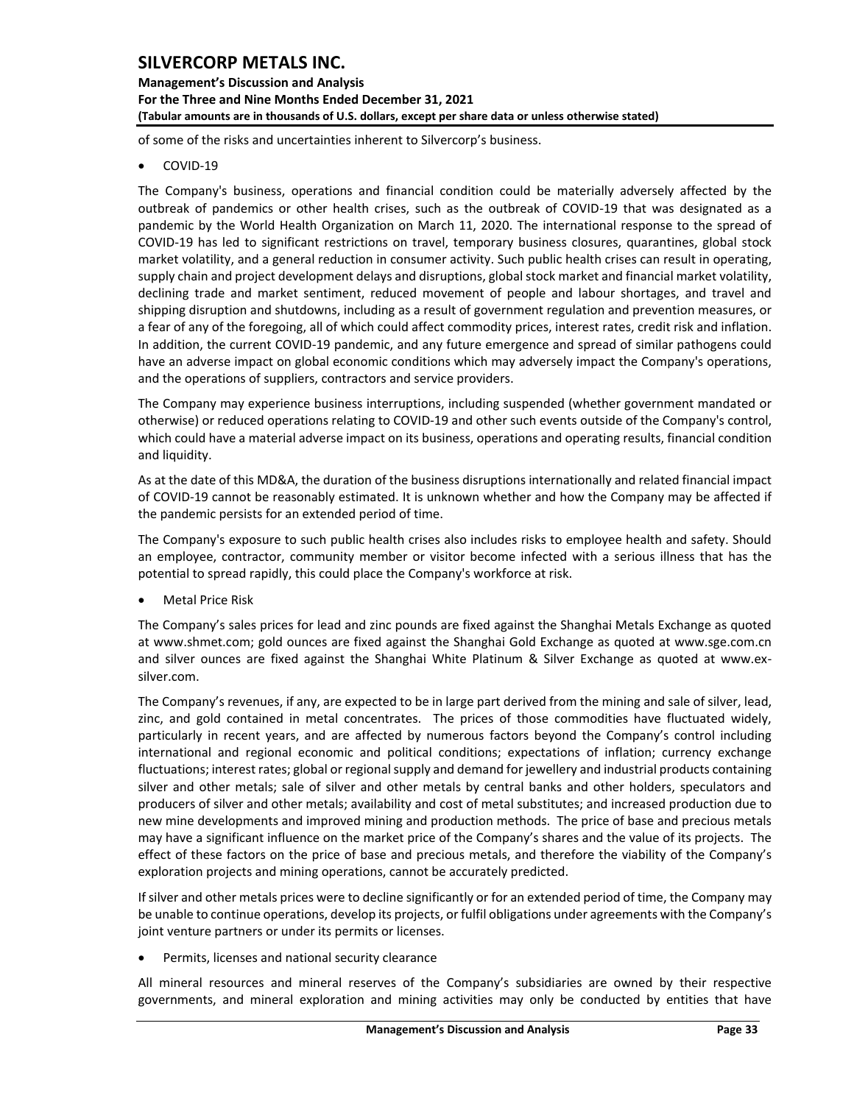## **Management's Discussion and Analysis For the Three and Nine Months Ended December 31, 2021 (Tabular amounts are in thousands of U.S. dollars, except per share data or unless otherwise stated)**

of some of the risks and uncertainties inherent to Silvercorp's business.

• COVID-19

The Company's business, operations and financial condition could be materially adversely affected by the outbreak of pandemics or other health crises, such as the outbreak of COVID-19 that was designated as a pandemic by the World Health Organization on March 11, 2020. The international response to the spread of COVID-19 has led to significant restrictions on travel, temporary business closures, quarantines, global stock market volatility, and a general reduction in consumer activity. Such public health crises can result in operating, supply chain and project development delays and disruptions, global stock market and financial market volatility, declining trade and market sentiment, reduced movement of people and labour shortages, and travel and shipping disruption and shutdowns, including as a result of government regulation and prevention measures, or a fear of any of the foregoing, all of which could affect commodity prices, interest rates, credit risk and inflation. In addition, the current COVID-19 pandemic, and any future emergence and spread of similar pathogens could have an adverse impact on global economic conditions which may adversely impact the Company's operations, and the operations of suppliers, contractors and service providers.

The Company may experience business interruptions, including suspended (whether government mandated or otherwise) or reduced operations relating to COVID-19 and other such events outside of the Company's control, which could have a material adverse impact on its business, operations and operating results, financial condition and liquidity.

As at the date of this MD&A, the duration of the business disruptions internationally and related financial impact of COVID-19 cannot be reasonably estimated. It is unknown whether and how the Company may be affected if the pandemic persists for an extended period of time.

The Company's exposure to such public health crises also includes risks to employee health and safety. Should an employee, contractor, community member or visitor become infected with a serious illness that has the potential to spread rapidly, this could place the Company's workforce at risk.

**Metal Price Risk** 

The Company's sales prices for lead and zinc pounds are fixed against the Shanghai Metals Exchange as quoted at [www.shmet.com;](http://www.shmet.com/) gold ounces are fixed against the Shanghai Gold Exchange as quoted at www.sge.com.cn and silver ounces are fixed against the Shanghai White Platinum & Silver Exchange as quoted at www.exsilver.com.

The Company's revenues, if any, are expected to be in large part derived from the mining and sale of silver, lead, zinc, and gold contained in metal concentrates. The prices of those commodities have fluctuated widely, particularly in recent years, and are affected by numerous factors beyond the Company's control including international and regional economic and political conditions; expectations of inflation; currency exchange fluctuations; interest rates; global or regional supply and demand for jewellery and industrial products containing silver and other metals; sale of silver and other metals by central banks and other holders, speculators and producers of silver and other metals; availability and cost of metal substitutes; and increased production due to new mine developments and improved mining and production methods. The price of base and precious metals may have a significant influence on the market price of the Company's shares and the value of its projects. The effect of these factors on the price of base and precious metals, and therefore the viability of the Company's exploration projects and mining operations, cannot be accurately predicted.

If silver and other metals prices were to decline significantly or for an extended period of time, the Company may be unable to continue operations, develop its projects, or fulfil obligations under agreements with the Company's joint venture partners or under its permits or licenses.

Permits, licenses and national security clearance

All mineral resources and mineral reserves of the Company's subsidiaries are owned by their respective governments, and mineral exploration and mining activities may only be conducted by entities that have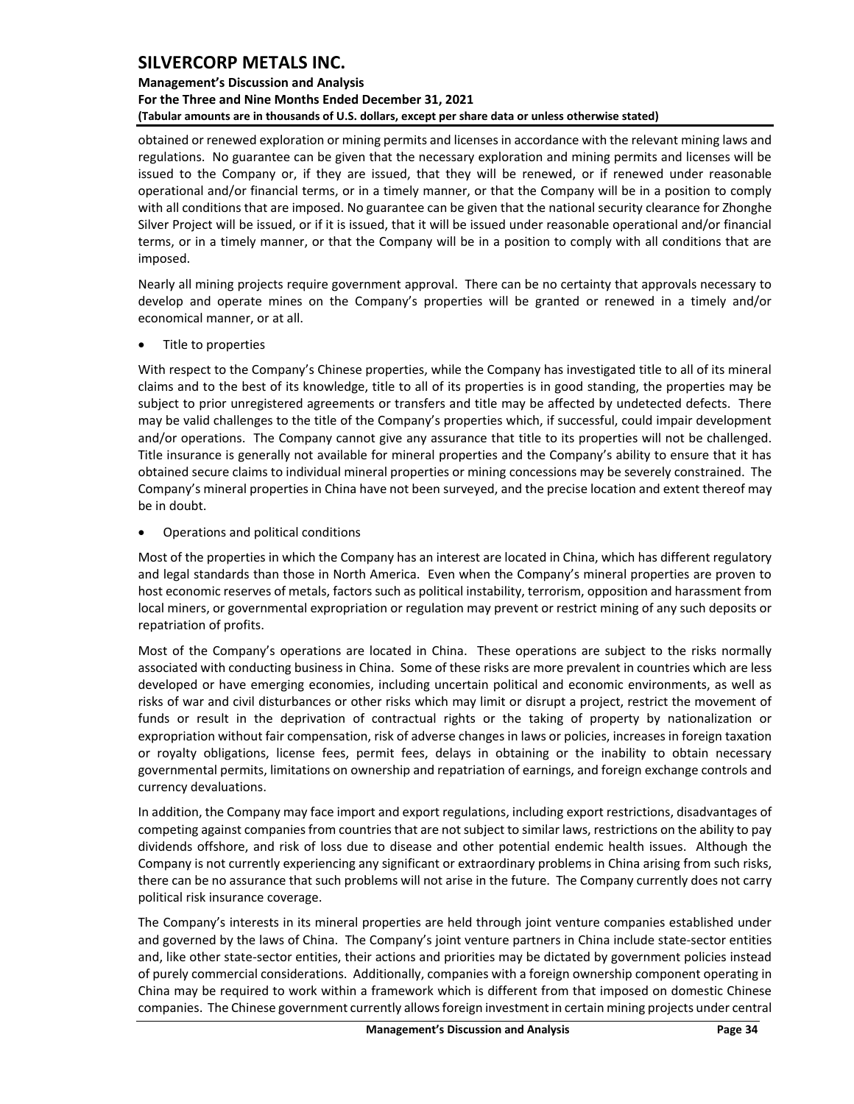### **Management's Discussion and Analysis For the Three and Nine Months Ended December 31, 2021 (Tabular amounts are in thousands of U.S. dollars, except per share data or unless otherwise stated)**

obtained or renewed exploration or mining permits and licenses in accordance with the relevant mining laws and regulations. No guarantee can be given that the necessary exploration and mining permits and licenses will be issued to the Company or, if they are issued, that they will be renewed, or if renewed under reasonable operational and/or financial terms, or in a timely manner, or that the Company will be in a position to comply with all conditions that are imposed. No guarantee can be given that the national security clearance for Zhonghe Silver Project will be issued, or if it is issued, that it will be issued under reasonable operational and/or financial terms, or in a timely manner, or that the Company will be in a position to comply with all conditions that are imposed.

Nearly all mining projects require government approval. There can be no certainty that approvals necessary to develop and operate mines on the Company's properties will be granted or renewed in a timely and/or economical manner, or at all.

• Title to properties

With respect to the Company's Chinese properties, while the Company has investigated title to all of its mineral claims and to the best of its knowledge, title to all of its properties is in good standing, the properties may be subject to prior unregistered agreements or transfers and title may be affected by undetected defects. There may be valid challenges to the title of the Company's properties which, if successful, could impair development and/or operations. The Company cannot give any assurance that title to its properties will not be challenged. Title insurance is generally not available for mineral properties and the Company's ability to ensure that it has obtained secure claims to individual mineral properties or mining concessions may be severely constrained. The Company's mineral properties in China have not been surveyed, and the precise location and extent thereof may be in doubt.

• Operations and political conditions

Most of the properties in which the Company has an interest are located in China, which has different regulatory and legal standards than those in North America. Even when the Company's mineral properties are proven to host economic reserves of metals, factors such as political instability, terrorism, opposition and harassment from local miners, or governmental expropriation or regulation may prevent or restrict mining of any such deposits or repatriation of profits.

Most of the Company's operations are located in China. These operations are subject to the risks normally associated with conducting business in China. Some of these risks are more prevalent in countries which are less developed or have emerging economies, including uncertain political and economic environments, as well as risks of war and civil disturbances or other risks which may limit or disrupt a project, restrict the movement of funds or result in the deprivation of contractual rights or the taking of property by nationalization or expropriation without fair compensation, risk of adverse changes in laws or policies, increases in foreign taxation or royalty obligations, license fees, permit fees, delays in obtaining or the inability to obtain necessary governmental permits, limitations on ownership and repatriation of earnings, and foreign exchange controls and currency devaluations.

In addition, the Company may face import and export regulations, including export restrictions, disadvantages of competing against companies from countries that are not subject to similar laws, restrictions on the ability to pay dividends offshore, and risk of loss due to disease and other potential endemic health issues. Although the Company is not currently experiencing any significant or extraordinary problems in China arising from such risks, there can be no assurance that such problems will not arise in the future. The Company currently does not carry political risk insurance coverage.

The Company's interests in its mineral properties are held through joint venture companies established under and governed by the laws of China. The Company's joint venture partners in China include state-sector entities and, like other state-sector entities, their actions and priorities may be dictated by government policies instead of purely commercial considerations. Additionally, companies with a foreign ownership component operating in China may be required to work within a framework which is different from that imposed on domestic Chinese companies. The Chinese government currently allows foreign investment in certain mining projects under central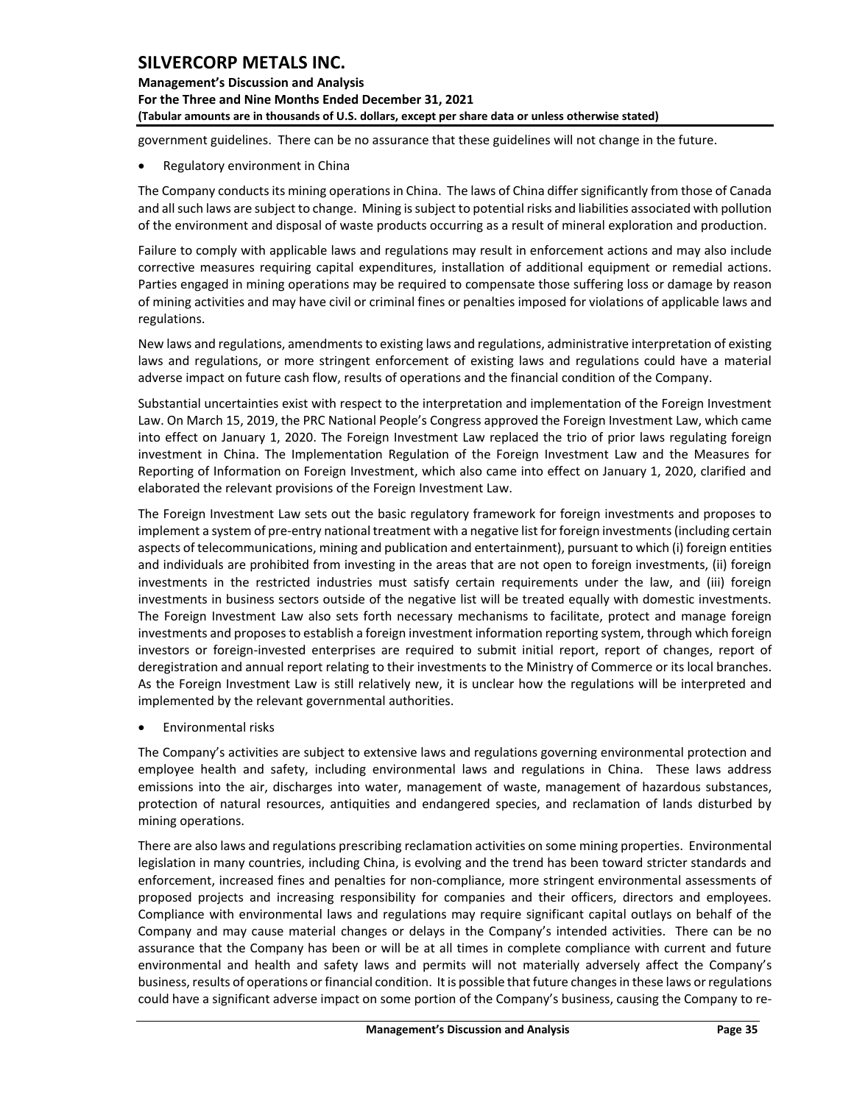**Management's Discussion and Analysis For the Three and Nine Months Ended December 31, 2021 (Tabular amounts are in thousands of U.S. dollars, except per share data or unless otherwise stated)** 

government guidelines. There can be no assurance that these guidelines will not change in the future.

Regulatory environment in China

The Company conducts its mining operations in China. The laws of China differ significantly from those of Canada and all such laws are subject to change. Mining is subject to potential risks and liabilities associated with pollution of the environment and disposal of waste products occurring as a result of mineral exploration and production.

Failure to comply with applicable laws and regulations may result in enforcement actions and may also include corrective measures requiring capital expenditures, installation of additional equipment or remedial actions. Parties engaged in mining operations may be required to compensate those suffering loss or damage by reason of mining activities and may have civil or criminal fines or penalties imposed for violations of applicable laws and regulations.

New laws and regulations, amendments to existing laws and regulations, administrative interpretation of existing laws and regulations, or more stringent enforcement of existing laws and regulations could have a material adverse impact on future cash flow, results of operations and the financial condition of the Company.

Substantial uncertainties exist with respect to the interpretation and implementation of the Foreign Investment Law. On March 15, 2019, the PRC National People's Congress approved the Foreign Investment Law, which came into effect on January 1, 2020. The Foreign Investment Law replaced the trio of prior laws regulating foreign investment in China. The Implementation Regulation of the Foreign Investment Law and the Measures for Reporting of Information on Foreign Investment, which also came into effect on January 1, 2020, clarified and elaborated the relevant provisions of the Foreign Investment Law.

The Foreign Investment Law sets out the basic regulatory framework for foreign investments and proposes to implement a system of pre-entry national treatment with a negative list for foreign investments (including certain aspects of telecommunications, mining and publication and entertainment), pursuant to which (i) foreign entities and individuals are prohibited from investing in the areas that are not open to foreign investments, (ii) foreign investments in the restricted industries must satisfy certain requirements under the law, and (iii) foreign investments in business sectors outside of the negative list will be treated equally with domestic investments. The Foreign Investment Law also sets forth necessary mechanisms to facilitate, protect and manage foreign investments and proposes to establish a foreign investment information reporting system, through which foreign investors or foreign-invested enterprises are required to submit initial report, report of changes, report of deregistration and annual report relating to their investments to the Ministry of Commerce or its local branches. As the Foreign Investment Law is still relatively new, it is unclear how the regulations will be interpreted and implemented by the relevant governmental authorities.

• Environmental risks

The Company's activities are subject to extensive laws and regulations governing environmental protection and employee health and safety, including environmental laws and regulations in China. These laws address emissions into the air, discharges into water, management of waste, management of hazardous substances, protection of natural resources, antiquities and endangered species, and reclamation of lands disturbed by mining operations.

There are also laws and regulations prescribing reclamation activities on some mining properties. Environmental legislation in many countries, including China, is evolving and the trend has been toward stricter standards and enforcement, increased fines and penalties for non-compliance, more stringent environmental assessments of proposed projects and increasing responsibility for companies and their officers, directors and employees. Compliance with environmental laws and regulations may require significant capital outlays on behalf of the Company and may cause material changes or delays in the Company's intended activities. There can be no assurance that the Company has been or will be at all times in complete compliance with current and future environmental and health and safety laws and permits will not materially adversely affect the Company's business, results of operations or financial condition. It is possible that future changes in these laws or regulations could have a significant adverse impact on some portion of the Company's business, causing the Company to re-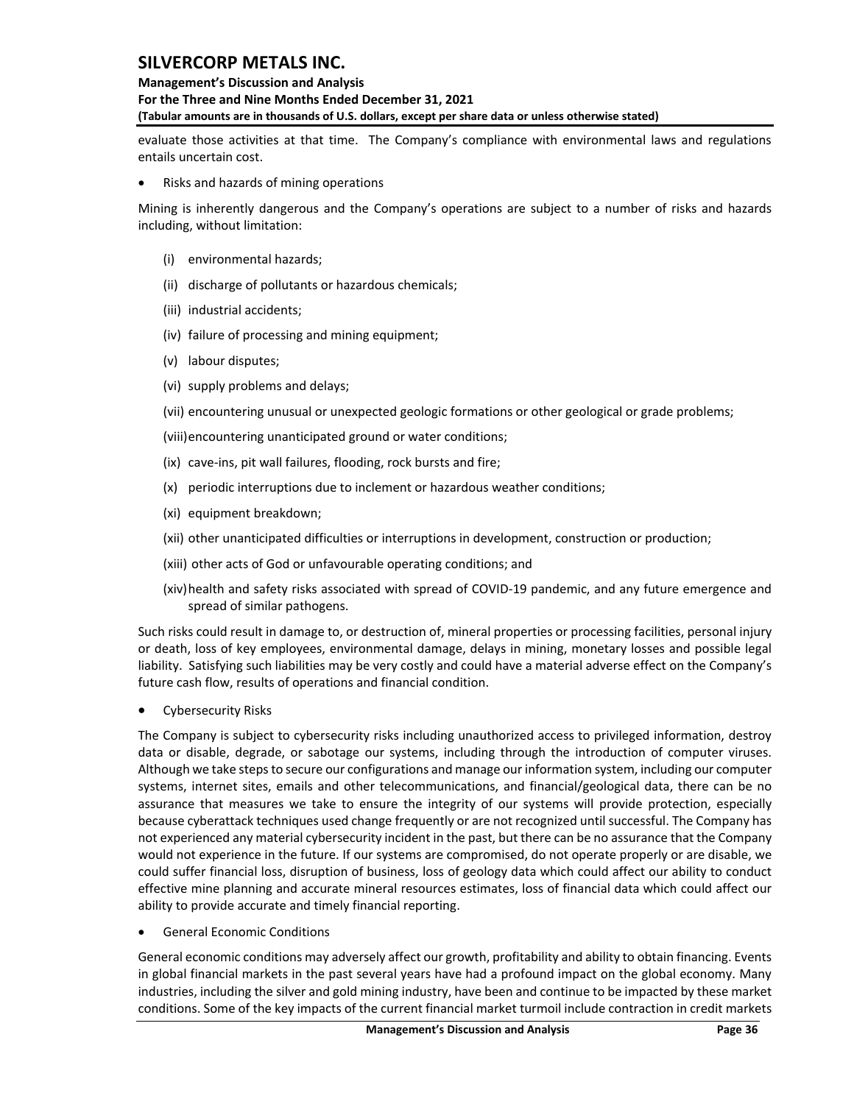## **Management's Discussion and Analysis**

**For the Three and Nine Months Ended December 31, 2021**

**(Tabular amounts are in thousands of U.S. dollars, except per share data or unless otherwise stated)** 

evaluate those activities at that time. The Company's compliance with environmental laws and regulations entails uncertain cost.

• Risks and hazards of mining operations

Mining is inherently dangerous and the Company's operations are subject to a number of risks and hazards including, without limitation:

- (i) environmental hazards;
- (ii) discharge of pollutants or hazardous chemicals;
- (iii) industrial accidents;
- (iv) failure of processing and mining equipment;
- (v) labour disputes;
- (vi) supply problems and delays;
- (vii) encountering unusual or unexpected geologic formations or other geological or grade problems;
- (viii)encountering unanticipated ground or water conditions;
- (ix) cave-ins, pit wall failures, flooding, rock bursts and fire;
- (x) periodic interruptions due to inclement or hazardous weather conditions;
- (xi) equipment breakdown;
- (xii) other unanticipated difficulties or interruptions in development, construction or production;
- (xiii) other acts of God or unfavourable operating conditions; and
- (xiv)health and safety risks associated with spread of COVID-19 pandemic, and any future emergence and spread of similar pathogens.

Such risks could result in damage to, or destruction of, mineral properties or processing facilities, personal injury or death, loss of key employees, environmental damage, delays in mining, monetary losses and possible legal liability. Satisfying such liabilities may be very costly and could have a material adverse effect on the Company's future cash flow, results of operations and financial condition.

• Cybersecurity Risks

The Company is subject to cybersecurity risks including unauthorized access to privileged information, destroy data or disable, degrade, or sabotage our systems, including through the introduction of computer viruses. Although we take steps to secure our configurations and manage our information system, including our computer systems, internet sites, emails and other telecommunications, and financial/geological data, there can be no assurance that measures we take to ensure the integrity of our systems will provide protection, especially because cyberattack techniques used change frequently or are not recognized until successful. The Company has not experienced any material cybersecurity incident in the past, but there can be no assurance that the Company would not experience in the future. If our systems are compromised, do not operate properly or are disable, we could suffer financial loss, disruption of business, loss of geology data which could affect our ability to conduct effective mine planning and accurate mineral resources estimates, loss of financial data which could affect our ability to provide accurate and timely financial reporting.

• General Economic Conditions

General economic conditions may adversely affect our growth, profitability and ability to obtain financing. Events in global financial markets in the past several years have had a profound impact on the global economy. Many industries, including the silver and gold mining industry, have been and continue to be impacted by these market conditions. Some of the key impacts of the current financial market turmoil include contraction in credit markets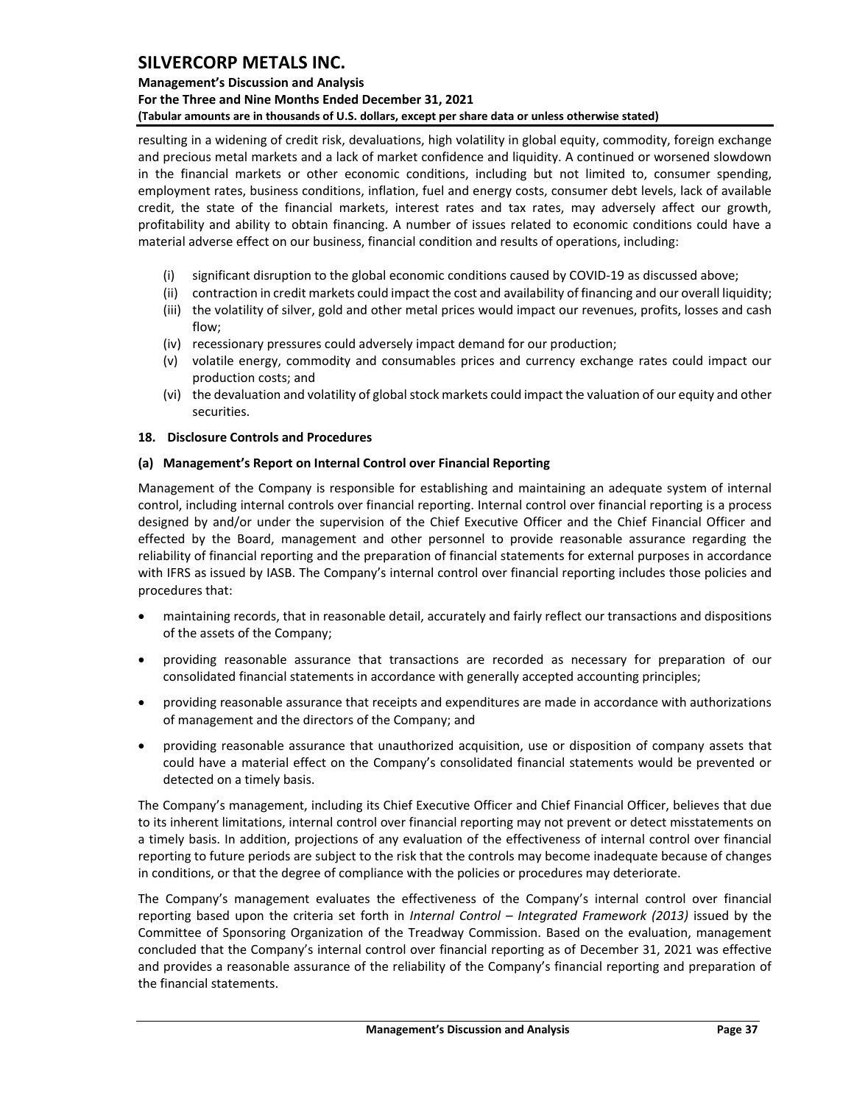## **Management's Discussion and Analysis**

**For the Three and Nine Months Ended December 31, 2021**

**(Tabular amounts are in thousands of U.S. dollars, except per share data or unless otherwise stated)** 

resulting in a widening of credit risk, devaluations, high volatility in global equity, commodity, foreign exchange and precious metal markets and a lack of market confidence and liquidity. A continued or worsened slowdown in the financial markets or other economic conditions, including but not limited to, consumer spending, employment rates, business conditions, inflation, fuel and energy costs, consumer debt levels, lack of available credit, the state of the financial markets, interest rates and tax rates, may adversely affect our growth, profitability and ability to obtain financing. A number of issues related to economic conditions could have a material adverse effect on our business, financial condition and results of operations, including:

- (i) significant disruption to the global economic conditions caused by COVID-19 as discussed above;
- (ii) contraction in credit markets could impact the cost and availability of financing and our overall liquidity;
- (iii) the volatility of silver, gold and other metal prices would impact our revenues, profits, losses and cash flow;
- (iv) recessionary pressures could adversely impact demand for our production;
- (v) volatile energy, commodity and consumables prices and currency exchange rates could impact our production costs; and
- (vi) the devaluation and volatility of global stock markets could impact the valuation of our equity and other securities.

### <span id="page-37-0"></span>**18. Disclosure Controls and Procedures**

### **(a) Management's Report on Internal Control over Financial Reporting**

Management of the Company is responsible for establishing and maintaining an adequate system of internal control, including internal controls over financial reporting. Internal control over financial reporting is a process designed by and/or under the supervision of the Chief Executive Officer and the Chief Financial Officer and effected by the Board, management and other personnel to provide reasonable assurance regarding the reliability of financial reporting and the preparation of financial statements for external purposes in accordance with IFRS as issued by IASB. The Company's internal control over financial reporting includes those policies and procedures that:

- maintaining records, that in reasonable detail, accurately and fairly reflect our transactions and dispositions of the assets of the Company;
- providing reasonable assurance that transactions are recorded as necessary for preparation of our consolidated financial statements in accordance with generally accepted accounting principles;
- providing reasonable assurance that receipts and expenditures are made in accordance with authorizations of management and the directors of the Company; and
- providing reasonable assurance that unauthorized acquisition, use or disposition of company assets that could have a material effect on the Company's consolidated financial statements would be prevented or detected on a timely basis.

The Company's management, including its Chief Executive Officer and Chief Financial Officer, believes that due to its inherent limitations, internal control over financial reporting may not prevent or detect misstatements on a timely basis. In addition, projections of any evaluation of the effectiveness of internal control over financial reporting to future periods are subject to the risk that the controls may become inadequate because of changes in conditions, or that the degree of compliance with the policies or procedures may deteriorate.

The Company's management evaluates the effectiveness of the Company's internal control over financial reporting based upon the criteria set forth in *Internal Control – Integrated Framework (2013)* issued by the Committee of Sponsoring Organization of the Treadway Commission. Based on the evaluation, management concluded that the Company's internal control over financial reporting as of December 31, 2021 was effective and provides a reasonable assurance of the reliability of the Company's financial reporting and preparation of the financial statements.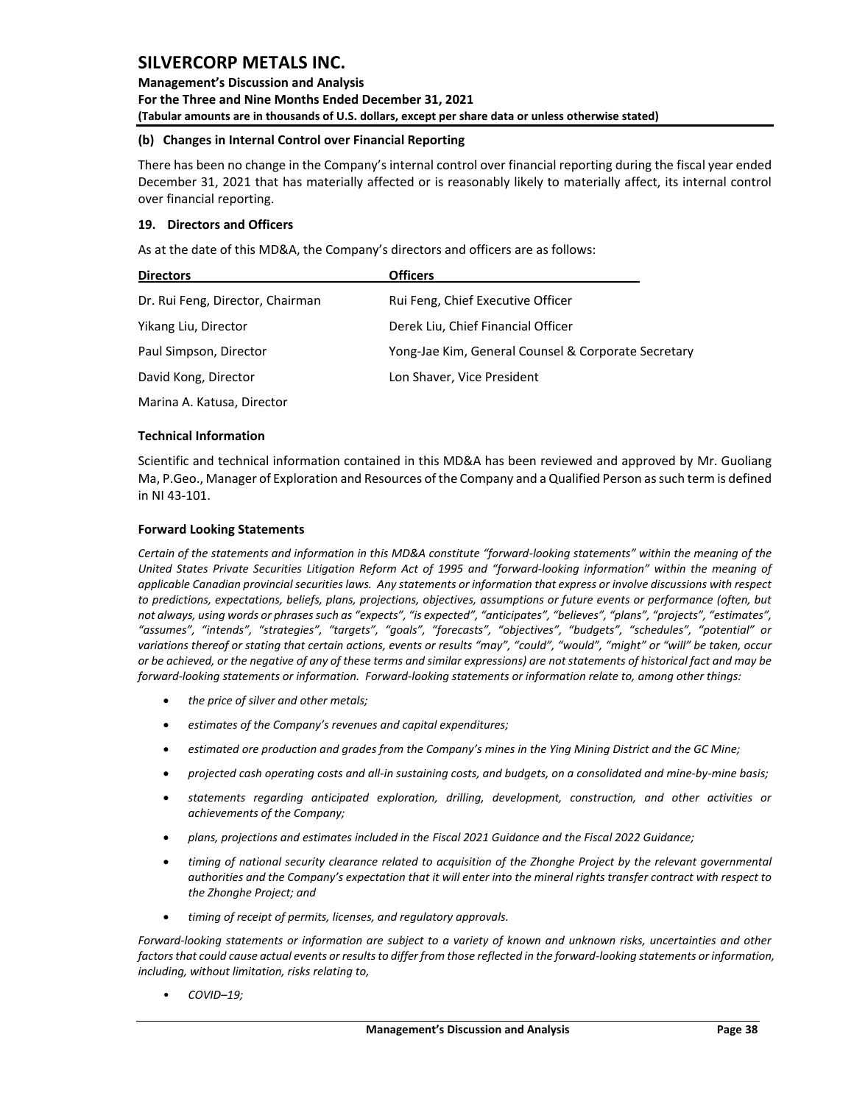**Management's Discussion and Analysis For the Three and Nine Months Ended December 31, 2021 (Tabular amounts are in thousands of U.S. dollars, except per share data or unless otherwise stated)** 

#### **(b) Changes in Internal Control over Financial Reporting**

There has been no change in the Company's internal control over financial reporting during the fiscal year ended December 31, 2021 that has materially affected or is reasonably likely to materially affect, its internal control over financial reporting.

#### <span id="page-38-0"></span>**19. Directors and Officers**

As at the date of this MD&A, the Company's directors and officers are as follows:

| <b>Directors</b>                 | <b>Officers</b>                                     |
|----------------------------------|-----------------------------------------------------|
| Dr. Rui Feng, Director, Chairman | Rui Feng, Chief Executive Officer                   |
| Yikang Liu, Director             | Derek Liu, Chief Financial Officer                  |
| Paul Simpson, Director           | Yong-Jae Kim, General Counsel & Corporate Secretary |
| David Kong, Director             | Lon Shaver, Vice President                          |
| Marina A Katusa Director         |                                                     |

Marina A. Katusa, Director

#### <span id="page-38-1"></span>**Technical Information**

Scientific and technical information contained in this MD&A has been reviewed and approved by Mr. Guoliang Ma, P.Geo., Manager of Exploration and Resources of the Company and a Qualified Person assuch term is defined in NI 43-101.

#### <span id="page-38-2"></span>**Forward Looking Statements**

*Certain of the statements and information in this MD&A constitute "forward-looking statements" within the meaning of the United States Private Securities Litigation Reform Act of 1995 and "forward-looking information" within the meaning of applicable Canadian provincial securities laws. Any statements or information that express or involve discussions with respect to predictions, expectations, beliefs, plans, projections, objectives, assumptions or future events or performance (often, but not always, using words or phrases such as "expects", "is expected", "anticipates", "believes", "plans", "projects", "estimates", "assumes", "intends", "strategies", "targets", "goals", "forecasts", "objectives", "budgets", "schedules", "potential" or variations thereof or stating that certain actions, events or results "may", "could", "would", "might" or "will" be taken, occur or be achieved, or the negative of any of these terms and similar expressions) are not statements of historical fact and may be forward-looking statements or information. Forward-looking statements or information relate to, among other things:*

- *the price of silver and other metals;*
- *estimates of the Company's revenues and capital expenditures;*
- *estimated ore production and grades from the Company's mines in the Ying Mining District and the GC Mine;*
- *projected cash operating costs and all-in sustaining costs, and budgets, on a consolidated and mine-by-mine basis;*
- *statements regarding anticipated exploration, drilling, development, construction, and other activities or achievements of the Company;*
- *plans, projections and estimates included in the Fiscal 2021 Guidance and the Fiscal 2022 Guidance;*
- *timing of national security clearance related to acquisition of the Zhonghe Project by the relevant governmental authorities and the Company's expectation that it will enter into the mineral rights transfer contract with respect to the Zhonghe Project; and*
- *timing of receipt of permits, licenses, and regulatory approvals.*

*Forward-looking statements or information are subject to a variety of known and unknown risks, uncertainties and other factors that could cause actual events or results to differ from those reflected in the forward-looking statements or information, including, without limitation, risks relating to,* 

• *COVID–19;*